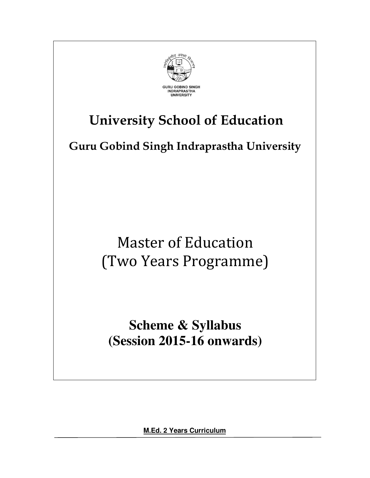

# **University School of Education**

**Guru Gobind Singh Indraprastha University** 

Master of Education (Two Years Programme)

**Scheme & Syllabus (Session 2015-16 onwards)** 

**M.Ed. 2 Years Curriculum**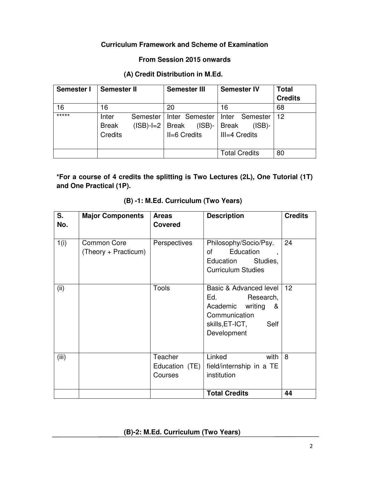# **Curriculum Framework and Scheme of Examination**

# **From Session 2015 onwards**

# **(A) Credit Distribution in M.Ed.**

| <b>Semester I</b> | <b>Semester II</b>               |                         | <b>Semester III</b>          |                             |                               | <b>Semester IV</b>          | <b>Total</b><br><b>Credits</b> |
|-------------------|----------------------------------|-------------------------|------------------------------|-----------------------------|-------------------------------|-----------------------------|--------------------------------|
| 16                | 16                               |                         | 20                           |                             | 16                            |                             | 68                             |
| *****             | Inter<br><b>Break</b><br>Credits | Semester<br>$(ISB)-I=2$ | <b>Break</b><br>II=6 Credits | Inter Semester<br>$(ISB)$ - | <b>Break</b><br>III=4 Credits | Inter Semester<br>$(ISB)$ - | -12                            |
|                   |                                  |                         |                              |                             |                               | <b>Total Credits</b>        | 80                             |

**\*For a course of 4 credits the splitting is Two Lectures (2L), One Tutorial (1T) and One Practical (1P).** 

| S.<br>No. | <b>Major Components</b>                    | <b>Areas</b><br><b>Covered</b>       | <b>Description</b>                                                                                                         | <b>Credits</b> |
|-----------|--------------------------------------------|--------------------------------------|----------------------------------------------------------------------------------------------------------------------------|----------------|
| 1(i)      | <b>Common Core</b><br>(Theory + Practicum) | Perspectives                         | Philosophy/Socio/Psy.<br>Education<br>of<br>$\overline{\phantom{a}}$<br>Education<br>Studies,<br><b>Curriculum Studies</b> | 24             |
| (ii)      |                                            | Tools                                | Basic & Advanced level<br>Ed. Research,<br>Academic writing<br>&<br>Communication<br>skills,ET-ICT,<br>Self<br>Development | 12             |
| (iii)     |                                            | Teacher<br>Education (TE)<br>Courses | Linked<br>with<br>field/internship in a TE<br>institution                                                                  | 8              |
|           |                                            |                                      | <b>Total Credits</b>                                                                                                       | 44             |

# **(B) -1: M.Ed. Curriculum (Two Years)**

# **(B)-2: M.Ed. Curriculum (Two Years)**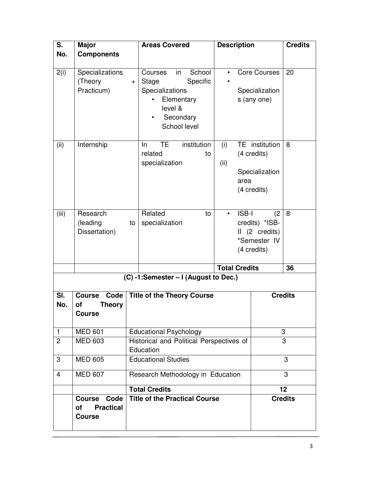| S.             | <b>Major</b>                                                     |                                   | <b>Areas Covered</b>                                                                                                                      | <b>Description</b>   |                                                                       | <b>Credits</b> |
|----------------|------------------------------------------------------------------|-----------------------------------|-------------------------------------------------------------------------------------------------------------------------------------------|----------------------|-----------------------------------------------------------------------|----------------|
| No.            | <b>Components</b>                                                |                                   |                                                                                                                                           |                      |                                                                       |                |
| 2(i)           | Specializations<br>(Theory<br>Practicum)                         | $+$                               | School<br>in<br>Courses<br>Specific<br><b>Stage</b><br>Specializations<br>Elementary<br>level &<br>Secondary<br>$\bullet$<br>School level |                      | <b>Core Courses</b><br>Specialization<br>s (any one)                  | 20             |
| (ii)           | Internship                                                       |                                   | institution<br>TE<br>$\ln$<br>related<br>to<br>specialization                                                                             | (i)<br>(ii)<br>area  | TE institution<br>(4 credits)<br>Specialization<br>(4 credits)        | 8              |
| (iii)          | Research<br>(leading<br>Dissertation)                            | to                                | Related<br>to<br>specialization                                                                                                           | <b>ISB-I</b>         | (2<br>credits) *ISB-<br>II (2 credits)<br>*Semester IV<br>(4 credits) | 8              |
|                |                                                                  |                                   |                                                                                                                                           | <b>Total Credits</b> |                                                                       | 36             |
|                |                                                                  |                                   | (C) -1:Semester - I (August to Dec.)                                                                                                      |                      |                                                                       |                |
| SI.<br>No.     | Code<br><b>Course</b><br>οf<br><b>Theory</b><br><b>Course</b>    | <b>Title of the Theory Course</b> |                                                                                                                                           |                      | <b>Credits</b>                                                        |                |
| $\mathbf{1}$   | <b>MED 601</b>                                                   |                                   | <b>Educational Psychology</b>                                                                                                             |                      |                                                                       | 3              |
| $\overline{c}$ | <b>MED 603</b>                                                   |                                   | Historical and Political Perspectives of<br>Education                                                                                     |                      |                                                                       | 3              |
| 3              | <b>MED 605</b>                                                   |                                   | <b>Educational Studies</b>                                                                                                                |                      |                                                                       | 3              |
| 4              | <b>MED 607</b>                                                   |                                   | Research Methodology in Education                                                                                                         |                      |                                                                       | 3              |
|                |                                                                  |                                   | <b>Total Credits</b>                                                                                                                      |                      |                                                                       | 12             |
|                | Code<br><b>Course</b><br><b>Practical</b><br>of<br><b>Course</b> |                                   | <b>Title of the Practical Course</b>                                                                                                      |                      |                                                                       | <b>Credits</b> |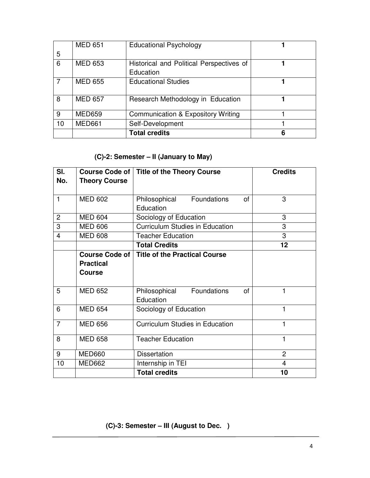|    | <b>MED 651</b> | <b>Educational Psychology</b>            |  |
|----|----------------|------------------------------------------|--|
| 5  |                |                                          |  |
| 6  | <b>MED 653</b> | Historical and Political Perspectives of |  |
|    |                | Education                                |  |
| 7  | <b>MED 655</b> | <b>Educational Studies</b>               |  |
| 8  | <b>MED 657</b> | Research Methodology in Education        |  |
| 9  | <b>MED659</b>  | Communication & Expository Writing       |  |
| 10 | <b>MED661</b>  | Self-Development                         |  |
|    |                | <b>Total credits</b>                     |  |

# **(C)-2: Semester – II (January to May)**

| SI.                     | <b>Course Code of</b> | <b>Title of the Theory Course</b>      | <b>Credits</b> |
|-------------------------|-----------------------|----------------------------------------|----------------|
| No.                     | <b>Theory Course</b>  |                                        |                |
|                         |                       |                                        |                |
| 1                       | <b>MED 602</b>        | Philosophical Foundations<br>οf        | 3              |
|                         |                       | Education                              |                |
| $\overline{2}$          | <b>MED 604</b>        | Sociology of Education                 | 3              |
| 3                       | <b>MED 606</b>        | <b>Curriculum Studies in Education</b> | 3              |
| $\overline{\mathbf{4}}$ | <b>MED 608</b>        | <b>Teacher Education</b>               | 3              |
|                         |                       | <b>Total Credits</b>                   | 12             |
|                         | <b>Course Code of</b> | <b>Title of the Practical Course</b>   |                |
|                         | <b>Practical</b>      |                                        |                |
|                         | <b>Course</b>         |                                        |                |
|                         |                       |                                        |                |
| 5                       | <b>MED 652</b>        | Philosophical<br>Foundations<br>of     | 1              |
|                         |                       | Education                              |                |
| 6                       | <b>MED 654</b>        | Sociology of Education                 | 1              |
| $\overline{7}$          | <b>MED 656</b>        | <b>Curriculum Studies in Education</b> | 1              |
|                         |                       |                                        |                |
| 8                       | <b>MED 658</b>        | <b>Teacher Education</b>               | 1              |
|                         |                       |                                        |                |
| 9                       | MED660                | <b>Dissertation</b>                    | $\overline{2}$ |
| 10                      | MED662                | Internship in TEI                      | 4              |
|                         |                       | <b>Total credits</b>                   | 10             |

 **(C)-3: Semester – III (August to Dec. )**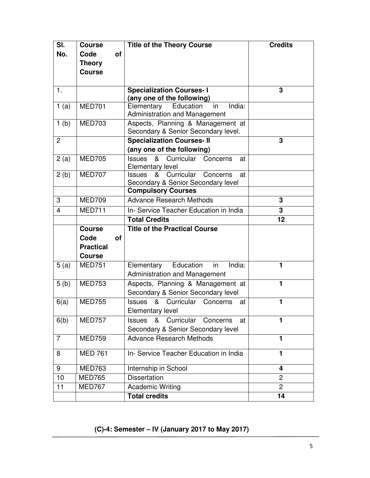| SI.<br>No.              | <b>Course</b><br>Code | <b>of</b> | <b>Title of the Theory Course</b>                                                        | <b>Credits</b> |
|-------------------------|-----------------------|-----------|------------------------------------------------------------------------------------------|----------------|
|                         | <b>Theory</b>         |           |                                                                                          |                |
|                         | <b>Course</b>         |           |                                                                                          |                |
|                         |                       |           |                                                                                          |                |
| 1.                      |                       |           | <b>Specialization Courses-I</b><br>(any one of the following)                            | 3              |
| 1(a)                    | <b>MED701</b>         |           | Elementary<br>Education<br>India:<br>in<br><b>Administration and Management</b>          |                |
| 1(b)                    | <b>MED703</b>         |           | Aspects, Planning & Management at<br>Secondary & Senior Secondary level.                 |                |
| $\overline{2}$          |                       |           | <b>Specialization Courses-II</b>                                                         | 3              |
|                         |                       |           | (any one of the following)                                                               |                |
| 2(a)                    | <b>MED705</b>         |           | &<br>Curricular<br><b>Issues</b><br>Concerns<br>at<br><b>Elementary level</b>            |                |
| 2(b)                    | <b>MED707</b>         |           | Curricular<br>&<br>Concerns<br><b>Issues</b><br>at<br>Secondary & Senior Secondary level |                |
|                         |                       |           | <b>Compulsory Courses</b>                                                                |                |
| 3                       | <b>MED709</b>         |           | <b>Advance Research Methods</b>                                                          | 3              |
| $\overline{\mathbf{4}}$ | <b>MED711</b>         |           | In- Service Teacher Education in India                                                   | 3              |
|                         |                       |           | <b>Total Credits</b>                                                                     | 12             |
|                         | <b>Course</b>         |           | <b>Title of the Practical Course</b>                                                     |                |
|                         | Code                  | οf        |                                                                                          |                |
|                         | <b>Practical</b>      |           |                                                                                          |                |
|                         | <b>Course</b>         |           |                                                                                          |                |
| 5(a)                    | <b>MED751</b>         |           | Elementary<br>Education<br>in<br>India:                                                  |                |
|                         |                       |           |                                                                                          | 1              |
|                         |                       |           | <b>Administration and Management</b>                                                     |                |
| 5(b)                    | <b>MED753</b>         |           | Aspects, Planning & Management at<br>Secondary & Senior Secondary level                  | 1              |
| 6(a)                    | <b>MED755</b>         |           | &<br>Curricular<br><b>Issues</b><br>Concerns<br>at                                       | 1              |
| 6(b)                    | <b>MED757</b>         |           | Elementary level<br>&<br>Curricular<br><b>Issues</b><br>Concerns<br>at                   | 1              |
| $\overline{7}$          | <b>MED759</b>         |           | Secondary & Senior Secondary level<br><b>Advance Research Methods</b>                    | 1              |
| 8                       | <b>MED 761</b>        |           | In- Service Teacher Education in India                                                   | 1              |
| 9                       | <b>MED763</b>         |           | Internship in School                                                                     | 4              |
| 10                      | <b>MED765</b>         |           | <b>Dissertation</b>                                                                      | 2              |
| 11                      | <b>MED767</b>         |           | <b>Academic Writing</b>                                                                  | $\overline{2}$ |

 **(C)-4: Semester – IV (January 2017 to May 2017)**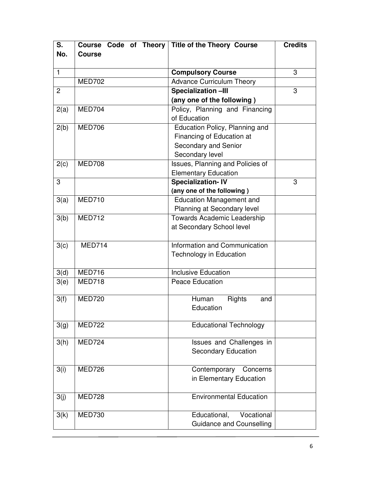| S.             |               | Course Code of Theory   Title of the Theory Course | <b>Credits</b> |  |
|----------------|---------------|----------------------------------------------------|----------------|--|
| No.            | <b>Course</b> |                                                    |                |  |
|                |               |                                                    |                |  |
| $\mathbf{1}$   |               | <b>Compulsory Course</b>                           | 3              |  |
|                | <b>MED702</b> | <b>Advance Curriculum Theory</b>                   |                |  |
| $\overline{c}$ |               | Specialization-III                                 | 3              |  |
|                |               | (any one of the following)                         |                |  |
| 2(a)           | MED704        | Policy, Planning and Financing                     |                |  |
|                |               | of Education                                       |                |  |
| 2(b)           | <b>MED706</b> | Education Policy, Planning and                     |                |  |
|                |               | Financing of Education at                          |                |  |
|                |               | Secondary and Senior                               |                |  |
|                |               | Secondary level                                    |                |  |
| 2(c)           | <b>MED708</b> | Issues, Planning and Policies of                   |                |  |
|                |               | <b>Elementary Education</b>                        |                |  |
| 3              |               | Specialization-IV                                  | 3              |  |
|                |               | (any one of the following)                         |                |  |
| 3(a)           | <b>MED710</b> | <b>Education Management and</b>                    |                |  |
|                |               | Planning at Secondary level                        |                |  |
| 3(b)           | MED712        | Towards Academic Leadership                        |                |  |
|                |               | at Secondary School level                          |                |  |
|                |               |                                                    |                |  |
| 3(c)           | <b>MED714</b> | Information and Communication                      |                |  |
|                |               | Technology in Education                            |                |  |
|                |               |                                                    |                |  |
| 3(d)           | <b>MED716</b> | <b>Inclusive Education</b>                         |                |  |
| 3(e)           | <b>MED718</b> | <b>Peace Education</b>                             |                |  |
|                |               |                                                    |                |  |
| 3(f)           | <b>MED720</b> | Rights<br>Human<br>and                             |                |  |
|                |               | Education                                          |                |  |
|                |               |                                                    |                |  |
| 3(g)           | <b>MED722</b> | <b>Educational Technology</b>                      |                |  |
|                |               |                                                    |                |  |
| 3(h)           | MED724        | Issues and Challenges in                           |                |  |
|                |               | <b>Secondary Education</b>                         |                |  |
|                |               |                                                    |                |  |
| 3(i)           | <b>MED726</b> | Contemporary<br>Concerns                           |                |  |
|                |               | in Elementary Education                            |                |  |
|                |               |                                                    |                |  |
| 3(j)           | <b>MED728</b> | <b>Environmental Education</b>                     |                |  |
|                |               |                                                    |                |  |
| 3(k)           | <b>MED730</b> | Educational,<br>Vocational                         |                |  |
|                |               | <b>Guidance and Counselling</b>                    |                |  |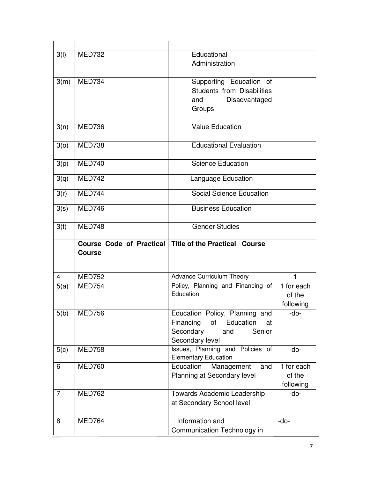| 3(1)           | <b>MED732</b> | Educational                                                          |            |
|----------------|---------------|----------------------------------------------------------------------|------------|
|                |               | Administration                                                       |            |
| 3(m)           | MED734        | Supporting Education of                                              |            |
|                |               | <b>Students from Disabilities</b>                                    |            |
|                |               | Disadvantaged<br>and                                                 |            |
|                |               | Groups                                                               |            |
| 3(n)           | <b>MED736</b> | <b>Value Education</b>                                               |            |
|                |               |                                                                      |            |
| 3(0)           | <b>MED738</b> | <b>Educational Evaluation</b>                                        |            |
| 3(p)           | <b>MED740</b> | <b>Science Education</b>                                             |            |
|                |               |                                                                      |            |
| 3(q)           | <b>MED742</b> | Language Education                                                   |            |
| 3(r)           | <b>MED744</b> | Social Science Education                                             |            |
| 3(s)           | <b>MED746</b> | <b>Business Education</b>                                            |            |
|                |               |                                                                      |            |
| 3(t)           | <b>MED748</b> | <b>Gender Studies</b>                                                |            |
|                |               |                                                                      |            |
|                |               | Course Code of Practical Title of the Practical Course               |            |
|                | <b>Course</b> |                                                                      |            |
|                |               |                                                                      |            |
| $\overline{4}$ | <b>MED752</b> | <b>Advance Curriculum Theory</b>                                     | 1          |
| 5(a)           | <b>MED754</b> | Policy, Planning and Financing of                                    | 1 for each |
|                |               | Education                                                            | of the     |
|                |               |                                                                      | following  |
| 5(b)           | <b>MED756</b> | Education Policy, Planning and<br>Financing<br>Education<br>οf<br>at | -do-       |
|                |               | Secondary<br>Senior<br>and                                           |            |
|                |               | Secondary level                                                      |            |
| 5(c)           | <b>MED758</b> | Issues, Planning and Policies of                                     | -do-       |
| 6              | <b>MED760</b> | <b>Elementary Education</b><br>Education<br>Management<br>and        | 1 for each |
|                |               | Planning at Secondary level                                          | of the     |
|                |               |                                                                      | following  |
| $\overline{7}$ | <b>MED762</b> | <b>Towards Academic Leadership</b>                                   | -do-       |
|                |               | at Secondary School level                                            |            |
| 8              | <b>MED764</b> | Information and                                                      | -do-       |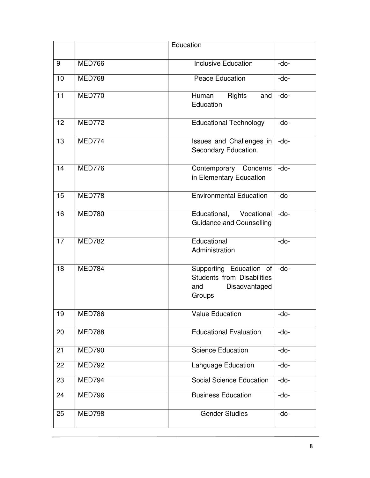|    |               | Education                                                                                      |        |
|----|---------------|------------------------------------------------------------------------------------------------|--------|
| 9  | <b>MED766</b> | <b>Inclusive Education</b>                                                                     | -do-   |
| 10 | <b>MED768</b> | Peace Education                                                                                | -do-   |
| 11 | <b>MED770</b> | Rights<br>Human<br>and<br>Education                                                            | -do-   |
| 12 | <b>MED772</b> | <b>Educational Technology</b>                                                                  | $-do-$ |
| 13 | <b>MED774</b> | Issues and Challenges in<br><b>Secondary Education</b>                                         | -do-   |
| 14 | <b>MED776</b> | Contemporary Concerns<br>in Elementary Education                                               | -do-   |
| 15 | <b>MED778</b> | <b>Environmental Education</b>                                                                 | -do-   |
| 16 | <b>MED780</b> | Educational, Vocational<br><b>Guidance and Counselling</b>                                     | -do-   |
| 17 | <b>MED782</b> | Educational<br>Administration                                                                  | -do-   |
| 18 | <b>MED784</b> | Supporting Education of<br><b>Students from Disabilities</b><br>and<br>Disadvantaged<br>Groups | $-do-$ |
| 19 | MED786        | <b>Value Education</b>                                                                         | -do-   |
| 20 | <b>MED788</b> | <b>Educational Evaluation</b>                                                                  | -do-   |
| 21 | <b>MED790</b> | <b>Science Education</b>                                                                       | -do-   |
| 22 | <b>MED792</b> | Language Education                                                                             | -do-   |
| 23 | MED794        | <b>Social Science Education</b>                                                                | -do-   |
| 24 | MED796        | <b>Business Education</b>                                                                      | -do-   |
| 25 | <b>MED798</b> | <b>Gender Studies</b>                                                                          | -do-   |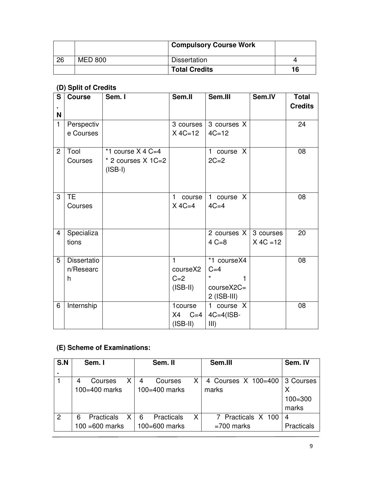|    |                | <b>Compulsory Course Work</b> |    |
|----|----------------|-------------------------------|----|
| 26 | <b>MED 800</b> | <b>Dissertation</b>           |    |
|    |                | <b>Total Credits</b>          | 16 |

# **(D) Split of Credits**

| S              | <b>Course</b>      | Sem. I                 | Sem.II       | Sem.III       | Sem.IV      | <b>Total</b><br><b>Credits</b> |
|----------------|--------------------|------------------------|--------------|---------------|-------------|--------------------------------|
| <b>N</b>       |                    |                        |              |               |             |                                |
| $\mathbf{1}$   | Perspectiv         |                        | 3 courses    | 3 courses X   |             | 24                             |
|                | e Courses          |                        | $X 4C=12$    | $4C = 12$     |             |                                |
|                |                    |                        |              |               |             |                                |
| $\overline{2}$ | Tool               | *1 course $X$ 4 C=4    |              | 1 course X    |             | 08                             |
|                | Courses            | $*$ 2 courses $X$ 1C=2 |              | $2C=2$        |             |                                |
|                |                    | $(ISBN - I)$           |              |               |             |                                |
|                |                    |                        |              |               |             |                                |
|                |                    |                        |              |               |             |                                |
| 3              | TE.                |                        | course<br>1. | 1 course X    |             | 08                             |
|                | Courses            |                        | $X 4C=4$     | $4C=4$        |             |                                |
|                |                    |                        |              |               |             |                                |
| 4              | Specializa         |                        |              | 2 courses X   | 3 courses   | 20                             |
|                | tions              |                        |              | $4 C = 8$     | $X 4C = 12$ |                                |
|                |                    |                        |              |               |             |                                |
| 5              | <b>Dissertatio</b> |                        | 1            | *1 courseX4   |             | 08                             |
|                | n/Researc          |                        | courseX2     | $C=4$         |             |                                |
|                | h                  |                        | $C=2$        | ¥             |             |                                |
|                |                    |                        | (ISBN)       | $courseX2C =$ |             |                                |
|                |                    |                        |              | $2$ (ISB-III) |             |                                |
| 6              | Internship         |                        | 1course      | 1 course X    |             | 08                             |
|                |                    |                        | X4<br>$C=4$  | $4C=4(1SB-$   |             |                                |
|                |                    |                        | (ISBN)       | III)          |             |                                |

# **(E) Scheme of Examinations:**

| S.N | Sem. I                      | Sem. II              | Sem.III             | Sem. IV     |
|-----|-----------------------------|----------------------|---------------------|-------------|
|     |                             |                      |                     |             |
|     | Χ<br>Courses<br>4           | Courses<br>4         | 4 Courses X 100=400 | 3 Courses   |
|     | 100=400 marks               | 100=400 marks        | marks               | Х           |
|     |                             |                      |                     | $100 = 300$ |
|     |                             |                      |                     | marks       |
| 2   | X<br><b>Practicals</b><br>6 | X<br>Practicals<br>6 | 7 Practicals X 100  | 4           |
|     | $100 = 600$ marks           | 100=600 marks        | $=700$ marks        | Practicals  |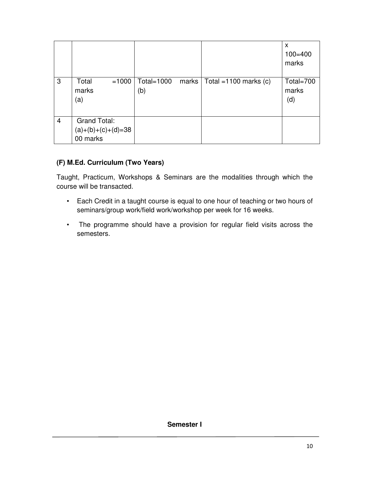|                |                                                  |                      |       |                          | X<br>$100 = 400$<br>marks |
|----------------|--------------------------------------------------|----------------------|-------|--------------------------|---------------------------|
| 3              | Total<br>$=1000$<br>marks<br>(a)                 | Total= $1000$<br>(b) | marks | Total = $1100$ marks (c) | Total=700<br>marks<br>(d) |
| $\overline{4}$ | Grand Total:<br>$(a)+(b)+(c)+(d)=38$<br>00 marks |                      |       |                          |                           |

# **(F) M.Ed. Curriculum (Two Years)**

Taught, Practicum, Workshops & Seminars are the modalities through which the course will be transacted.

- Each Credit in a taught course is equal to one hour of teaching or two hours of seminars/group work/field work/workshop per week for 16 weeks.
- The programme should have a provision for regular field visits across the semesters.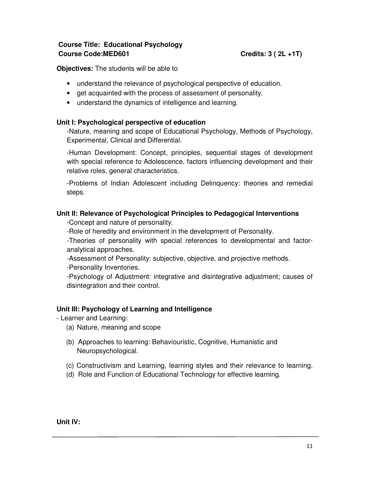# **Course Title: Educational Psychology Course Code:MED601** Course Code:MED601

**Objectives:** The students will be able to

- understand the relevance of psychological perspective of education.
- get acquainted with the process of assessment of personality.
- understand the dynamics of intelligence and learning.

# **Unit I: Psychological perspective of education**

-Nature, meaning and scope of Educational Psychology, Methods of Psychology, Experimental, Clinical and Differential.

-Human Development: Concept, principles, sequential stages of development with special reference to Adolescence, factors influencing development and their relative roles, general characteristics.

-Problems of Indian Adolescent including Delinquency: theories and remedial steps.

# **Unit II: Relevance of Psychological Principles to Pedagogical Interventions**

-Concept and nature of personality.

-Role of heredity and environment in the development of Personality.

-Theories of personality with special references to developmental and factoranalytical approaches.

-Assessment of Personality: subjective, objective, and projective methods.

-Personality Inventories.

-Psychology of Adjustment: integrative and disintegrative adjustment; causes of disintegration and their control.

# **Unit III: Psychology of Learning and Intelligence**

- Learner and Learning:

- (a) Nature, meaning and scope
- (b) Approaches to learning: Behaviouristic, Cognitive, Humanistic and Neuropsychological.
- (c) Constructivism and Learning, learning styles and their relevance to learning.
- (d) Role and Function of Educational Technology for effective learning.

**Unit IV:**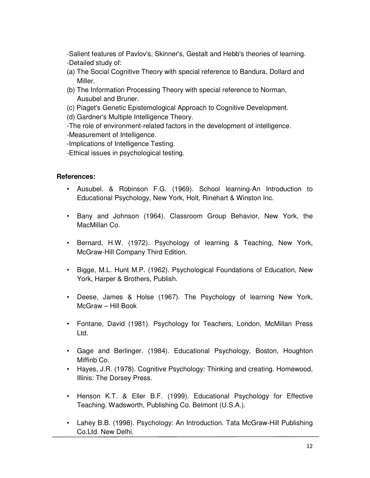-Salient features of Pavlov's, Skinner's, Gestalt and Hebb's theories of learning. -Detailed study of:

- (a) The Social Cognitive Theory with special reference to Bandura, Dollard and Miller.
- (b) The Information Processing Theory with special reference to Norman, Ausubel and Bruner.
- (c) Piaget's Genetic Epistemological Approach to Cognitive Development.

(d) Gardner's Multiple Intelligence Theory.

-The role of environment-related factors in the development of intelligence. -Measurement of Intelligence.

-Implications of Intelligence Testing.

-Ethical issues in psychological testing.

# **References:**

- Ausubel. & Robinson F.G. (1969). School learning-An Introduction to Educational Psychology, New York, Holt, Rinehart & Winston Inc.
- Bany and Johnson (1964). Classroom Group Behavior, New York, the MacMillan Co.
- Bernard, H.W. (1972). Psychology of learning & Teaching, New York, McGraw-Hill Company Third Edition.
- Bigge, M.L. Hunt M.P. (1962). Psychological Foundations of Education, New York, Harper & Brothers, Publish.
- Deese, James & Holse (1967). The Psychology of learning New York, McGraw – Hill Book
- Fontane, David (1981). Psychology for Teachers, London, McMillan Press Ltd.
- Gage and Berlinger. (1984). Educational Psychology, Boston, Houghton Miffinb Co.
- Hayes, J.R. (1978). Cognitive Psychology: Thinking and creating. Homewood, Illinis: The Dorsey Press.
- Henson K.T. & Eller B.F. (1999). Educational Psychology for Effective Teaching. Wadsworth, Publishing Co. Belmont (U.S.A.).
- Lahey B.B. (1998). Psychology: An Introduction. Tata McGraw-Hill Publishing Co.Ltd. New Delhi.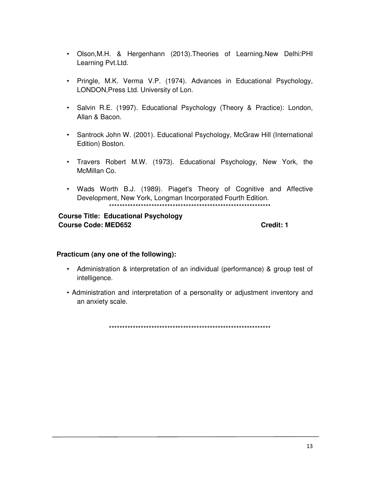- Olson, M.H. & Hergenhann (2013). Theories of Learning. New Delhi: PHI Learning Pvt.Ltd.
- · Pringle, M.K. Verma V.P. (1974). Advances in Educational Psychology, LONDON, Press Ltd. University of Lon.
- Salvin R.E. (1997). Educational Psychology (Theory & Practice): London, Allan & Bacon.
- Santrock John W. (2001). Educational Psychology, McGraw Hill (International Edition) Boston.
- Travers Robert M.W. (1973). Educational Psychology, New York, the McMillan Co.
- Wads Worth B.J. (1989). Piaget's Theory of Cognitive and Affective Development, New York, Longman Incorporated Fourth Edition.

# **Course Title: Educational Psychology Course Code: MED652**

Credit: 1

# Practicum (any one of the following):

- Administration & interpretation of an individual (performance) & group test of intelligence.
- Administration and interpretation of a personality or adjustment inventory and an anxiety scale.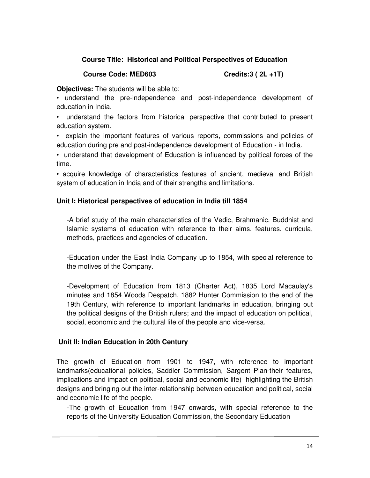# **Course Title: Historical and Political Perspectives of Education**

#### **Course Code: MED603 Credits:3 ( 2L +1T)**

**Objectives:** The students will be able to:

• understand the pre-independence and post-independence development of education in India.

• understand the factors from historical perspective that contributed to present education system.

• explain the important features of various reports, commissions and policies of education during pre and post-independence development of Education - in India.

• understand that development of Education is influenced by political forces of the time.

• acquire knowledge of characteristics features of ancient, medieval and British system of education in India and of their strengths and limitations.

# **Unit I: Historical perspectives of education in India till 1854**

-A brief study of the main characteristics of the Vedic, Brahmanic, Buddhist and Islamic systems of education with reference to their aims, features, curricula, methods, practices and agencies of education.

-Education under the East India Company up to 1854, with special reference to the motives of the Company.

-Development of Education from 1813 (Charter Act), 1835 Lord Macaulay's minutes and 1854 Woods Despatch, 1882 Hunter Commission to the end of the 19th Century, with reference to important landmarks in education, bringing out the political designs of the British rulers; and the impact of education on political, social, economic and the cultural life of the people and vice-versa.

# **Unit II: Indian Education in 20th Century**

The growth of Education from 1901 to 1947, with reference to important landmarks(educational policies, Saddler Commission, Sargent Plan-their features, implications and impact on political, social and economic life) highlighting the British designs and bringing out the inter-relationship between education and political, social and economic life of the people.

-The growth of Education from 1947 onwards, with special reference to the reports of the University Education Commission, the Secondary Education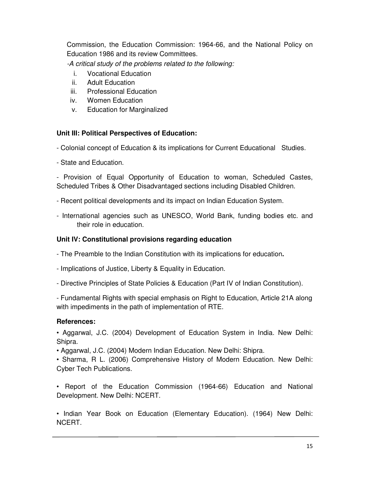Commission, the Education Commission: 1964-66, and the National Policy on Education 1986 and its review Committees.

*-A critical study of the problems related to the following:* 

- i. Vocational Education
- ii. Adult Education
- iii. Professional Education
- iv. Women Education
- v. Education for Marginalized

# **Unit III: Political Perspectives of Education:**

- Colonial concept of Education & its implications for Current Educational Studies.

- State and Education.

- Provision of Equal Opportunity of Education to woman, Scheduled Castes, Scheduled Tribes & Other Disadvantaged sections including Disabled Children.

- Recent political developments and its impact on Indian Education System.

- International agencies such as UNESCO, World Bank, funding bodies etc. and their role in education.

# **Unit IV: Constitutional provisions regarding education**

- The Preamble to the Indian Constitution with its implications for education**.** 

- Implications of Justice, Liberty & Equality in Education.
- Directive Principles of State Policies & Education (Part IV of Indian Constitution).

- Fundamental Rights with special emphasis on Right to Education, Article 21A along with impediments in the path of implementation of RTE.

# **References:**

• Aggarwal, J.C. (2004) Development of Education System in India. New Delhi: Shipra.

• Aggarwal, J.C. (2004) Modern Indian Education. New Delhi: Shipra.

• Sharma, R L. (2006) Comprehensive History of Modern Education. New Delhi: Cyber Tech Publications.

• Report of the Education Commission (1964-66) Education and National Development. New Delhi: NCERT.

• Indian Year Book on Education (Elementary Education). (1964) New Delhi: NCERT.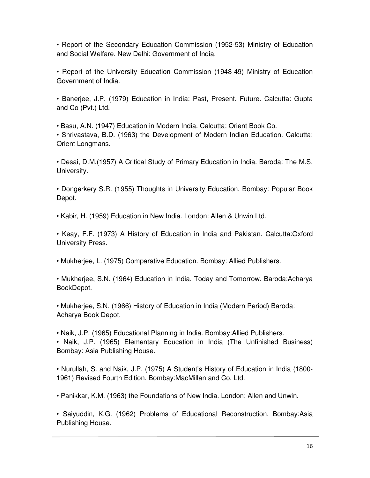• Report of the Secondary Education Commission (1952-53) Ministry of Education and Social Welfare. New Delhi: Government of India.

• Report of the University Education Commission (1948-49) Ministry of Education Government of India.

• Banerjee, J.P. (1979) Education in India: Past, Present, Future. Calcutta: Gupta and Co (Pvt.) Ltd.

• Basu, A.N. (1947) Education in Modern India. Calcutta: Orient Book Co.

• Shrivastava, B.D. (1963) the Development of Modern Indian Education. Calcutta: Orient Longmans.

• Desai, D.M.(1957) A Critical Study of Primary Education in India. Baroda: The M.S. University.

• Dongerkery S.R. (1955) Thoughts in University Education. Bombay: Popular Book Depot.

• Kabir, H. (1959) Education in New India. London: Allen & Unwin Ltd.

• Keay, F.F. (1973) A History of Education in India and Pakistan. Calcutta:Oxford University Press.

• Mukherjee, L. (1975) Comparative Education. Bombay: Allied Publishers.

• Mukherjee, S.N. (1964) Education in India, Today and Tomorrow. Baroda:Acharya BookDepot.

• Mukherjee, S.N. (1966) History of Education in India (Modern Period) Baroda: Acharya Book Depot.

• Naik, J.P. (1965) Educational Planning in India. Bombay:Allied Publishers.

• Naik, J.P. (1965) Elementary Education in India (The Unfinished Business) Bombay: Asia Publishing House.

• Nurullah, S. and Naik, J.P. (1975) A Student's History of Education in India (1800- 1961) Revised Fourth Edition. Bombay:MacMillan and Co. Ltd.

• Panikkar, K.M. (1963) the Foundations of New India. London: Allen and Unwin.

• Saiyuddin, K.G. (1962) Problems of Educational Reconstruction. Bombay:Asia Publishing House.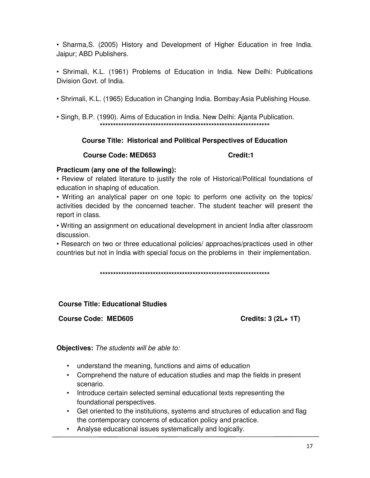• Sharma, S. (2005) History and Development of Higher Education in free India. Jaipur; ABD Publishers.

• Shrimali, K.L. (1961) Problems of Education in India. New Delhi: Publications Division Govt. of India.

• Shrimali, K.L. (1965) Education in Changing India. Bombay:Asia Publishing House.

• Singh, B.P. (1990). Aims of Education in India. New Delhi: Aianta Publication. 

# **Course Title: Historical and Political Perspectives of Education**

**Course Code: MED653** 

Credit:1

# Practicum (any one of the following):

• Review of related literature to justify the role of Historical/Political foundations of education in shaping of education.

• Writing an analytical paper on one topic to perform one activity on the topics/ activities decided by the concerned teacher. The student teacher will present the report in class.

• Writing an assignment on educational development in ancient India after classroom discussion.

• Research on two or three educational policies/ approaches/practices used in other countries but not in India with special focus on the problems in their implementation.

# **Course Title: Educational Studies**

**Course Code: MED605** 

Credits: 3 (2L+ 1T)

Objectives: The students will be able to:

- understand the meaning, functions and aims of education
- Comprehend the nature of education studies and map the fields in present scenario.
- Introduce certain selected seminal educational texts representing the foundational perspectives.
- Get oriented to the institutions, systems and structures of education and flag the contemporary concerns of education policy and practice.
- Analyse educational issues systematically and logically.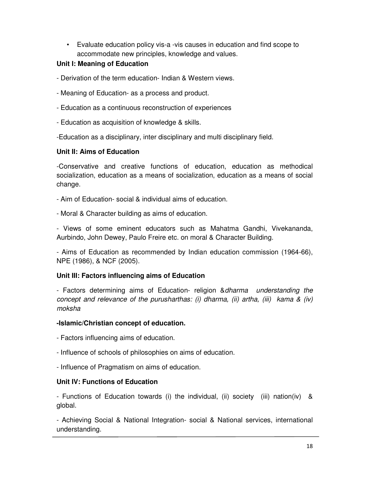• Evaluate education policy vis-a -vis causes in education and find scope to accommodate new principles, knowledge and values.

# **Unit I: Meaning of Education**

- Derivation of the term education- Indian & Western views.

- Meaning of Education- as a process and product.
- Education as a continuous reconstruction of experiences
- Education as acquisition of knowledge & skills.

-Education as a disciplinary, inter disciplinary and multi disciplinary field.

# **Unit II: Aims of Education**

-Conservative and creative functions of education, education as methodical socialization, education as a means of socialization, education as a means of social change.

- Aim of Education- social & individual aims of education.

- Moral & Character building as aims of education.

- Views of some eminent educators such as Mahatma Gandhi, Vivekananda, Aurbindo, John Dewey, Paulo Freire etc. on moral & Character Building.

- Aims of Education as recommended by Indian education commission (1964-66), NPE (1986), & NCF (2005).

# **Unit III: Factors influencing aims of Education**

- Factors determining aims of Education- religion &*dharma understanding the concept and relevance of the purusharthas: (i) dharma, (ii) artha, (iii) kama & (iv) moksha* 

# **-Islamic/Christian concept of education.**

- Factors influencing aims of education.

- Influence of schools of philosophies on aims of education.
- Influence of Pragmatism on aims of education.

# **Unit IV: Functions of Education**

- Functions of Education towards (i) the individual, (ii) society (iii) nation(iv) & global.

- Achieving Social & National Integration- social & National services, international understanding.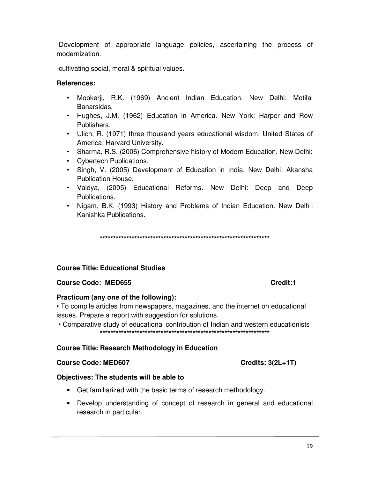-Development of appropriate language policies, ascertaining the process of modernization.

-cultivating social, moral & spiritual values.

# References:

- Mookerii, R.K. (1969) Ancient Indian Education. New Delhi: Motilal Banarsidas.
- Hughes, J.M. (1962) Education in America. New York: Harper and Row Publishers.
- Ulich, R. (1971) three thousand years educational wisdom. United States of America: Harvard University.
- Sharma, R.S. (2006) Comprehensive history of Modern Education. New Delhi:
- Cybertech Publications.
- · Singh, V. (2005) Development of Education in India. New Delhi: Akansha Publication House.
- Vaidya, (2005) Educational Reforms. New Delhi: Deep and Deep Publications.
- Nigam, B.K. (1993) History and Problems of Indian Education. New Delhi: Kanishka Publications.

# **Course Title: Educational Studies**

# **Course Code: MED655**

# Practicum (any one of the following):

• To compile articles from newspapers, magazines, and the internet on educational issues. Prepare a report with suggestion for solutions.

• Comparative study of educational contribution of Indian and western educationists 

# **Course Title: Research Methodology in Education**

#### **Course Code: MED607**

#### Objectives: The students will be able to

- Get familiarized with the basic terms of research methodology.
- Develop understanding of concept of research in general and educational research in particular.

#### Credit:1

Credits:  $3(2L+1T)$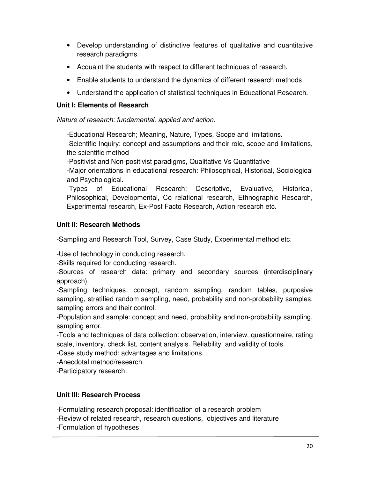- Develop understanding of distinctive features of qualitative and quantitative research paradigms.
- Acquaint the students with respect to different techniques of research.
- Enable students to understand the dynamics of different research methods
- Understand the application of statistical techniques in Educational Research.

# **Unit I: Elements of Research**

*Nature of research: fundamental, applied and action.* 

-Educational Research; Meaning, Nature, Types, Scope and limitations.

-Scientific Inquiry: concept and assumptions and their role, scope and limitations, the scientific method

-Positivist and Non-positivist paradigms, Qualitative Vs Quantitative

-Major orientations in educational research: Philosophical, Historical, Sociological and Psychological.

-Types of Educational Research: Descriptive, Evaluative, Historical, Philosophical, Developmental, Co relational research, Ethnographic Research, Experimental research, Ex-Post Facto Research, Action research etc.

# **Unit II: Research Methods**

-Sampling and Research Tool, Survey, Case Study, Experimental method etc.

-Use of technology in conducting research.

-Skills required for conducting research.

-Sources of research data: primary and secondary sources (interdisciplinary approach).

-Sampling techniques: concept, random sampling, random tables, purposive sampling, stratified random sampling, need, probability and non-probability samples, sampling errors and their control.

-Population and sample: concept and need, probability and non-probability sampling, sampling error.

-Tools and techniques of data collection: observation, interview, questionnaire, rating scale, inventory, check list, content analysis. Reliability and validity of tools.

-Case study method: advantages and limitations.

-Anecdotal method/research.

-Participatory research.

# **Unit III: Research Process**

-Formulating research proposal: identification of a research problem

-Review of related research, research questions, objectives and literature

-Formulation of hypotheses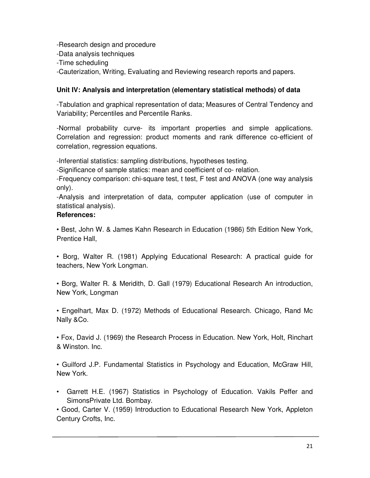-Research design and procedure -Data analysis techniques -Time scheduling -Cauterization, Writing, Evaluating and Reviewing research reports and papers.

# **Unit IV: Analysis and interpretation (elementary statistical methods) of data**

-Tabulation and graphical representation of data; Measures of Central Tendency and Variability; Percentiles and Percentile Ranks.

-Normal probability curve- its important properties and simple applications. Correlation and regression: product moments and rank difference co-efficient of correlation, regression equations.

-Inferential statistics: sampling distributions, hypotheses testing.

-Significance of sample statics: mean and coefficient of co- relation.

-Frequency comparison: chi-square test, t test, F test and ANOVA (one way analysis only).

-Analysis and interpretation of data, computer application (use of computer in statistical analysis).

# **References:**

• Best, John W. & James Kahn Research in Education (1986) 5th Edition New York, Prentice Hall,

• Borg, Walter R. (1981) Applying Educational Research: A practical guide for teachers, New York Longman.

• Borg, Walter R. & Meridith, D. Gall (1979) Educational Research An introduction, New York, Longman

• Engelhart, Max D. (1972) Methods of Educational Research. Chicago, Rand Mc Nally &Co.

• Fox, David J. (1969) the Research Process in Education. New York, Holt, Rinchart & Winston. Inc.

• Guilford J.P. Fundamental Statistics in Psychology and Education, McGraw Hill, New York.

• Garrett H.E. (1967) Statistics in Psychology of Education. Vakils Peffer and SimonsPrivate Ltd. Bombay.

• Good, Carter V. (1959) Introduction to Educational Research New York, Appleton Century Crofts, Inc.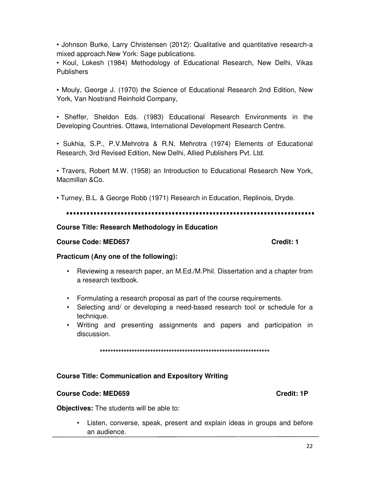• Johnson Burke, Larry Christensen (2012): Qualitative and quantitative research-a mixed approach. New York: Sage publications.

• Koul, Lokesh (1984) Methodology of Educational Research, New Delhi, Vikas **Publishers** 

• Mouly, George J. (1970) the Science of Educational Research 2nd Edition, New York, Van Nostrand Reinhold Company,

• Sheffer, Sheldon Eds. (1983) Educational Research Environments in the Developing Countries. Ottawa, International Development Research Centre.

• Sukhia, S.P., P.V.Mehrotra & R.N. Mehrotra (1974) Elements of Educational Research, 3rd Revised Edition, New Delhi, Allied Publishers Pvt. Ltd.

• Travers, Robert M.W. (1958) an Introduction to Educational Research New York, Macmillan &Co.

• Turney, B.L. & George Robb (1971) Research in Education, Replinois, Dryde.

# **Course Title: Research Methodology in Education**

# **Course Code: MED657**

#### Credit: 1

# Practicum (Any one of the following):

- Reviewing a research paper, an M.Ed./M.Phil. Dissertation and a chapter from a research textbook.
- Formulating a research proposal as part of the course requirements.
- Selecting and/ or developing a need-based research tool or schedule for a technique.
- Writing and presenting assignments and papers and participation in discussion.

# **Course Title: Communication and Expository Writing**

# **Course Code: MED659**

Credit: 1P

Objectives: The students will be able to:

• Listen, converse, speak, present and explain ideas in groups and before an audience.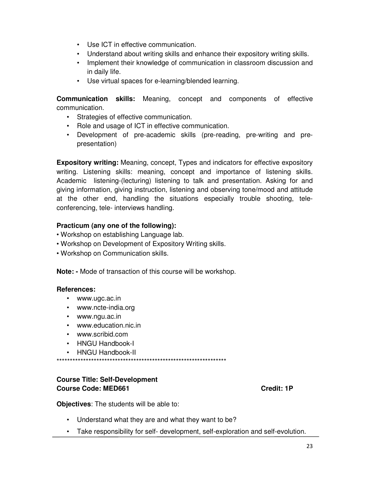- Use ICT in effective communication.
- Understand about writing skills and enhance their expository writing skills.
- Implement their knowledge of communication in classroom discussion and in daily life.
- Use virtual spaces for e-learning/blended learning.

**Communication skills:** Meaning, concept and components of effective communication.

- Strategies of effective communication.
- Role and usage of ICT in effective communication.
- Development of pre-academic skills (pre-reading, pre-writing and prepresentation)

**Expository writing:** Meaning, concept, Types and indicators for effective expository writing. Listening skills: meaning, concept and importance of listening skills. Academic listening-(lecturing) listening to talk and presentation. Asking for and giving information, giving instruction, listening and observing tone/mood and attitude at the other end, handling the situations especially trouble shooting, teleconferencing, tele- interviews handling.

# **Practicum (any one of the following):**

- Workshop on establishing Language lab.
- Workshop on Development of Expository Writing skills.
- Workshop on Communication skills.

**Note: -** Mode of transaction of this course will be workshop.

# **References:**

- www.ugc.ac.in
- www.ncte-india.org
- www.ngu.ac.in
- www.education.nic.in
- www.scribid.com
- HNGU Handbook-I
- HNGU Handbook-II

\*\*\*\*\*\*\*\*\*\*\*\*\*\*\*\*\*\*\*\*\*\*\*\*\*\*\*\*\*\*\*\*\*\*\*\*\*\*\*\*\*\*\*\*\*\*\*\*\*\*\*\*\*\*\*\*\*\*\*\*\*\*\*\*

# **Course Title: Self-Development Course Code: MED661 Credit: 1P Credit: 1P**

**Objectives**: The students will be able to:

- Understand what they are and what they want to be?
- Take responsibility for self- development, self-exploration and self-evolution.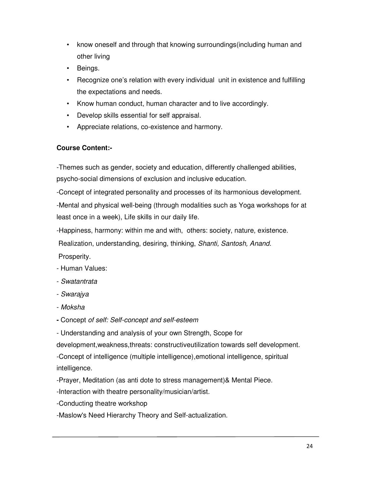- know oneself and through that knowing surroundings(including human and other living
- Beings.
- Recognize one's relation with every individual unit in existence and fulfilling the expectations and needs.
- Know human conduct, human character and to live accordingly.
- Develop skills essential for self appraisal.
- Appreciate relations, co-existence and harmony.

# **Course Content:-**

-Themes such as gender, society and education, differently challenged abilities, psycho-social dimensions of exclusion and inclusive education.

-Concept of integrated personality and processes of its harmonious development.

-Mental and physical well-being (through modalities such as Yoga workshops for at least once in a week), Life skills in our daily life.

-Happiness, harmony: within me and with, others: society, nature, existence.

Realization, understanding, desiring, thinking, *Shanti, Santosh, Anand.* 

Prosperity.

- Human Values:

- *Swatantrata*
- *Swarajya*
- *Moksha*
- Concept *of self: Self-concept and self-esteem*

- Understanding and analysis of your own Strength, Scope for

development,weakness,threats: constructiveutilization towards self development.

-Concept of intelligence (multiple intelligence),emotional intelligence, spiritual intelligence.

-Prayer, Meditation (as anti dote to stress management)& Mental Piece.

-Interaction with theatre personality/musician/artist.

-Conducting theatre workshop

-Maslow's Need Hierarchy Theory and Self-actualization.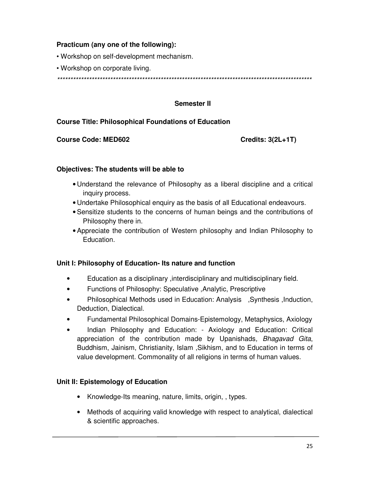# **Practicum (any one of the following):**

• Workshop on self-development mechanism.

• Workshop on corporate living.

*\*\*\*\*\*\*\*\*\*\*\*\*\*\*\*\*\*\*\*\*\*\*\*\*\*\*\*\*\*\*\*\*\*\*\*\*\*\*\*\*\*\*\*\*\*\*\*\*\*\*\*\*\*\*\*\*\*\*\*\*\*\*\*\*\*\*\*\*\*\*\*\*\*\*\*\*\*\*\*\*\*\*\*\*\*\*\*\*\*\*\*\*\*\*\*\**

#### **Semester II**

#### **Course Title: Philosophical Foundations of Education**

#### **Course Code: MED602 Credits: 3(2L+1T)**

#### **Objectives: The students will be able to**

- Understand the relevance of Philosophy as a liberal discipline and a critical inquiry process.
- Undertake Philosophical enquiry as the basis of all Educational endeavours.
- Sensitize students to the concerns of human beings and the contributions of Philosophy there in.
- Appreciate the contribution of Western philosophy and Indian Philosophy to Education.

#### **Unit I: Philosophy of Education- Its nature and function**

- Education as a disciplinary ,interdisciplinary and multidisciplinary field.
- Functions of Philosophy: Speculative ,Analytic, Prescriptive
- Philosophical Methods used in Education: Analysis ,Synthesis ,Induction, Deduction, Dialectical.
- Fundamental Philosophical Domains-Epistemology, Metaphysics, Axiology
- Indian Philosophy and Education: Axiology and Education: Critical appreciation of the contribution made by Upanishads*, Bhagavad Gita*, Buddhism, Jainism, Christianity, Islam ,Sikhism, and to Education in terms of value development. Commonality of all religions in terms of human values.

#### **Unit II: Epistemology of Education**

- Knowledge-Its meaning, nature, limits, origin, , types.
- Methods of acquiring valid knowledge with respect to analytical, dialectical & scientific approaches.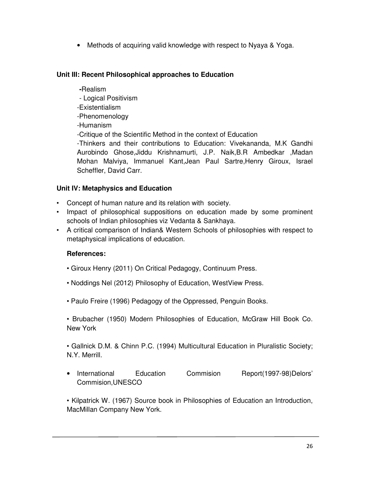• Methods of acquiring valid knowledge with respect to Nyaya & Yoga.

# **Unit III: Recent Philosophical approaches to Education**

#### **-**Realism

- Logical Positivism
- -Existentialism
- -Phenomenology
- -Humanism

-Critique of the Scientific Method in the context of Education

-Thinkers and their contributions to Education: Vivekananda, M.K Gandhi Aurobindo Ghose,Jiddu Krishnamurti, J.P. Naik,B.R Ambedkar ,Madan Mohan Malviya, Immanuel Kant,Jean Paul Sartre,Henry Giroux, Israel Scheffler, David Carr.

# **Unit IV: Metaphysics and Education**

- Concept of human nature and its relation with society.
- Impact of philosophical suppositions on education made by some prominent schools of Indian philosophies viz Vedanta & Sankhaya.
- A critical comparison of Indian& Western Schools of philosophies with respect to metaphysical implications of education.

# **References:**

- Giroux Henry (2011) On Critical Pedagogy, Continuum Press.
- Noddings Nel (2012) Philosophy of Education, WestView Press.
- Paulo Freire (1996) Pedagogy of the Oppressed, Penguin Books.

• Brubacher (1950) Modern Philosophies of Education, McGraw Hill Book Co. New York

• Gallnick D.M. & Chinn P.C. (1994) Multicultural Education in Pluralistic Society; N.Y. Merrill.

• International Education Commision Report(1997-98)Delors' Commision,UNESCO

• Kilpatrick W. (1967) Source book in Philosophies of Education an Introduction, MacMillan Company New York.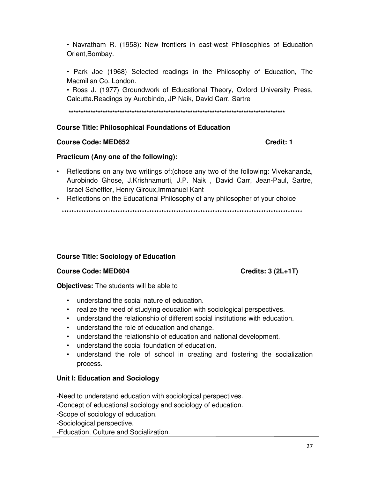• Navratham R. (1958): New frontiers in east-west Philosophies of Education Orient, Bombay.

• Park Joe (1968) Selected readings in the Philosophy of Education, The Macmillan Co. London.

• Ross J. (1977) Groundwork of Educational Theory, Oxford University Press, Calcutta. Readings by Aurobindo, JP Naik, David Carr, Sartre

# **Course Title: Philosophical Foundations of Education**

### **Course Code: MED652**

# Practicum (Any one of the following):

- Reflections on any two writings of: (chose any two of the following: Vivekananda, Aurobindo Ghose, J.Krishnamurti, J.P. Naik, David Carr, Jean-Paul, Sartre, Israel Scheffler, Henry Giroux, Immanuel Kant
- Reflections on the Educational Philosophy of any philosopher of your choice

# **Course Title: Sociology of Education**

# **Course Code: MED604**

**Objectives:** The students will be able to

- understand the social nature of education.
- realize the need of studying education with sociological perspectives.
- understand the relationship of different social institutions with education.
- understand the role of education and change.
- understand the relationship of education and national development.
- understand the social foundation of education.
- $\bullet$ understand the role of school in creating and fostering the socialization process.

# Unit I: Education and Sociology

-Need to understand education with sociological perspectives.

-Concept of educational sociology and sociology of education.

-Scope of sociology of education.

-Sociological perspective.

-Education, Culture and Socialization.

Credits:  $3(2L+1T)$ 

Credit: 1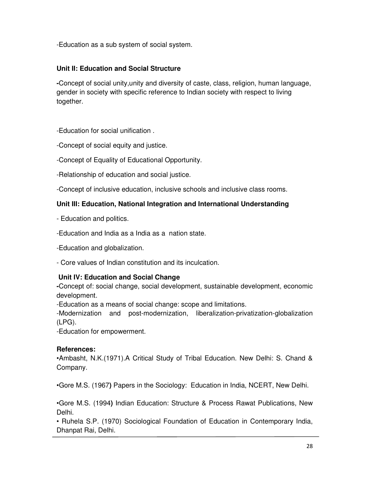-Education as a sub system of social system.

# **Unit II: Education and Social Structure**

**-**Concept of social unity,unity and diversity of caste, class, religion, human language, gender in society with specific reference to Indian society with respect to living together.

-Education for social unification .

-Concept of social equity and justice.

-Concept of Equality of Educational Opportunity.

-Relationship of education and social justice.

-Concept of inclusive education, inclusive schools and inclusive class rooms.

# **Unit III: Education, National Integration and International Understanding**

- Education and politics.

-Education and India as a India as a nation state.

-Education and globalization.

- Core values of Indian constitution and its inculcation.

# **Unit IV: Education and Social Change**

**-**Concept of: social change, social development, sustainable development, economic development.

-Education as a means of social change: scope and limitations.

-Modernization and post-modernization, liberalization-privatization-globalization (LPG).

-Education for empowerment.

# **References:**

•Ambasht, N.K.(1971).A Critical Study of Tribal Education. New Delhi: S. Chand & Company.

•Gore M.S. (1967**)** Papers in the Sociology: Education in India, NCERT, New Delhi.

•Gore M.S. (1994**)** Indian Education: Structure & Process Rawat Publications, New Delhi.

• Ruhela S.P. (1970) Sociological Foundation of Education in Contemporary India, Dhanpat Rai, Delhi.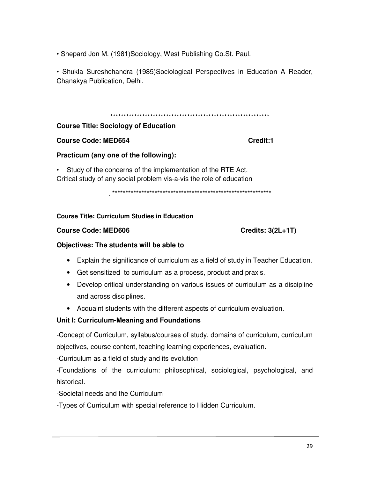• Shepard Jon M. (1981)Sociology, West Publishing Co.St. Paul.

• Shukla Sureshchandra (1985)Sociological Perspectives in Education A Reader, Chanakya Publication, Delhi.

#### \*\*\*\*\*\*\*\*\*\*\*\*\*\*\*\*\*\*\*\*\*\*\*\*\*\*\*\*\*\*\*\*\*\*\*\*\*\*\*\*\*\*\*\*\*\*\*\*\*\*\*\*\*\*\*\*\*\*\*\*

### **Course Title: Sociology of Education**

### **Course Code: MED654 Credit:1**

# **Practicum (any one of the following):**

• Study of the concerns of the implementation of the RTE Act. Critical study of any social problem vis-a-vis the role of education

. \*\*\*\*\*\*\*\*\*\*\*\*\*\*\*\*\*\*\*\*\*\*\*\*\*\*\*\*\*\*\*\*\*\*\*\*\*\*\*\*\*\*\*\*\*\*\*\*\*\*\*\*\*\*\*\*\*\*\*\*

#### **Course Title: Curriculum Studies in Education**

### **Course Code: MED606 Credits: 3(2L+1T)**

#### **Objectives: The students will be able to**

- Explain the significance of curriculum as a field of study in Teacher Education.
- Get sensitized to curriculum as a process, product and praxis.
- Develop critical understanding on various issues of curriculum as a discipline and across disciplines.
- Acquaint students with the different aspects of curriculum evaluation.

# **Unit I: Curriculum-Meaning and Foundations**

-Concept of Curriculum, syllabus/courses of study, domains of curriculum, curriculum objectives, course content, teaching learning experiences, evaluation.

-Curriculum as a field of study and its evolution

-Foundations of the curriculum: philosophical, sociological, psychological, and historical.

-Societal needs and the Curriculum

-Types of Curriculum with special reference to Hidden Curriculum.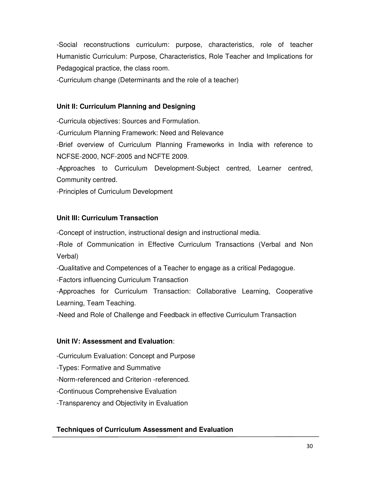-Social reconstructions curriculum: purpose, characteristics, role of teacher Humanistic Curriculum: Purpose, Characteristics, Role Teacher and Implications for Pedagogical practice, the class room.

-Curriculum change (Determinants and the role of a teacher)

# **Unit II: Curriculum Planning and Designing**

-Curricula objectives: Sources and Formulation.

-Curriculum Planning Framework: Need and Relevance

-Brief overview of Curriculum Planning Frameworks in India with reference to NCFSE-2000, NCF-2005 and NCFTE 2009.

-Approaches to Curriculum Development-Subject centred, Learner centred, Community centred.

-Principles of Curriculum Development

# **Unit III: Curriculum Transaction**

-Concept of instruction, instructional design and instructional media.

-Role of Communication in Effective Curriculum Transactions (Verbal and Non Verbal)

-Qualitative and Competences of a Teacher to engage as a critical Pedagogue.

-Factors influencing Curriculum Transaction

-Approaches for Curriculum Transaction: Collaborative Learning, Cooperative Learning, Team Teaching.

-Need and Role of Challenge and Feedback in effective Curriculum Transaction

# **Unit IV: Assessment and Evaluation**:

-Curriculum Evaluation: Concept and Purpose

-Types: Formative and Summative

-Norm-referenced and Criterion -referenced.

-Continuous Comprehensive Evaluation

-Transparency and Objectivity in Evaluation

# **Techniques of Curriculum Assessment and Evaluation**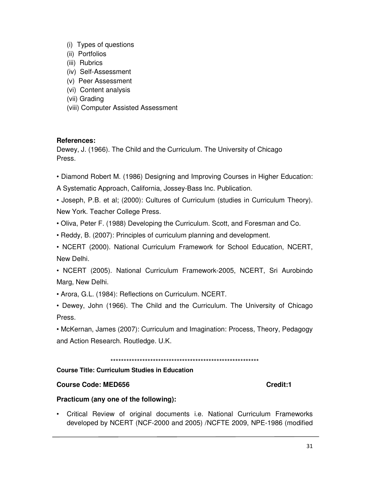- (i) Types of questions
- (ii) Portfolios
- (iii) Rubrics
- (iv) Self-Assessment
- (v) Peer Assessment
- (vi) Content analysis
- (vii) Grading
- (viii) Computer Assisted Assessment

#### **References:**

Dewey, J. (1966). The Child and the Curriculum. The University of Chicago Press.

- Diamond Robert M. (1986) Designing and Improving Courses in Higher Education:
- A Systematic Approach, California, Jossey-Bass Inc. Publication.
- Joseph, P.B. et al; (2000): Cultures of Curriculum (studies in Curriculum Theory). New York. Teacher College Press.
- Oliva, Peter F. (1988) Developing the Curriculum. Scott, and Foresman and Co.
- Reddy, B. (2007): Principles of curriculum planning and development.
- NCERT (2000). National Curriculum Framework for School Education, NCERT, New Delhi.

• NCERT (2005). National Curriculum Framework-2005, NCERT, Sri Aurobindo Marg, New Delhi.

• Arora, G.L. (1984): Reflections on Curriculum. NCERT.

• Dewey, John (1966). The Child and the Curriculum. The University of Chicago Press.

• McKernan, James (2007): Curriculum and Imagination: Process, Theory, Pedagogy and Action Research. Routledge. U.K.

\*\*\*\*\*\*\*\*\*\*\*\*\*\*\*\*\*\*\*\*\*\*\*\*\*\*\*\*\*\*\*\*\*\*\*\*\*\*\*\*\*\*\*\*\*\*\*\*\*\*\*\*\*\*\*\*

# **Course Title: Curriculum Studies in Education**

# **Course Code: MED656 Course Credit:1**

# **Practicum (any one of the following):**

• Critical Review of original documents i.e. National Curriculum Frameworks developed by NCERT (NCF-2000 and 2005) /NCFTE 2009, NPE-1986 (modified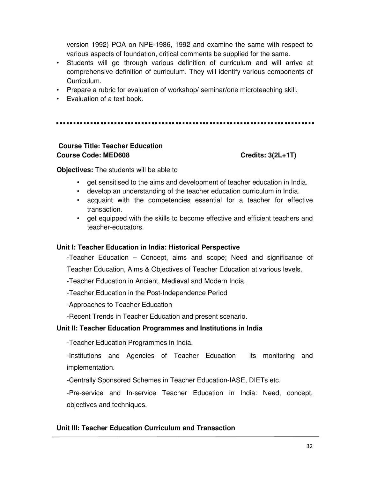version 1992) POA on NPE-1986, 1992 and examine the same with respect to various aspects of foundation, critical comments be supplied for the same.

- Students will go through various definition of curriculum and will arrive at comprehensive definition of curriculum. They will identify various components of Curriculum.
- Prepare a rubric for evaluation of workshop/ seminar/one microteaching skill.
- Evaluation of a text book.

# **Course Title: Teacher Education** Course Code: MED608 Course Code: MED608

**Objectives:** The students will be able to

- get sensitised to the aims and development of teacher education in India.
- develop an understanding of the teacher education curriculum in India.
- acquaint with the competencies essential for a teacher for effective transaction.
- get equipped with the skills to become effective and efficient teachers and teacher-educators.

# **Unit I: Teacher Education in India: Historical Perspective**

-Teacher Education – Concept, aims and scope; Need and significance of Teacher Education, Aims & Objectives of Teacher Education at various levels.

-Teacher Education in Ancient, Medieval and Modern India.

-Teacher Education in the Post-Independence Period

-Approaches to Teacher Education

-Recent Trends in Teacher Education and present scenario.

# **Unit II: Teacher Education Programmes and Institutions in India**

-Teacher Education Programmes in India.

-Institutions and Agencies of Teacher Education its monitoring and implementation.

-Centrally Sponsored Schemes in Teacher Education-IASE, DIETs etc.

-Pre-service and In-service Teacher Education in India: Need, concept, objectives and techniques.

# **Unit III: Teacher Education Curriculum and Transaction**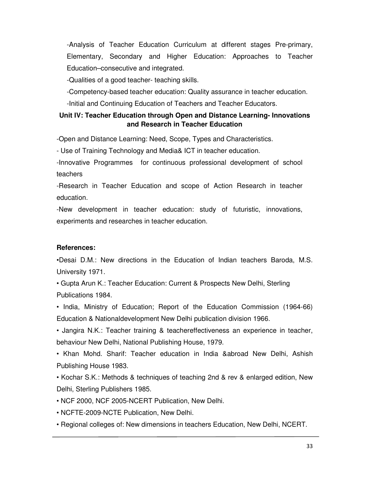-Analysis of Teacher Education Curriculum at different stages Pre-primary, Elementary, Secondary and Higher Education: Approaches to Teacher Education–consecutive and integrated.

-Qualities of a good teacher- teaching skills.

-Competency-based teacher education: Quality assurance in teacher education.

-Initial and Continuing Education of Teachers and Teacher Educators.

# **Unit IV: Teacher Education through Open and Distance Learning- Innovations and Research in Teacher Education**

-Open and Distance Learning: Need, Scope, Types and Characteristics.

- Use of Training Technology and Media& ICT in teacher education.

-Innovative Programmes for continuous professional development of school teachers

-Research in Teacher Education and scope of Action Research in teacher education.

-New development in teacher education: study of futuristic, innovations, experiments and researches in teacher education.

# **References:**

•Desai D.M.: New directions in the Education of Indian teachers Baroda, M.S. University 1971.

• Gupta Arun K.: Teacher Education: Current & Prospects New Delhi, Sterling Publications 1984.

• India, Ministry of Education; Report of the Education Commission (1964-66) Education & Nationaldevelopment New Delhi publication division 1966.

• Jangira N.K.: Teacher training & teachereffectiveness an experience in teacher, behaviour New Delhi, National Publishing House, 1979.

• Khan Mohd. Sharif: Teacher education in India &abroad New Delhi, Ashish Publishing House 1983.

• Kochar S.K.: Methods & techniques of teaching 2nd & rev & enlarged edition, New Delhi, Sterling Publishers 1985.

- NCF 2000, NCF 2005-NCERT Publication, New Delhi.
- NCFTE-2009-NCTE Publication, New Delhi.
- Regional colleges of: New dimensions in teachers Education, New Delhi, NCERT.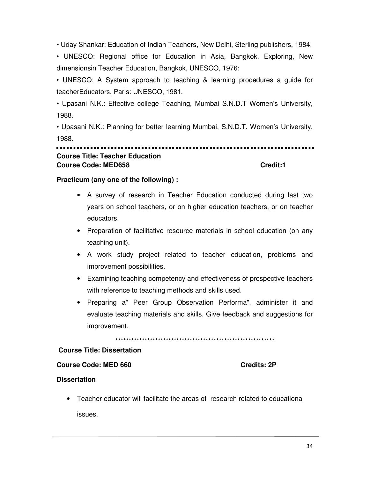• Uday Shankar: Education of Indian Teachers, New Delhi, Sterling publishers, 1984.

• UNESCO: Regional office for Education in Asia, Bangkok, Exploring, New dimensionsin Teacher Education, Bangkok, UNESCO, 1976:

• UNESCO: A System approach to teaching & learning procedures a quide for teacherEducators, Paris: UNESCO, 1981.

• Upasani N.K.: Effective college Teaching, Mumbai S.N.D.T Women's University, 1988.

. Upasani N.K.: Planning for better learning Mumbai, S.N.D.T. Women's University, 1988

#### ................................ **Course Title: Teacher Education Course Code: MED658** Credit:1

#### Practicum (any one of the following) :

- A survey of research in Teacher Education conducted during last two years on school teachers, or on higher education teachers, or on teacher educators.
- Preparation of facilitative resource materials in school education (on any teaching unit).
- A work study project related to teacher education, problems and improvement possibilities.
- Examining teaching competency and effectiveness of prospective teachers with reference to teaching methods and skills used.
- Preparing a" Peer Group Observation Performa", administer it and evaluate teaching materials and skills. Give feedback and suggestions for improvement.

#### **Course Title: Dissertation**

#### **Course Code: MED 660**

**Credits: 2P** 

# **Dissertation**

• Teacher educator will facilitate the areas of research related to educational issues.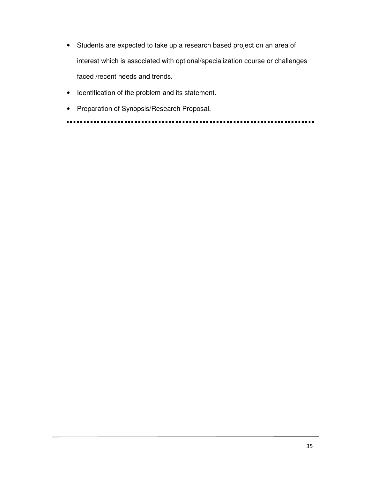- Students are expected to take up a research based project on an area of interest which is associated with optional/specialization course or challenges faced /recent needs and trends.
- Identification of the problem and its statement.
- Preparation of Synopsis/Research Proposal.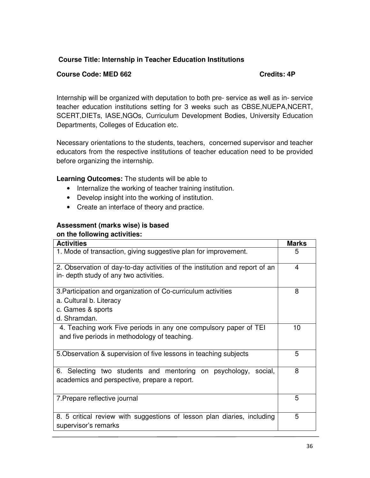# **Course Title: Internship in Teacher Education Institutions**

### **Course Code: MED 662 Credits: 4P**

Internship will be organized with deputation to both pre- service as well as in- service teacher education institutions setting for 3 weeks such as CBSE,NUEPA,NCERT, SCERT,DIETs, IASE,NGOs, Curriculum Development Bodies, University Education Departments, Colleges of Education etc.

Necessary orientations to the students, teachers, concerned supervisor and teacher educators from the respective institutions of teacher education need to be provided before organizing the internship.

**Learning Outcomes:** The students will be able to

- Internalize the working of teacher training institution.
- Develop insight into the working of institution.
- Create an interface of theory and practice.

# **Assessment (marks wise) is based**

### **on the following activities:**

| <b>Activities</b>                                                                                                             |   |  |  |  |
|-------------------------------------------------------------------------------------------------------------------------------|---|--|--|--|
| 1. Mode of transaction, giving suggestive plan for improvement.                                                               |   |  |  |  |
| 2. Observation of day-to-day activities of the institution and report of an<br>in- depth study of any two activities.         |   |  |  |  |
| 3. Participation and organization of Co-curriculum activities<br>a. Cultural b. Literacy<br>c. Games & sports<br>d. Shramdan. |   |  |  |  |
| 4. Teaching work Five periods in any one compulsory paper of TEI<br>and five periods in methodology of teaching.              |   |  |  |  |
| 5. Observation & supervision of five lessons in teaching subjects                                                             |   |  |  |  |
| 6. Selecting two students and mentoring on psychology, social,<br>academics and perspective, prepare a report.                | 8 |  |  |  |
| 7. Prepare reflective journal                                                                                                 |   |  |  |  |
| 8. 5 critical review with suggestions of lesson plan diaries, including<br>supervisor's remarks                               | 5 |  |  |  |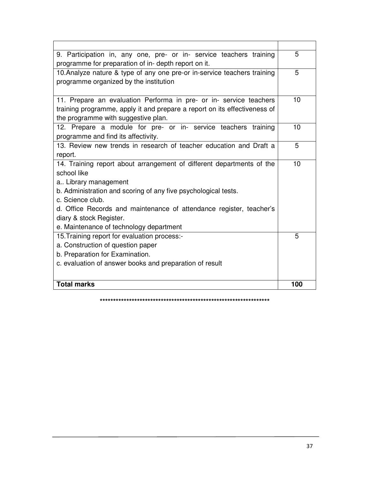| 9. Participation in, any one, pre- or in- service teachers training<br>programme for preparation of in- depth report on it. | 5   |
|-----------------------------------------------------------------------------------------------------------------------------|-----|
| 10. Analyze nature & type of any one pre-or in-service teachers training                                                    | 5   |
| programme organized by the institution                                                                                      |     |
| 11. Prepare an evaluation Performa in pre- or in- service teachers                                                          | 10  |
| training programme, apply it and prepare a report on its effectiveness of                                                   |     |
| the programme with suggestive plan.                                                                                         |     |
| 12. Prepare a module for pre- or in- service teachers training                                                              | 10  |
| programme and find its affectivity.                                                                                         |     |
| 13. Review new trends in research of teacher education and Draft a                                                          | 5   |
| report.                                                                                                                     |     |
| 14. Training report about arrangement of different departments of the                                                       | 10  |
| school like                                                                                                                 |     |
| a Library management                                                                                                        |     |
| b. Administration and scoring of any five psychological tests.                                                              |     |
| c. Science club.                                                                                                            |     |
| d. Office Records and maintenance of attendance register, teacher's                                                         |     |
| diary & stock Register.                                                                                                     |     |
| e. Maintenance of technology department                                                                                     |     |
| 15. Training report for evaluation process:-                                                                                | 5   |
| a. Construction of question paper                                                                                           |     |
| b. Preparation for Examination.                                                                                             |     |
| c. evaluation of answer books and preparation of result                                                                     |     |
|                                                                                                                             |     |
| <b>Total marks</b>                                                                                                          | 100 |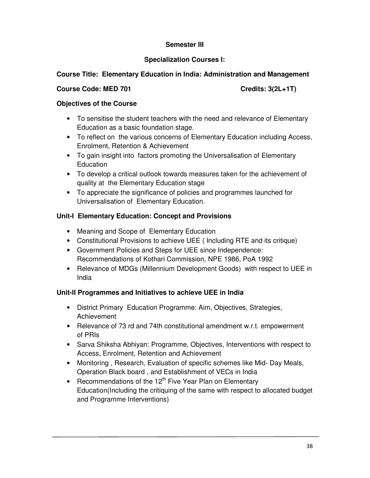# **Semester III**

# **Specialization Courses I:**

# **Course Title: Elementary Education in India: Administration and Management**

#### **Course Code: MED 701** Course Code: MED 701

# **Objectives of the Course**

- To sensitise the student teachers with the need and relevance of Elementary Education as a basic foundation stage.
- To reflect on the various concerns of Elementary Education including Access, Enrolment, Retention & Achievement
- To gain insight into factors promoting the Universalisation of Elementary **Education**
- To develop a critical outlook towards measures taken for the achievement of quality at the Elementary Education stage
- To appreciate the significance of policies and programmes launched for Universalisation of Elementary Education.

# **Unit-I Elementary Education: Concept and Provisions**

- Meaning and Scope of Elementary Education
- Constitutional Provisions to achieve UEE ( Including RTE and its critique)
- Government Policies and Steps for UEE since Independence: Recommendations of Kothari Commission, NPE 1986, PoA 1992
- Relevance of MDGs (Millennium Development Goods) with respect to UEE in India

# **Unit-II Programmes and Initiatives to achieve UEE in India**

- District Primary Education Programme: Aim, Objectives, Strategies, Achievement
- Relevance of 73 rd and 74th constitutional amendment w.r.t. empowerment of PRIs
- Sarva Shiksha Abhiyan: Programme, Objectives, Interventions with respect to Access, Enrolment, Retention and Achievement
- Monitoring , Research, Evaluation of specific schemes like Mid- Day Meals, Operation Black board , and Establishment of VECs in India
- Recommendations of the  $12<sup>th</sup>$  Five Year Plan on Elementary Education(Including the critiquing of the same with respect to allocated budget and Programme Interventions)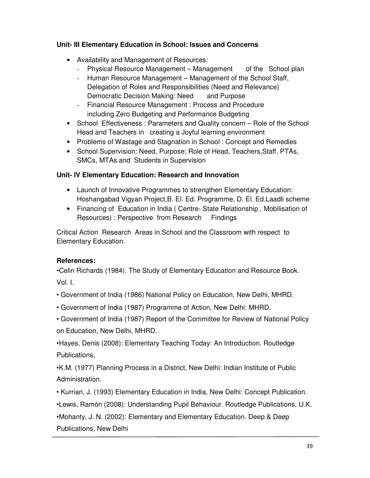# **Unit- III Elementary Education in School: Issues and Concerns**

- Availability and Management of Resources:
	- Physical Resource Management Management of the School plan
	- Human Resource Management Management of the School Staff, Delegation of Roles and Responsibilities (Need and Relevance) Democratic Decision Making: Need and Purpose
	- Financial Resource Management : Process and Procedure including Zero Budgeting and Performance Budgeting
- School Effectiveness : Parameters and Quality concern Role of the School Head and Teachers in creating a Joyful learning environment
- Problems of Wastage and Stagnation in School: Concept and Remedies
- School Supervision: Need, Purpose; Role of Head, Teachers,Staff, PTAs, SMCs, MTAs and Students in Supervision

# **Unit- IV Elementary Education: Research and Innovation**

- Launch of Innovative Programmes to strengthen Elementary Education: Hoshangabad Vigyan Project,B. El. Ed. Programme, D. El. Ed.Laadli scheme
- Financing of Education in India ( Centre- State Relationship , Mobilisation of Resources) : Perspective from Research Findings

Critical Action Research Areas in School and the Classroom with respect to Elementary Education.

# **References:**

•Celin Richards (1984). The Study of Elementary Education and Resource Book. Vol. I.

- Government of India (1986) National Policy on Education, New Delhi, MHRD.
- Government of India (1987) Programme of Action, New Delhi: MHRD.
- Government of India (1987) Report of the Committee for Review of National Policy on Education, New Delhi, MHRD.

•Hayes, Denis (2008): Elementary Teaching Today: An Introduction. Routledge Publications,

•K.M. (1977) Planning Process in a District, New Delhi: Indian Institute of Public Administration.

• Kurrian, J. (1993) Elementary Education in India, New Delhi: Concept Publication.

•Lewis, Ramón (2008): Understanding Pupil Behaviour. Routledge Publications, U.K.

•Mohanty, J. N. (2002): Elementary and Elementary Education. Deep & Deep

Publications, New Delhi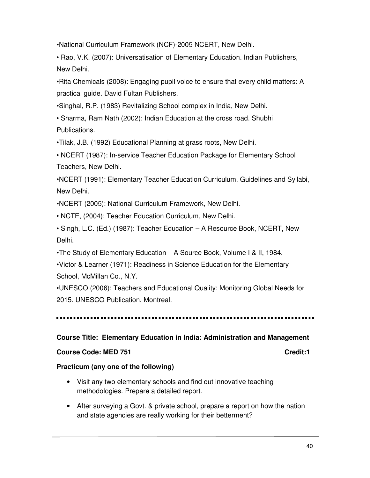•National Curriculum Framework (NCF)-2005 NCERT, New Delhi.

• Rao, V.K. (2007): Universatisation of Elementary Education. Indian Publishers, New Delhi.

•Rita Chemicals (2008): Engaging pupil voice to ensure that every child matters: A practical guide. David Fultan Publishers.

•Singhal, R.P. (1983) Revitalizing School complex in India, New Delhi.

• Sharma, Ram Nath (2002): Indian Education at the cross road. Shubhi Publications.

•Tilak, J.B. (1992) Educational Planning at grass roots, New Delhi.

• NCERT (1987): In-service Teacher Education Package for Elementary School Teachers, New Delhi.

•NCERT (1991): Elementary Teacher Education Curriculum, Guidelines and Syllabi, New Delhi.

•NCERT (2005): National Curriculum Framework, New Delhi.

• NCTE, (2004): Teacher Education Curriculum, New Delhi.

• Singh, L.C. (Ed.) (1987): Teacher Education – A Resource Book, NCERT, New Delhi.

•The Study of Elementary Education – A Source Book, Volume I & II, 1984.

•Victor & Learner (1971): Readiness in Science Education for the Elementary School, McMillan Co., N.Y.

•UNESCO (2006): Teachers and Educational Quality: Monitoring Global Needs for 2015. UNESCO Publication. Montreal.

#### **Course Title: Elementary Education in India: Administration and Management**

#### **Course Code: MED 751 Credit:1 Course Code: MED 751**

#### **Practicum (any one of the following)**

- Visit any two elementary schools and find out innovative teaching methodologies. Prepare a detailed report.
- After surveying a Govt. & private school, prepare a report on how the nation and state agencies are really working for their betterment?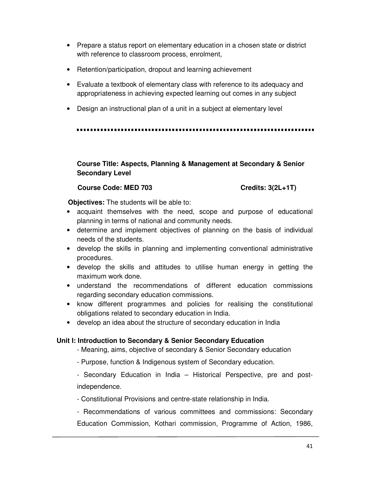- Prepare a status report on elementary education in a chosen state or district with reference to classroom process, enrolment,
- Retention/participation, dropout and learning achievement
- Evaluate a textbook of elementary class with reference to its adequacy and appropriateness in achieving expected learning out comes in any subject
- Design an instructional plan of a unit in a subject at elementary level

# **Course Title: Aspects, Planning & Management at Secondary & Senior Secondary Level**

### **Course Code: MED 703** Credits: 3(2L+1T)

 **Objectives:** The students will be able to:

- acquaint themselves with the need, scope and purpose of educational planning in terms of national and community needs.
- determine and implement objectives of planning on the basis of individual needs of the students.
- develop the skills in planning and implementing conventional administrative procedures.
- develop the skills and attitudes to utilise human energy in getting the maximum work done.
- understand the recommendations of different education commissions regarding secondary education commissions.
- know different programmes and policies for realising the constitutional obligations related to secondary education in India.
- develop an idea about the structure of secondary education in India

### **Unit I: Introduction to Secondary & Senior Secondary Education**

- Meaning, aims, objective of secondary & Senior Secondary education
- Purpose, function & Indigenous system of Secondary education.
- Secondary Education in India Historical Perspective, pre and postindependence.
- Constitutional Provisions and centre-state relationship in India.

- Recommendations of various committees and commissions: Secondary Education Commission, Kothari commission, Programme of Action, 1986,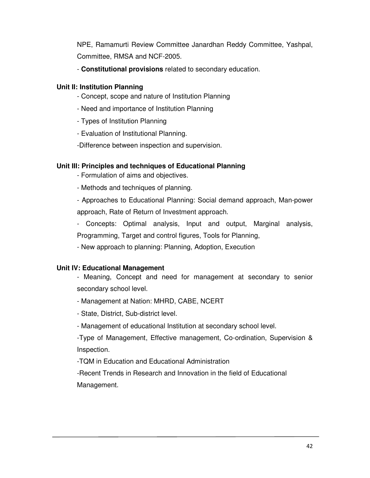NPE, Ramamurti Review Committee Janardhan Reddy Committee, Yashpal, Committee, RMSA and NCF-2005.

- **Constitutional provisions** related to secondary education.

# **Unit II: Institution Planning**

- Concept, scope and nature of Institution Planning
- Need and importance of Institution Planning
- Types of Institution Planning
- Evaluation of Institutional Planning.

-Difference between inspection and supervision.

# **Unit III: Principles and techniques of Educational Planning**

- Formulation of aims and objectives.
- Methods and techniques of planning.

- Approaches to Educational Planning: Social demand approach, Man-power approach, Rate of Return of Investment approach.

- Concepts: Optimal analysis, Input and output, Marginal analysis, Programming, Target and control figures, Tools for Planning,

- New approach to planning: Planning, Adoption, Execution

# **Unit IV: Educational Management**

- Meaning, Concept and need for management at secondary to senior secondary school level.

- Management at Nation: MHRD, CABE, NCERT
- State, District, Sub-district level.
- Management of educational Institution at secondary school level.

-Type of Management, Effective management, Co-ordination, Supervision & Inspection.

-TQM in Education and Educational Administration

-Recent Trends in Research and Innovation in the field of Educational Management.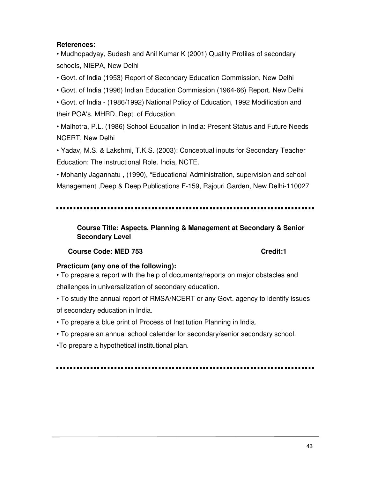# **References:**

• Mudhopadyay, Sudesh and Anil Kumar K (2001) Quality Profiles of secondary schools, NIEPA, New Delhi

• Govt. of India (1953) Report of Secondary Education Commission, New Delhi

• Govt. of India (1996) Indian Education Commission (1964-66) Report. New Delhi

• Govt. of India - (1986/1992) National Policy of Education, 1992 Modification and their POA's, MHRD, Dept. of Education

• Malhotra, P.L. (1986) School Education in India: Present Status and Future Needs NCERT, New Delhi

• Yadav, M.S. & Lakshmi, T.K.S. (2003): Conceptual inputs for Secondary Teacher Education: The instructional Role. India, NCTE.

• Mohanty Jagannatu , (1990), "Educational Administration, supervision and school Management ,Deep & Deep Publications F-159, Rajouri Garden, New Delhi-110027

**Course Title: Aspects, Planning & Management at Secondary & Senior Secondary Level** 

### **Course Code: MED 753 Course Code: MED 753**

### **Practicum (any one of the following):**

• To prepare a report with the help of documents/reports on major obstacles and challenges in universalization of secondary education.

• To study the annual report of RMSA/NCERT or any Govt. agency to identify issues of secondary education in India.

• To prepare a blue print of Process of Institution Planning in India.

• To prepare an annual school calendar for secondary/senior secondary school.

•To prepare a hypothetical institutional plan.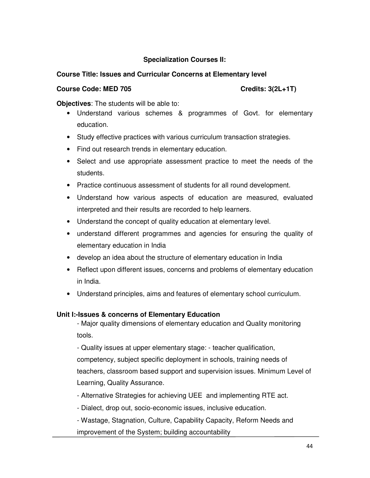# **Specialization Courses II:**

# **Course Title: Issues and Curricular Concerns at Elementary level**

#### Course Code: MED 705 Credits: 3(2L+1T)

**Objectives**: The students will be able to:

- Understand various schemes & programmes of Govt. for elementary education.
- Study effective practices with various curriculum transaction strategies.
- Find out research trends in elementary education.
- Select and use appropriate assessment practice to meet the needs of the students.
- Practice continuous assessment of students for all round development.
- Understand how various aspects of education are measured, evaluated interpreted and their results are recorded to help learners.
- Understand the concept of quality education at elementary level.
- understand different programmes and agencies for ensuring the quality of elementary education in India
- develop an idea about the structure of elementary education in India
- Reflect upon different issues, concerns and problems of elementary education in India.
- Understand principles, aims and features of elementary school curriculum.

# **Unit I:-Issues & concerns of Elementary Education**

- Major quality dimensions of elementary education and Quality monitoring tools.

- Quality issues at upper elementary stage: - teacher qualification,

competency, subject specific deployment in schools, training needs of teachers, classroom based support and supervision issues. Minimum Level of Learning, Quality Assurance.

- Alternative Strategies for achieving UEE and implementing RTE act.
- Dialect, drop out, socio-economic issues, inclusive education.
- Wastage, Stagnation, Culture, Capability Capacity, Reform Needs and improvement of the System; building accountability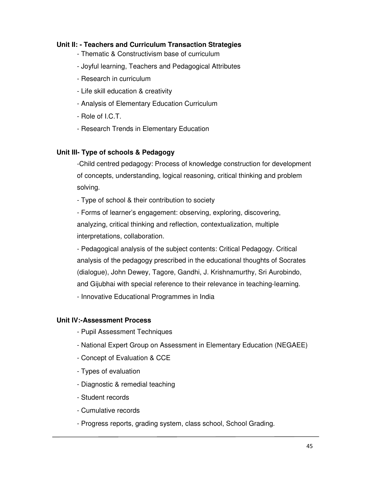# **Unit II: - Teachers and Curriculum Transaction Strategies**

- Thematic & Constructivism base of curriculum
- Joyful learning, Teachers and Pedagogical Attributes
- Research in curriculum
- Life skill education & creativity
- Analysis of Elementary Education Curriculum
- Role of I.C.T.
- Research Trends in Elementary Education

# **Unit III- Type of schools & Pedagogy**

-Child centred pedagogy: Process of knowledge construction for development of concepts, understanding, logical reasoning, critical thinking and problem solving.

- Type of school & their contribution to society

- Forms of learner's engagement: observing, exploring, discovering, analyzing, critical thinking and reflection, contextualization, multiple interpretations, collaboration.

- Pedagogical analysis of the subject contents: Critical Pedagogy. Critical analysis of the pedagogy prescribed in the educational thoughts of Socrates (dialogue), John Dewey, Tagore, Gandhi, J. Krishnamurthy, Sri Aurobindo, and Gijubhai with special reference to their relevance in teaching-learning.

- Innovative Educational Programmes in India

# **Unit IV:-Assessment Process**

- Pupil Assessment Techniques
- National Expert Group on Assessment in Elementary Education (NEGAEE)
- Concept of Evaluation & CCE
- Types of evaluation
- Diagnostic & remedial teaching
- Student records
- Cumulative records
- Progress reports, grading system, class school, School Grading.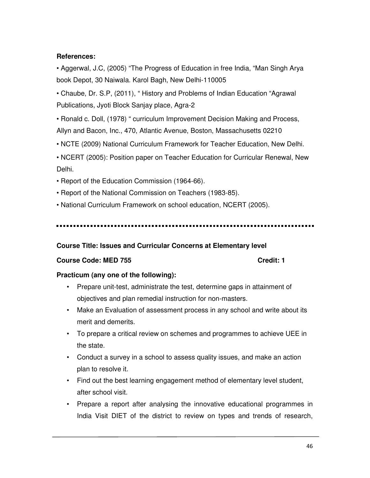# **References:**

• Aggerwal, J.C, (2005) "The Progress of Education in free India, "Man Singh Arya book Depot, 30 Naiwala. Karol Bagh, New Delhi-110005

• Chaube, Dr. S.P, (2011), " History and Problems of Indian Education "Agrawal Publications, Jyoti Block Sanjay place, Agra-2

• Ronald c. Doll, (1978) " curriculum Improvement Decision Making and Process, Allyn and Bacon, Inc., 470, Atlantic Avenue, Boston, Massachusetts 02210

• NCTE (2009) National Curriculum Framework for Teacher Education, New Delhi.

• NCERT (2005): Position paper on Teacher Education for Curricular Renewal, New Delhi.

- Report of the Education Commission (1964-66).
- Report of the National Commission on Teachers (1983-85).
- National Curriculum Framework on school education, NCERT (2005).

### **Course Title: Issues and Curricular Concerns at Elementary level**

### **Course Code: MED 755 Course Code: MED 755**

### **Practicum (any one of the following):**

- Prepare unit-test, administrate the test, determine gaps in attainment of objectives and plan remedial instruction for non-masters.
- Make an Evaluation of assessment process in any school and write about its merit and demerits.
- To prepare a critical review on schemes and programmes to achieve UEE in the state.
- Conduct a survey in a school to assess quality issues, and make an action plan to resolve it.
- Find out the best learning engagement method of elementary level student, after school visit.
- Prepare a report after analysing the innovative educational programmes in India Visit DIET of the district to review on types and trends of research,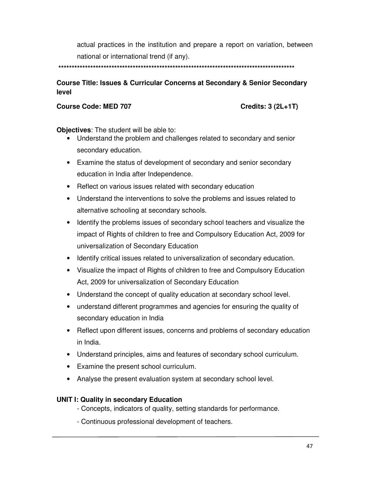actual practices in the institution and prepare a report on variation, between national or international trend (if any).

 **\*\*\*\*\*\*\*\*\*\*\*\*\*\*\*\*\*\*\*\*\*\*\*\*\*\*\*\*\*\*\*\*\*\*\*\*\*\*\*\*\*\*\*\*\*\*\*\*\*\*\*\*\*\*\*\*\*\*\*\*\*\*\*\*\*\*\*\*\*\*\*\*\*\*\*\*\*\*\*\*\*\*\*\*\*\*\*\*\*** 

# **Course Title: Issues & Curricular Concerns at Secondary & Senior Secondary level**

#### **Course Code: MED 707 Credits: 3 (2L+1T)**

**Objectives**: The student will be able to:

- Understand the problem and challenges related to secondary and senior secondary education.
- Examine the status of development of secondary and senior secondary education in India after Independence.
- Reflect on various issues related with secondary education
- Understand the interventions to solve the problems and issues related to alternative schooling at secondary schools.
- Identify the problems issues of secondary school teachers and visualize the impact of Rights of children to free and Compulsory Education Act, 2009 for universalization of Secondary Education
- Identify critical issues related to universalization of secondary education.
- Visualize the impact of Rights of children to free and Compulsory Education Act, 2009 for universalization of Secondary Education
- Understand the concept of quality education at secondary school level.
- understand different programmes and agencies for ensuring the quality of secondary education in India
- Reflect upon different issues, concerns and problems of secondary education in India.
- Understand principles, aims and features of secondary school curriculum.
- Examine the present school curriculum.
- Analyse the present evaluation system at secondary school level.

### **UNIT I: Quality in secondary Education**

- Concepts, indicators of quality, setting standards for performance.
- Continuous professional development of teachers.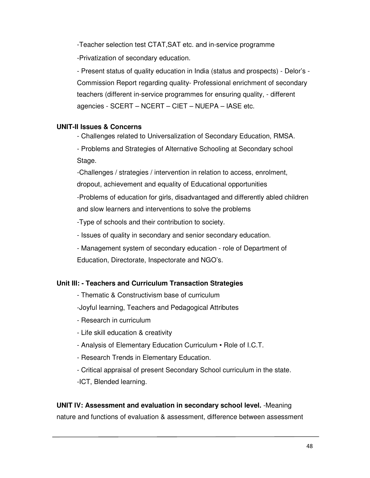-Teacher selection test CTAT,SAT etc. and in-service programme -Privatization of secondary education.

- Present status of quality education in India (status and prospects) - Delor's - Commission Report regarding quality- Professional enrichment of secondary teachers (different in-service programmes for ensuring quality, - different agencies - SCERT – NCERT – CIET – NUEPA – IASE etc.

# **UNIT-II Issues & Concerns**

- Challenges related to Universalization of Secondary Education, RMSA.

- Problems and Strategies of Alternative Schooling at Secondary school Stage.

-Challenges / strategies / intervention in relation to access, enrolment, dropout, achievement and equality of Educational opportunities

-Problems of education for girls, disadvantaged and differently abled children and slow learners and interventions to solve the problems

-Type of schools and their contribution to society.

- Issues of quality in secondary and senior secondary education.

- Management system of secondary education - role of Department of Education, Directorate, Inspectorate and NGO's.

# **Unit III: - Teachers and Curriculum Transaction Strategies**

- Thematic & Constructivism base of curriculum
- -Joyful learning, Teachers and Pedagogical Attributes
- Research in curriculum
- Life skill education & creativity
- Analysis of Elementary Education Curriculum Role of I.C.T.
- Research Trends in Elementary Education.
- Critical appraisal of present Secondary School curriculum in the state. -ICT, Blended learning.

# **UNIT IV: Assessment and evaluation in secondary school level.** -Meaning nature and functions of evaluation & assessment, difference between assessment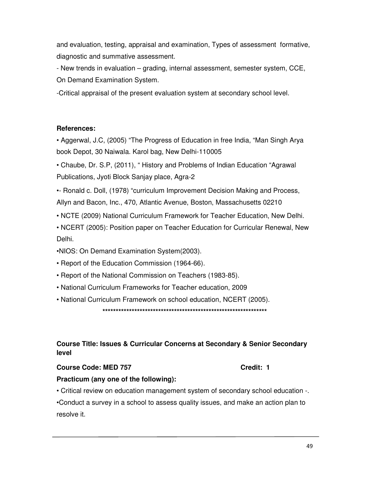and evaluation, testing, appraisal and examination, Types of assessment formative, diagnostic and summative assessment.

- New trends in evaluation – grading, internal assessment, semester system, CCE, On Demand Examination System.

-Critical appraisal of the present evaluation system at secondary school level.

# **References:**

• Aggerwal, J.C, (2005) "The Progress of Education in free India, "Man Singh Arya book Depot, 30 Naiwala. Karol bag, New Delhi-110005

• Chaube, Dr. S.P, (2011), " History and Problems of Indian Education "Agrawal Publications, Jyoti Block Sanjay place, Agra-2

•- Ronald c. Doll, (1978) "curriculum Improvement Decision Making and Process, Allyn and Bacon, Inc., 470, Atlantic Avenue, Boston, Massachusetts 02210

- NCTE (2009) National Curriculum Framework for Teacher Education, New Delhi.
- NCERT (2005): Position paper on Teacher Education for Curricular Renewal, New Delhi.

•NIOS: On Demand Examination System(2003).

- Report of the Education Commission (1964-66).
- Report of the National Commission on Teachers (1983-85).
- National Curriculum Frameworks for Teacher education, 2009

• National Curriculum Framework on school education, NCERT (2005).

**\*\*\*\*\*\*\*\*\*\*\*\*\*\*\*\*\*\*\*\*\*\*\*\*\*\*\*\*\*\*\*\*\*\*\*\*\*\*\*\*\*\*\*\*\*\*\*\*\*\*\*\*\*\*\*\*\*\*\*\*\*\*** 

# **Course Title: Issues & Curricular Concerns at Secondary & Senior Secondary level**

### **Course Code: MED 757 Credit: 1**

# **Practicum (any one of the following):**

• Critical review on education management system of secondary school education -.

•Conduct a survey in a school to assess quality issues, and make an action plan to resolve it.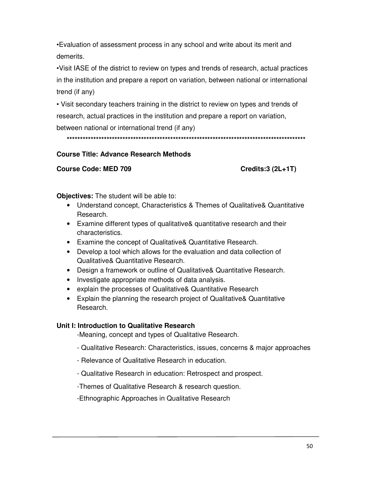•Evaluation of assessment process in any school and write about its merit and demerits.

•Visit IASE of the district to review on types and trends of research, actual practices in the institution and prepare a report on variation, between national or international trend (if any)

• Visit secondary teachers training in the district to review on types and trends of research, actual practices in the institution and prepare a report on variation, between national or international trend (if any)

### **Course Title: Advance Research Methods**

#### **Course Code: MED 709**

Credits: 3 (2L+1T)

Objectives: The student will be able to:

- Understand concept, Characteristics & Themes of Qualitative& Quantitative Research.
- Examine different types of qualitative & quantitative research and their characteristics.
- Examine the concept of Qualitative& Quantitative Research.
- Develop a tool which allows for the evaluation and data collection of Qualitative& Quantitative Research.
- Design a framework or outline of Qualitative & Quantitative Research.
- Investigate appropriate methods of data analysis.
- explain the processes of Qualitative& Quantitative Research
- Explain the planning the research project of Qualitative& Quantitative Research.

### Unit I: Introduction to Qualitative Research

-Meaning, concept and types of Qualitative Research.

- Qualitative Research: Characteristics, issues, concerns & major approaches
- Relevance of Qualitative Research in education.
- Qualitative Research in education: Retrospect and prospect.

-Themes of Qualitative Research & research question.

-Ethnographic Approaches in Qualitative Research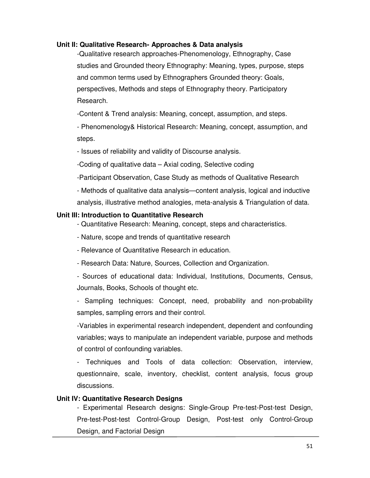#### **Unit II: Qualitative Research- Approaches & Data analysis**

-Qualitative research approaches-Phenomenology, Ethnography, Case studies and Grounded theory Ethnography: Meaning, types, purpose, steps and common terms used by Ethnographers Grounded theory: Goals, perspectives, Methods and steps of Ethnography theory. Participatory Research.

-Content & Trend analysis: Meaning, concept, assumption, and steps.

- Phenomenology& Historical Research: Meaning, concept, assumption, and steps.

- Issues of reliability and validity of Discourse analysis.

-Coding of qualitative data – Axial coding, Selective coding

-Participant Observation, Case Study as methods of Qualitative Research

- Methods of qualitative data analysis—content analysis, logical and inductive analysis, illustrative method analogies, meta-analysis & Triangulation of data.

#### **Unit III: Introduction to Quantitative Research**

- Quantitative Research: Meaning, concept, steps and characteristics.

- Nature, scope and trends of quantitative research

- Relevance of Quantitative Research in education.

- Research Data: Nature, Sources, Collection and Organization.

- Sources of educational data: Individual, Institutions, Documents, Census, Journals, Books, Schools of thought etc.

- Sampling techniques: Concept, need, probability and non-probability samples, sampling errors and their control.

-Variables in experimental research independent, dependent and confounding variables; ways to manipulate an independent variable, purpose and methods of control of confounding variables.

- Techniques and Tools of data collection: Observation, interview, questionnaire, scale, inventory, checklist, content analysis, focus group discussions.

### **Unit IV: Quantitative Research Designs**

- Experimental Research designs: Single-Group Pre-test-Post-test Design, Pre-test-Post-test Control-Group Design, Post-test only Control-Group Design, and Factorial Design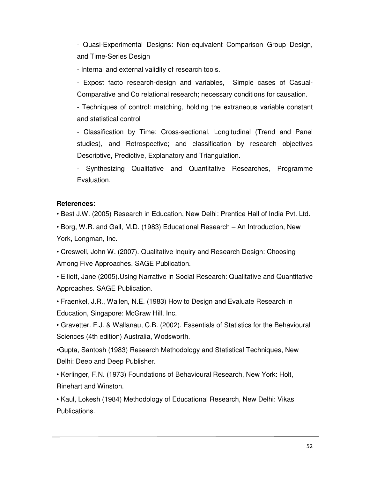- Quasi-Experimental Designs: Non-equivalent Comparison Group Design, and Time-Series Design

- Internal and external validity of research tools.

- Expost facto research-design and variables, Simple cases of Casual-Comparative and Co relational research; necessary conditions for causation.

- Techniques of control: matching, holding the extraneous variable constant and statistical control

- Classification by Time: Cross-sectional, Longitudinal (Trend and Panel studies), and Retrospective; and classification by research objectives Descriptive, Predictive, Explanatory and Triangulation.

- Synthesizing Qualitative and Quantitative Researches, Programme Evaluation.

### **References:**

• Best J.W. (2005) Research in Education, New Delhi: Prentice Hall of India Pvt. Ltd.

• Borg, W.R. and Gall, M.D. (1983) Educational Research – An Introduction, New York, Longman, Inc.

• Creswell, John W. (2007). Qualitative Inquiry and Research Design: Choosing Among Five Approaches. SAGE Publication.

• Elliott, Jane (2005).Using Narrative in Social Research: Qualitative and Quantitative Approaches. SAGE Publication.

• Fraenkel, J.R., Wallen, N.E. (1983) How to Design and Evaluate Research in Education, Singapore: McGraw Hill, Inc.

• Gravetter. F.J. & Wallanau, C.B. (2002). Essentials of Statistics for the Behavioural Sciences (4th edition) Australia, Wodsworth.

•Gupta, Santosh (1983) Research Methodology and Statistical Techniques, New Delhi: Deep and Deep Publisher.

• Kerlinger, F.N. (1973) Foundations of Behavioural Research, New York: Holt, Rinehart and Winston.

• Kaul, Lokesh (1984) Methodology of Educational Research, New Delhi: Vikas Publications.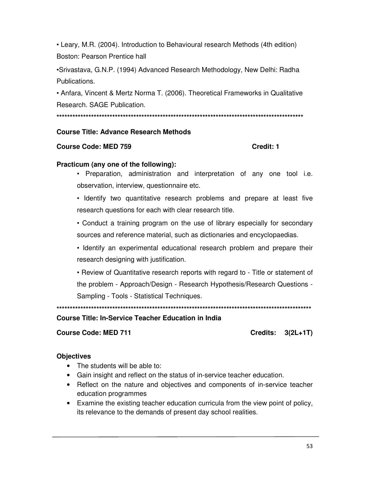• Leary, M.R. (2004). Introduction to Behavioural research Methods (4th edition) Boston: Pearson Prentice hall

•Srivastava, G.N.P. (1994) Advanced Research Methodology, New Delhi: Radha Publications.

• Anfara, Vincent & Mertz Norma T. (2006). Theoretical Frameworks in Qualitative Research, SAGE Publication.

#### **Course Title: Advance Research Methods**

#### **Course Code: MED 759**

#### Credit: 1

#### Practicum (any one of the following):

• Preparation, administration and interpretation of any one tool i.e. observation, interview, questionnaire etc.

• Identify two quantitative research problems and prepare at least five research questions for each with clear research title.

• Conduct a training program on the use of library especially for secondary sources and reference material, such as dictionaries and encyclopaedias.

• Identify an experimental educational research problem and prepare their research designing with justification.

• Review of Quantitative research reports with regard to - Title or statement of the problem - Approach/Design - Research Hypothesis/Research Questions -Sampling - Tools - Statistical Techniques.

### **Course Title: In-Service Teacher Education in India**

**Course Code: MED 711** 

Credits:  $3(2L+1T)$ 

### **Objectives**

- The students will be able to:
- Gain insight and reflect on the status of in-service teacher education.
- Reflect on the nature and objectives and components of in-service teacher education programmes
- Examine the existing teacher education curricula from the view point of policy, its relevance to the demands of present day school realities.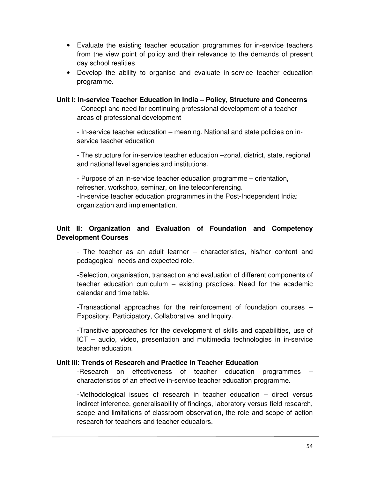- Evaluate the existing teacher education programmes for in-service teachers from the view point of policy and their relevance to the demands of present day school realities
- Develop the ability to organise and evaluate in-service teacher education programme.

#### **Unit I: In-service Teacher Education in India – Policy, Structure and Concerns**

- Concept and need for continuing professional development of a teacher – areas of professional development

- In-service teacher education – meaning. National and state policies on inservice teacher education

- The structure for in-service teacher education –zonal, district, state, regional and national level agencies and institutions.

- Purpose of an in-service teacher education programme – orientation, refresher, workshop, seminar, on line teleconferencing. -In-service teacher education programmes in the Post-Independent India: organization and implementation.

# **Unit II: Organization and Evaluation of Foundation and Competency Development Courses**

- The teacher as an adult learner – characteristics, his/her content and pedagogical needs and expected role.

-Selection, organisation, transaction and evaluation of different components of teacher education curriculum – existing practices. Need for the academic calendar and time table.

-Transactional approaches for the reinforcement of foundation courses – Expository, Participatory, Collaborative, and Inquiry.

-Transitive approaches for the development of skills and capabilities, use of ICT – audio, video, presentation and multimedia technologies in in-service teacher education.

### **Unit III: Trends of Research and Practice in Teacher Education**

-Research on effectiveness of teacher education programmes – characteristics of an effective in-service teacher education programme.

-Methodological issues of research in teacher education – direct versus indirect inference, generalisability of findings, laboratory versus field research, scope and limitations of classroom observation, the role and scope of action research for teachers and teacher educators.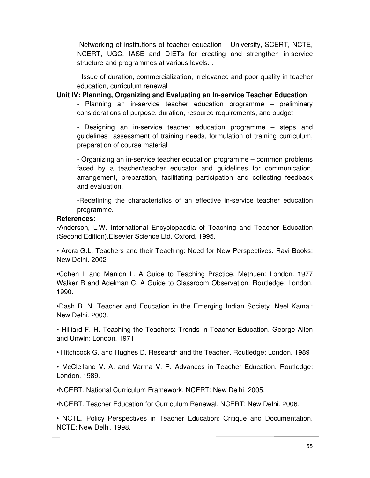-Networking of institutions of teacher education – University, SCERT, NCTE, NCERT, UGC, IASE and DIETs for creating and strengthen in-service structure and programmes at various levels. .

- Issue of duration, commercialization, irrelevance and poor quality in teacher education, curriculum renewal

**Unit IV: Planning, Organizing and Evaluating an In-service Teacher Education** 

- Planning an in-service teacher education programme – preliminary considerations of purpose, duration, resource requirements, and budget

- Designing an in-service teacher education programme – steps and guidelines assessment of training needs, formulation of training curriculum, preparation of course material

- Organizing an in-service teacher education programme – common problems faced by a teacher/teacher educator and guidelines for communication, arrangement, preparation, facilitating participation and collecting feedback and evaluation.

-Redefining the characteristics of an effective in-service teacher education programme.

#### **References:**

•Anderson, L.W. International Encyclopaedia of Teaching and Teacher Education (Second Edition).Elsevier Science Ltd. Oxford. 1995.

• Arora G.L. Teachers and their Teaching: Need for New Perspectives. Ravi Books: New Delhi. 2002

•Cohen L and Manion L. A Guide to Teaching Practice. Methuen: London. 1977 Walker R and Adelman C. A Guide to Classroom Observation. Routledge: London. 1990.

•Dash B. N. Teacher and Education in the Emerging Indian Society. Neel Kamal: New Delhi. 2003.

• Hilliard F. H. Teaching the Teachers: Trends in Teacher Education. George Allen and Unwin: London. 1971

• Hitchcock G. and Hughes D. Research and the Teacher. Routledge: London. 1989

• McClelland V. A. and Varma V. P. Advances in Teacher Education. Routledge: London. 1989.

•NCERT. National Curriculum Framework. NCERT: New Delhi. 2005.

•NCERT. Teacher Education for Curriculum Renewal. NCERT: New Delhi. 2006.

• NCTE. Policy Perspectives in Teacher Education: Critique and Documentation. NCTE: New Delhi. 1998.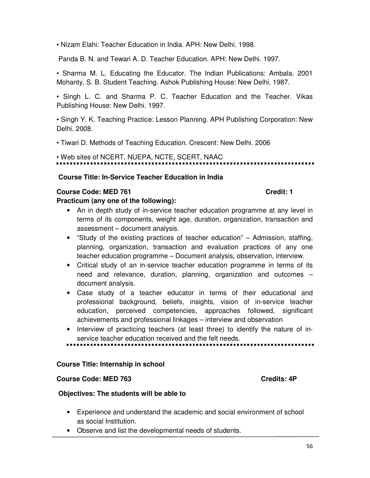• Nizam Elahi: Teacher Education in India. APH: New Delhi. 1998.

Panda B. N. and Tewari A. D. Teacher Education. APH: New Delhi. 1997.

• Sharma M. L. Educating the Educator. The Indian Publications: Ambala. 2001 Mohanty, S. B. Student Teaching. Ashok Publishing House: New Delhi. 1987.

• Singh L. C. and Sharma P. C. Teacher Education and the Teacher. Vikas Publishing House: New Delhi. 1997.

• Singh Y. K. Teaching Practice: Lesson Planning. APH Publishing Corporation: New Delhi. 2008.

• Tiwari D. Methods of Teaching Education. Crescent: New Delhi. 2006

# • Web sites of NCERT, NUEPA, NCTE, SCERT, NAAC

#### **Course Title: In-Service Teacher Education in India**

#### **Course Code: MED 761 Course Code: MED 761 Course Credit: 1**

#### **Practicum (any one of the following):**

- An in depth study of in-service teacher education programme at any level in terms of its components, weight age, duration, organization, transaction and assessment – document analysis.
- "Study of the existing practices of teacher education" Admission, staffing, planning, organization, transaction and evaluation practices of any one teacher education programme – Document analysis, observation, interview.
- Critical study of an in-service teacher education programme in terms of its need and relevance, duration, planning, organization and outcomes – document analysis.
- Case study of a teacher educator in terms of their educational and professional background, beliefs, insights, vision of in-service teacher education, perceived competencies, approaches followed, significant achievements and professional linkages – interview and observation
- Interview of practicing teachers (at least three) to identify the nature of inservice teacher education received and the felt needs.

#### **Course Title: Internship in school**

#### **Course Code: MED 763** Course Code: MED 763

#### **Objectives: The students will be able to**

- Experience and understand the academic and social environment of school as social Institution.
- Observe and list the developmental needs of students.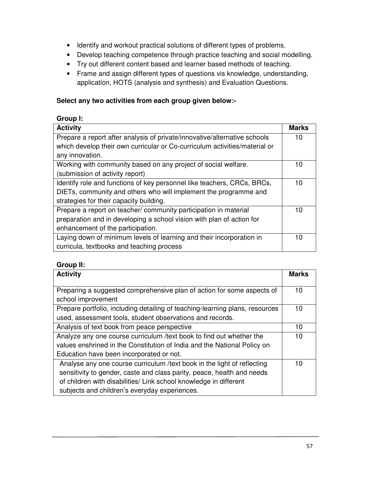- Identify and workout practical solutions of different types of problems.
- Develop teaching competence through practice teaching and social modelling.
- Try out different content based and learner based methods of teaching.
- Frame and assign different types of questions vis knowledge, understanding, application, HOTS (analysis and synthesis) and Evaluation Questions.

# **Select any two activities from each group given below:-**

# **Group I:**

| <b>Activity</b>                                                            | <b>Marks</b> |
|----------------------------------------------------------------------------|--------------|
| Prepare a report after analysis of private/innovative/alternative schools  | 10           |
| which develop their own curricular or Co-curriculum activities/material or |              |
| any innovation.                                                            |              |
| Working with community based on any project of social welfare.             | 10           |
| (submission of activity report)                                            |              |
| Identify role and functions of key personnel like teachers, CRCs, BRCs,    | 10           |
| DIETs, community and others who will implement the programme and           |              |
| strategies for their capacity building.                                    |              |
| Prepare a report on teacher/community participation in material            | 10           |
| preparation and in developing a school vision with plan of action for      |              |
| enhancement of the participation.                                          |              |
| Laying down of minimum levels of learning and their incorporation in       | 10           |
| curricula, textbooks and teaching process                                  |              |

# **Group II:**

| <b>Activity</b>                                                              | <b>Marks</b> |
|------------------------------------------------------------------------------|--------------|
|                                                                              |              |
| Preparing a suggested comprehensive plan of action for some aspects of       | 10           |
| school improvement                                                           |              |
| Prepare portfolio, including detailing of teaching-learning plans, resources | 10           |
| used, assessment tools, student observations and records.                    |              |
| Analysis of text book from peace perspective                                 | 10           |
| Analyze any one course curriculum /text book to find out whether the         | 10           |
| values enshrined in the Constitution of India and the National Policy on     |              |
| Education have been incorporated or not.                                     |              |
| Analyse any one course curriculum /text book in the light of reflecting      | 10           |
| sensitivity to gender, caste and class parity, peace, health and needs       |              |
| of children with disabilities/ Link school knowledge in different            |              |
| subjects and children's everyday experiences.                                |              |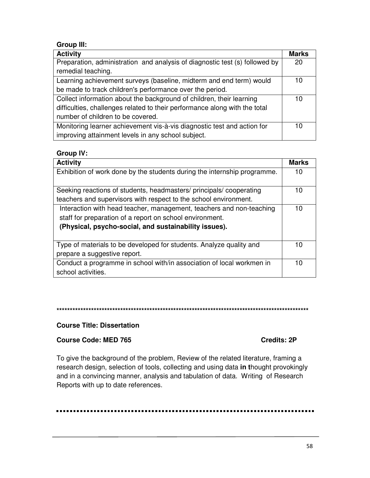# **Group III:**

| <b>Activity</b>                                                             | <b>Marks</b> |
|-----------------------------------------------------------------------------|--------------|
| Preparation, administration and analysis of diagnostic test (s) followed by | 20           |
| remedial teaching.                                                          |              |
| Learning achievement surveys (baseline, midterm and end term) would         | 10           |
| be made to track children's performance over the period.                    |              |
| Collect information about the background of children, their learning        | 10           |
| difficulties, challenges related to their performance along with the total  |              |
| number of children to be covered.                                           |              |
| Monitoring learner achievement vis-à-vis diagnostic test and action for     | 10           |
| improving attainment levels in any school subject.                          |              |

# **Group IV:**

| <b>Activity</b>                                                          | <b>Marks</b> |
|--------------------------------------------------------------------------|--------------|
| Exhibition of work done by the students during the internship programme. | 10           |
|                                                                          |              |
| Seeking reactions of students, headmasters/principals/cooperating        | 10           |
| teachers and supervisors with respect to the school environment.         |              |
| Interaction with head teacher, management, teachers and non-teaching     | 10           |
| staff for preparation of a report on school environment.                 |              |
| (Physical, psycho-social, and sustainability issues).                    |              |
|                                                                          |              |
| Type of materials to be developed for students. Analyze quality and      | 10           |
| prepare a suggestive report.                                             |              |
| Conduct a programme in school with/in association of local workmen in    | 10           |
| school activities.                                                       |              |

### 

### **Course Title: Dissertation**

### **Course Code: MED 765**

### Credits: 2P

To give the background of the problem, Review of the related literature, framing a research design, selection of tools, collecting and using data in thought provokingly and in a convincing manner, analysis and tabulation of data. Writing of Research Reports with up to date references.

### ..........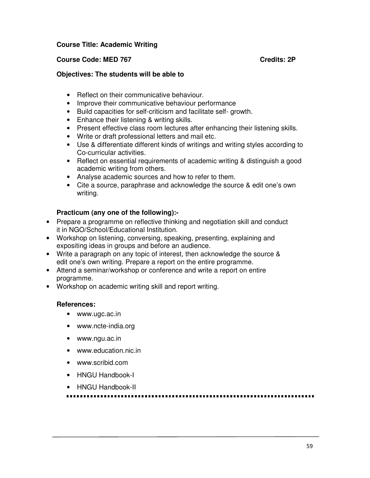#### **Course Title: Academic Writing**

#### **Course Code: MED 767 Course Code: MED 767**

#### **Objectives: The students will be able to**

- Reflect on their communicative behaviour.
- Improve their communicative behaviour performance
- Build capacities for self-criticism and facilitate self- growth.
- Enhance their listening & writing skills.
- Present effective class room lectures after enhancing their listening skills.
- Write or draft professional letters and mail etc.
- Use & differentiate different kinds of writings and writing styles according to Co-curricular activities.
- Reflect on essential requirements of academic writing & distinguish a good academic writing from others.
- Analyse academic sources and how to refer to them.
- Cite a source, paraphrase and acknowledge the source & edit one's own writing.

### **Practicum (any one of the following):-**

- Prepare a programme on reflective thinking and negotiation skill and conduct it in NGO/School/Educational Institution.
- Workshop on listening, conversing, speaking, presenting, explaining and expositing ideas in groups and before an audience.
- Write a paragraph on any topic of interest, then acknowledge the source & edit one's own writing. Prepare a report on the entire programme.
- Attend a seminar/workshop or conference and write a report on entire programme.
- Workshop on academic writing skill and report writing.

#### **References:**

- www.ugc.ac.in
- www.ncte-india.org
- www.ngu.ac.in
- www.education.nic.in
- www.scribid.com
- HNGU Handbook-I
- HNGU Handbook-II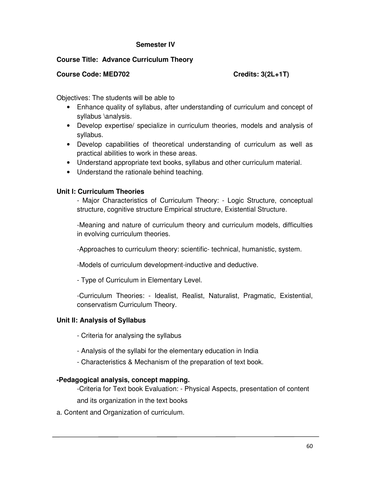#### **Semester IV**

#### **Course Title: Advance Curriculum Theory**

#### **Course Code: MED702 Credits: 3(2L+1T)**

Objectives: The students will be able to

- Enhance quality of syllabus, after understanding of curriculum and concept of syllabus \analysis.
- Develop expertise/ specialize in curriculum theories, models and analysis of syllabus.
- Develop capabilities of theoretical understanding of curriculum as well as practical abilities to work in these areas.
- Understand appropriate text books, syllabus and other curriculum material.
- Understand the rationale behind teaching.

#### **Unit I: Curriculum Theories**

- Major Characteristics of Curriculum Theory: - Logic Structure, conceptual structure, cognitive structure Empirical structure, Existential Structure.

-Meaning and nature of curriculum theory and curriculum models, difficulties in evolving curriculum theories.

-Approaches to curriculum theory: scientific- technical, humanistic, system.

-Models of curriculum development-inductive and deductive.

- Type of Curriculum in Elementary Level.

-Curriculum Theories: - Idealist, Realist, Naturalist, Pragmatic, Existential, conservatism Curriculum Theory.

### **Unit II: Analysis of Syllabus**

- Criteria for analysing the syllabus
- Analysis of the syllabi for the elementary education in India
- Characteristics & Mechanism of the preparation of text book.

#### **-Pedagogical analysis, concept mapping.**

-Criteria for Text book Evaluation: - Physical Aspects, presentation of content and its organization in the text books

a. Content and Organization of curriculum.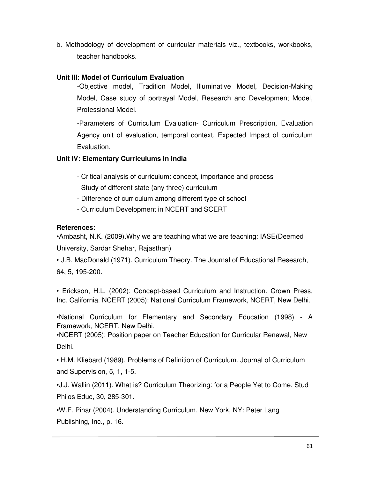b. Methodology of development of curricular materials viz., textbooks, workbooks, teacher handbooks.

# **Unit III: Model of Curriculum Evaluation**

-Objective model, Tradition Model, Illuminative Model, Decision-Making Model, Case study of portrayal Model, Research and Development Model, Professional Model.

-Parameters of Curriculum Evaluation- Curriculum Prescription, Evaluation Agency unit of evaluation, temporal context, Expected Impact of curriculum Evaluation.

# **Unit IV: Elementary Curriculums in India**

- Critical analysis of curriculum: concept, importance and process
- Study of different state (any three) curriculum
- Difference of curriculum among different type of school
- Curriculum Development in NCERT and SCERT

### **References:**

•Ambasht, N.K. (2009).Why we are teaching what we are teaching: IASE(Deemed University, Sardar Shehar, Rajasthan)

• J.B. MacDonald (1971). Curriculum Theory. The Journal of Educational Research, 64, 5, 195-200.

• Erickson, H.L. (2002): Concept-based Curriculum and Instruction. Crown Press, Inc. California. NCERT (2005): National Curriculum Framework, NCERT, New Delhi.

•National Curriculum for Elementary and Secondary Education (1998) - A Framework, NCERT, New Delhi.

•NCERT (2005): Position paper on Teacher Education for Curricular Renewal, New Delhi.

• H.M. Kliebard (1989). Problems of Definition of Curriculum. Journal of Curriculum and Supervision, 5, 1, 1-5.

•J.J. Wallin (2011). What is? Curriculum Theorizing: for a People Yet to Come. Stud Philos Educ, 30, 285-301.

•W.F. Pinar (2004). Understanding Curriculum. New York, NY: Peter Lang Publishing, Inc., p. 16.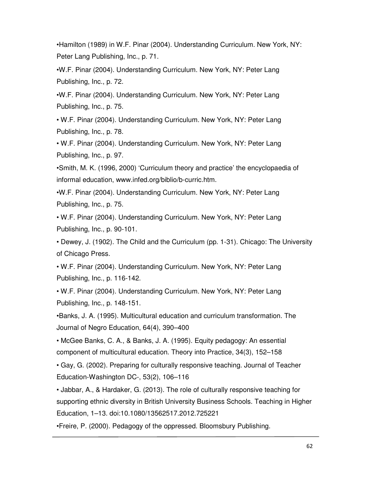•Hamilton (1989) in W.F. Pinar (2004). Understanding Curriculum. New York, NY: Peter Lang Publishing, Inc., p. 71.

•W.F. Pinar (2004). Understanding Curriculum. New York, NY: Peter Lang Publishing, Inc., p. 72.

•W.F. Pinar (2004). Understanding Curriculum. New York, NY: Peter Lang Publishing, Inc., p. 75.

• W.F. Pinar (2004). Understanding Curriculum. New York, NY: Peter Lang Publishing, Inc., p. 78.

• W.F. Pinar (2004). Understanding Curriculum. New York, NY: Peter Lang Publishing, Inc., p. 97.

•Smith, M. K. (1996, 2000) 'Curriculum theory and practice' the encyclopaedia of informal education, www.infed.org/biblio/b-curric.htm.

•W.F. Pinar (2004). Understanding Curriculum. New York, NY: Peter Lang Publishing, Inc., p. 75.

• W.F. Pinar (2004). Understanding Curriculum. New York, NY: Peter Lang Publishing, Inc., p. 90-101.

• Dewey, J. (1902). The Child and the Curriculum (pp. 1-31). Chicago: The University of Chicago Press.

• W.F. Pinar (2004). Understanding Curriculum. New York, NY: Peter Lang Publishing, Inc., p. 116-142.

• W.F. Pinar (2004). Understanding Curriculum. New York, NY: Peter Lang Publishing, Inc., p. 148-151.

•Banks, J. A. (1995). Multicultural education and curriculum transformation. The Journal of Negro Education, 64(4), 390–400

• McGee Banks, C. A., & Banks, J. A. (1995). Equity pedagogy: An essential component of multicultural education. Theory into Practice, 34(3), 152–158

• Gay, G. (2002). Preparing for culturally responsive teaching. Journal of Teacher Education-Washington DC-, 53(2), 106–116

• Jabbar, A., & Hardaker, G. (2013). The role of culturally responsive teaching for supporting ethnic diversity in British University Business Schools. Teaching in Higher Education, 1–13. doi:10.1080/13562517.2012.725221

•Freire, P. (2000). Pedagogy of the oppressed. Bloomsbury Publishing.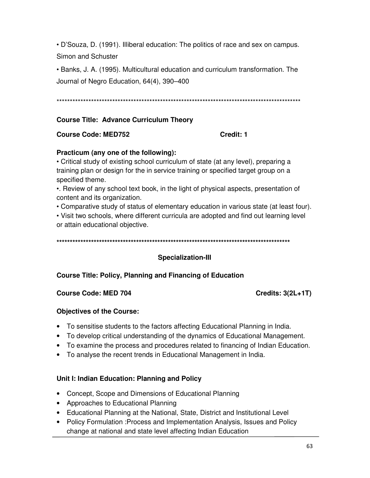• D'Souza, D. (1991). Illiberal education: The politics of race and sex on campus. Simon and Schuster

• Banks, J. A. (1995). Multicultural education and curriculum transformation. The Journal of Negro Education, 64(4), 390–400

#### **Course Title: Advance Curriculum Theory**

#### **Course Code: MED752**

#### Credit: 1

#### Practicum (any one of the following):

• Critical study of existing school curriculum of state (at any level), preparing a training plan or design for the in service training or specified target group on a specified theme.

. Review of any school text book, in the light of physical aspects, presentation of content and its organization.

• Comparative study of status of elementary education in various state (at least four).

. Visit two schools, where different curricula are adopted and find out learning level or attain educational objective.

### **Specialization-III**

### **Course Title: Policy, Planning and Financing of Education**

#### **Course Code: MED 704**

**Credits: 3(2L+1T)** 

### **Objectives of the Course:**

- To sensitise students to the factors affecting Educational Planning in India.
- To develop critical understanding of the dynamics of Educational Management.
- To examine the process and procedures related to financing of Indian Education.
- To analyse the recent trends in Educational Management in India.

### Unit I: Indian Education: Planning and Policy

- Concept, Scope and Dimensions of Educational Planning
- Approaches to Educational Planning
- Educational Planning at the National, State, District and Institutional Level
- Policy Formulation : Process and Implementation Analysis, Issues and Policy change at national and state level affecting Indian Education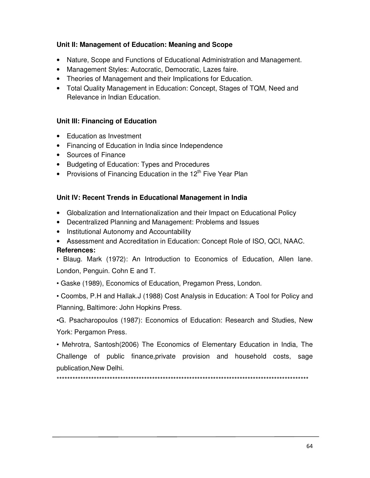# Unit II: Management of Education: Meaning and Scope

- Nature, Scope and Functions of Educational Administration and Management.
- Management Styles: Autocratic, Democratic, Lazes faire.
- Theories of Management and their Implications for Education.
- Total Quality Management in Education: Concept, Stages of TQM, Need and Relevance in Indian Education.

# Unit III: Financing of Education

- Education as Investment
- Financing of Education in India since Independence
- Sources of Finance
- Budgeting of Education: Types and Procedures
- Provisions of Financing Education in the  $12<sup>th</sup>$  Five Year Plan

# Unit IV: Recent Trends in Educational Management in India

- Globalization and Internationalization and their Impact on Educational Policy
- Decentralized Planning and Management: Problems and Issues
- Institutional Autonomy and Accountability
- Assessment and Accreditation in Education: Concept Role of ISO, QCI, NAAC. **References:**

• Blaug. Mark (1972): An Introduction to Economics of Education, Allen lane. London, Penguin. Cohn E and T.

• Gaske (1989), Economics of Education, Pregamon Press, London.

• Coombs, P.H and Hallak.J (1988) Cost Analysis in Education: A Tool for Policy and Planning, Baltimore: John Hopkins Press.

•G. Psacharopoulos (1987): Economics of Education: Research and Studies, New York: Pergamon Press.

• Mehrotra, Santosh(2006) The Economics of Elementary Education in India, The Challenge of public finance, private provision and household costs, sage publication, New Delhi.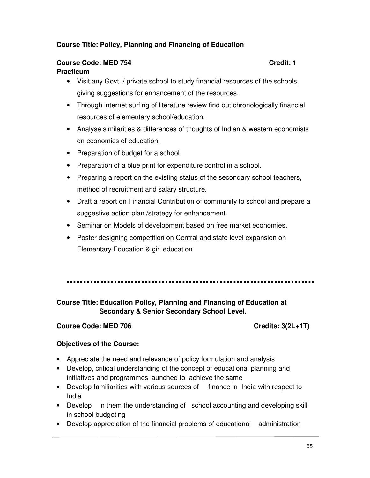# **Course Title: Policy, Planning and Financing of Education**

#### **Course Code: MED 754 Course Code: MED 754 Practicum**

- Visit any Govt. / private school to study financial resources of the schools, giving suggestions for enhancement of the resources.
- Through internet surfing of literature review find out chronologically financial resources of elementary school/education.
- Analyse similarities & differences of thoughts of Indian & western economists on economics of education.
- Preparation of budget for a school
- Preparation of a blue print for expenditure control in a school.
- Preparing a report on the existing status of the secondary school teachers, method of recruitment and salary structure.
- Draft a report on Financial Contribution of community to school and prepare a suggestive action plan /strategy for enhancement.
- Seminar on Models of development based on free market economies.
- Poster designing competition on Central and state level expansion on Elementary Education & girl education

# **Course Title: Education Policy, Planning and Financing of Education at Secondary & Senior Secondary School Level.**

#### **Course Code: MED 706 Course Credits: 3(2L+1T)**

#### **Objectives of the Course:**

- Appreciate the need and relevance of policy formulation and analysis
- Develop, critical understanding of the concept of educational planning and initiatives and programmes launched to achieve the same
- Develop familiarities with various sources of finance in India with respect to India
- Develop in them the understanding of school accounting and developing skill in school budgeting
- Develop appreciation of the financial problems of educational administration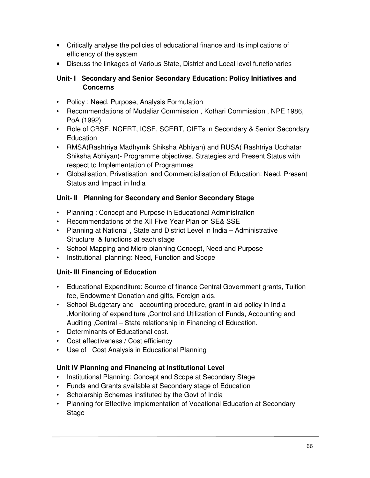- Critically analyse the policies of educational finance and its implications of efficiency of the system
- Discuss the linkages of Various State, District and Local level functionaries

# **Unit- I Secondary and Senior Secondary Education: Policy Initiatives and Concerns**

- Policy : Need, Purpose, Analysis Formulation
- Recommendations of Mudaliar Commission , Kothari Commission , NPE 1986, PoA (1992)
- Role of CBSE, NCERT, ICSE, SCERT, CIETs in Secondary & Senior Secondary **Education**
- RMSA(Rashtriya Madhymik Shiksha Abhiyan) and RUSA( Rashtriya Ucchatar Shiksha Abhiyan)- Programme objectives, Strategies and Present Status with respect to Implementation of Programmes
- Globalisation, Privatisation and Commercialisation of Education: Need, Present Status and Impact in India

# **Unit- II Planning for Secondary and Senior Secondary Stage**

- Planning : Concept and Purpose in Educational Administration
- Recommendations of the XII Five Year Plan on SE& SSE
- Planning at National , State and District Level in India Administrative Structure & functions at each stage
- School Mapping and Micro planning Concept, Need and Purpose
- Institutional planning: Need, Function and Scope

# **Unit- III Financing of Education**

- Educational Expenditure: Source of finance Central Government grants, Tuition fee, Endowment Donation and gifts, Foreign aids.
- School Budgetary and accounting procedure, grant in aid policy in India ,Monitoring of expenditure ,Control and Utilization of Funds, Accounting and Auditing ,Central – State relationship in Financing of Education.
- Determinants of Educational cost.
- Cost effectiveness / Cost efficiency
- Use of Cost Analysis in Educational Planning

# **Unit IV Planning and Financing at Institutional Level**

- Institutional Planning: Concept and Scope at Secondary Stage
- Funds and Grants available at Secondary stage of Education
- Scholarship Schemes instituted by the Govt of India
- Planning for Effective Implementation of Vocational Education at Secondary **Stage**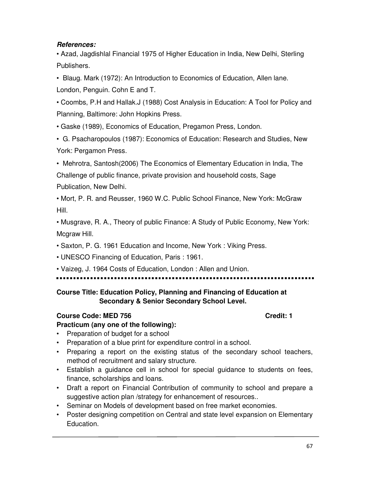# **References:**

• Azad, Jagdishlal Financial 1975 of Higher Education in India, New Delhi, Sterling Publishers.

• Blaug. Mark (1972): An Introduction to Economics of Education, Allen lane. London, Penguin. Cohn E and T.

• Coombs, P.H and Hallak.J (1988) Cost Analysis in Education: A Tool for Policy and Planning, Baltimore: John Hopkins Press.

• Gaske (1989), Economics of Education, Pregamon Press, London.

• G. Psacharopoulos (1987): Economics of Education: Research and Studies, New York: Pergamon Press.

• Mehrotra, Santosh(2006) The Economics of Elementary Education in India, The Challenge of public finance, private provision and household costs, Sage Publication, New Delhi.

• Mort, P. R. and Reusser, 1960 W.C. Public School Finance, New York: McGraw Hill.

• Musgrave, R. A., Theory of public Finance: A Study of Public Economy, New York: Mcgraw Hill.

• Saxton, P. G. 1961 Education and Income, New York : Viking Press.

• UNESCO Financing of Education, Paris : 1961.

• Vaizeg, J. 1964 Costs of Education, London : Allen and Union.

# **Course Title: Education Policy, Planning and Financing of Education at Secondary & Senior Secondary School Level.**

# **Course Code: MED 756 Credit: 1**

# **Practicum (any one of the following):**

- Preparation of budget for a school
- Preparation of a blue print for expenditure control in a school.
- Preparing a report on the existing status of the secondary school teachers, method of recruitment and salary structure.
- Establish a guidance cell in school for special guidance to students on fees, finance, scholarships and loans.
- Draft a report on Financial Contribution of community to school and prepare a suggestive action plan /strategy for enhancement of resources..
- Seminar on Models of development based on free market economies.
- Poster designing competition on Central and state level expansion on Elementary Education.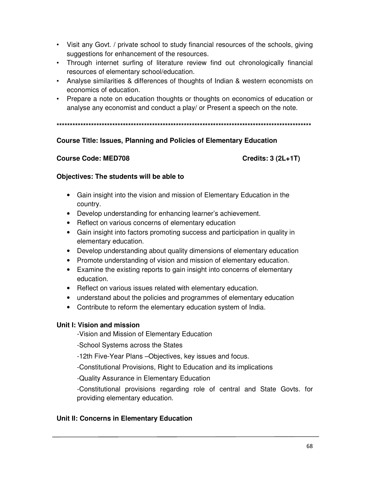- Visit any Govt. / private school to study financial resources of the schools, giving suggestions for enhancement of the resources.
- Through internet surfing of literature review find out chronologically financial resources of elementary school/education.
- Analyse similarities & differences of thoughts of Indian & western economists on economics of education.
- Prepare a note on education thoughts or thoughts on economics of education or analyse any economist and conduct a play/ or Present a speech on the note.

# **Course Title: Issues, Planning and Policies of Elementary Education**

#### **Course Code: MED708**

Credits:  $3(2L+1T)$ 

### Objectives: The students will be able to

- Gain insight into the vision and mission of Elementary Education in the country.
- Develop understanding for enhancing learner's achievement.
- Reflect on various concerns of elementary education
- Gain insight into factors promoting success and participation in quality in elementary education.
- Develop understanding about quality dimensions of elementary education
- Promote understanding of vision and mission of elementary education.
- Examine the existing reports to gain insight into concerns of elementary education.
- Reflect on various issues related with elementary education.
- understand about the policies and programmes of elementary education
- Contribute to reform the elementary education system of India.

### Unit I: Vision and mission

-Vision and Mission of Elementary Education

-School Systems across the States

-12th Five-Year Plans - Objectives, key issues and focus.

-Constitutional Provisions, Right to Education and its implications

-Quality Assurance in Elementary Education

-Constitutional provisions regarding role of central and State Govts. for providing elementary education.

# Unit II: Concerns in Elementary Education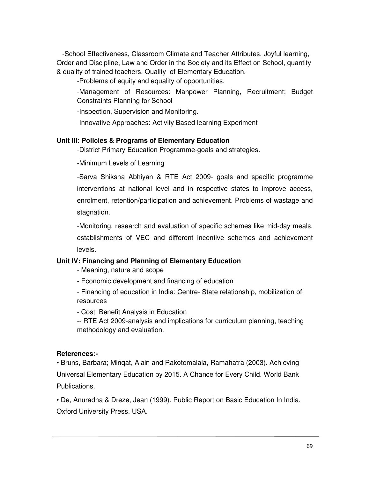-School Effectiveness, Classroom Climate and Teacher Attributes, Joyful learning, Order and Discipline, Law and Order in the Society and its Effect on School, quantity & quality of trained teachers. Quality of Elementary Education.

-Problems of equity and equality of opportunities.

-Management of Resources: Manpower Planning, Recruitment; Budget Constraints Planning for School

-Inspection, Supervision and Monitoring.

-Innovative Approaches: Activity Based learning Experiment

#### **Unit III: Policies & Programs of Elementary Education**

-District Primary Education Programme-goals and strategies.

-Minimum Levels of Learning

-Sarva Shiksha Abhiyan & RTE Act 2009- goals and specific programme interventions at national level and in respective states to improve access, enrolment, retention/participation and achievement. Problems of wastage and stagnation.

-Monitoring, research and evaluation of specific schemes like mid-day meals, establishments of VEC and different incentive schemes and achievement levels.

### **Unit IV: Financing and Planning of Elementary Education**

- Meaning, nature and scope
- Economic development and financing of education

- Financing of education in India: Centre- State relationship, mobilization of resources

- Cost Benefit Analysis in Education

-- RTE Act 2009-analysis and implications for curriculum planning, teaching methodology and evaluation.

#### **References:-**

• Bruns, Barbara; Minqat, Alain and Rakotomalala, Ramahatra (2003). Achieving Universal Elementary Education by 2015. A Chance for Every Child. World Bank Publications.

• De, Anuradha & Dreze, Jean (1999). Public Report on Basic Education In India. Oxford University Press. USA.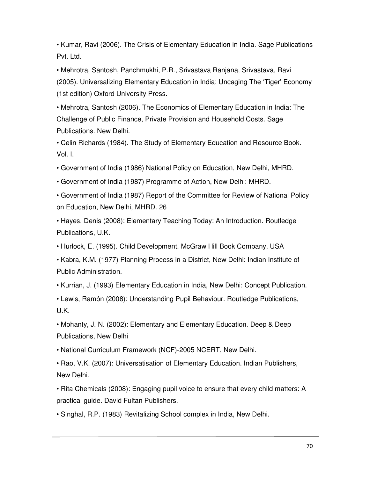• Kumar, Ravi (2006). The Crisis of Elementary Education in India. Sage Publications Pvt. Ltd.

• Mehrotra, Santosh, Panchmukhi, P.R., Srivastava Ranjana, Srivastava, Ravi (2005). Universalizing Elementary Education in India: Uncaging The 'Tiger' Economy (1st edition) Oxford University Press.

• Mehrotra, Santosh (2006). The Economics of Elementary Education in India: The Challenge of Public Finance, Private Provision and Household Costs. Sage Publications. New Delhi.

• Celin Richards (1984). The Study of Elementary Education and Resource Book. Vol. I.

• Government of India (1986) National Policy on Education, New Delhi, MHRD.

• Government of India (1987) Programme of Action, New Delhi: MHRD.

• Government of India (1987) Report of the Committee for Review of National Policy on Education, New Delhi, MHRD. 26

• Hayes, Denis (2008): Elementary Teaching Today: An Introduction. Routledge Publications, U.K.

• Hurlock, E. (1995). Child Development. McGraw Hill Book Company, USA

• Kabra, K.M. (1977) Planning Process in a District, New Delhi: Indian Institute of Public Administration.

• Kurrian, J. (1993) Elementary Education in India, New Delhi: Concept Publication.

• Lewis, Ramón (2008): Understanding Pupil Behaviour. Routledge Publications, U.K.

• Mohanty, J. N. (2002): Elementary and Elementary Education. Deep & Deep Publications, New Delhi

• National Curriculum Framework (NCF)-2005 NCERT, New Delhi.

• Rao, V.K. (2007): Universatisation of Elementary Education. Indian Publishers, New Delhi.

• Rita Chemicals (2008): Engaging pupil voice to ensure that every child matters: A practical guide. David Fultan Publishers.

• Singhal, R.P. (1983) Revitalizing School complex in India, New Delhi.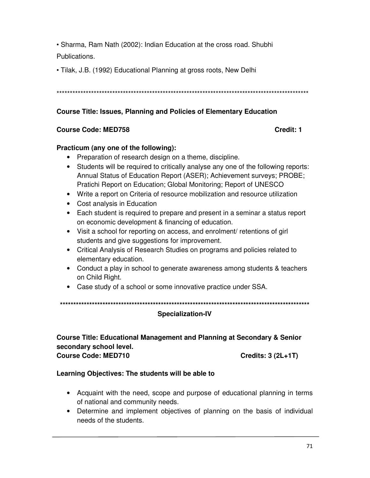• Sharma, Ram Nath (2002): Indian Education at the cross road. Shubhi Publications.

• Tilak, J.B. (1992) Educational Planning at gross roots, New Delhi

# **Course Title: Issues, Planning and Policies of Elementary Education**

### **Course Code: MED758**

#### Credit: 1

#### Practicum (any one of the following):

- Preparation of research design on a theme, discipline.
- Students will be required to critically analyse any one of the following reports: Annual Status of Education Report (ASER); Achievement surveys; PROBE; Pratichi Report on Education; Global Monitoring; Report of UNESCO
- Write a report on Criteria of resource mobilization and resource utilization
- Cost analysis in Education
- Each student is required to prepare and present in a seminar a status report on economic development & financing of education.
- Visit a school for reporting on access, and enrolment/ retentions of girl students and give suggestions for improvement.
- Critical Analysis of Research Studies on programs and policies related to elementary education.
- Conduct a play in school to generate awareness among students & teachers on Child Right.
- Case study of a school or some innovative practice under SSA.

### **Specialization-IV**

#### **Course Title: Educational Management and Planning at Secondary & Senior** secondary school level. **Course Code: MED710 Credits: 3 (2L+1T)**

### Learning Objectives: The students will be able to

- Acquaint with the need, scope and purpose of educational planning in terms of national and community needs.
- Determine and implement objectives of planning on the basis of individual needs of the students.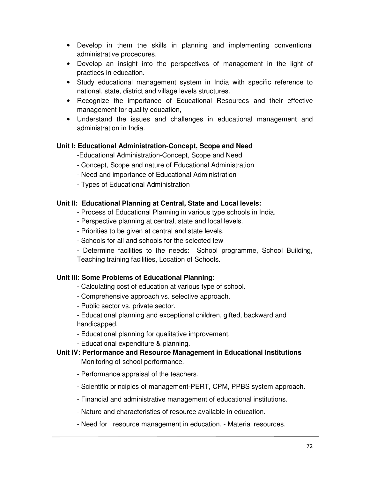- Develop in them the skills in planning and implementing conventional administrative procedures.
- Develop an insight into the perspectives of management in the light of practices in education.
- Study educational management system in India with specific reference to national, state, district and village levels structures.
- Recognize the importance of Educational Resources and their effective management for quality education,
- Understand the issues and challenges in educational management and administration in India.

# **Unit I: Educational Administration-Concept, Scope and Need**

-Educational Administration-Concept, Scope and Need

- Concept, Scope and nature of Educational Administration
- Need and importance of Educational Administration
- Types of Educational Administration

# **Unit II: Educational Planning at Central, State and Local levels:**

- Process of Educational Planning in various type schools in India.
- Perspective planning at central, state and local levels.
- Priorities to be given at central and state levels.
- Schools for all and schools for the selected few
- Determine facilities to the needs: School programme, School Building, Teaching training facilities, Location of Schools.

### **Unit III: Some Problems of Educational Planning:**

- Calculating cost of education at various type of school.
- Comprehensive approach vs. selective approach.
- Public sector vs. private sector.
- Educational planning and exceptional children, gifted, backward and handicapped.
- Educational planning for qualitative improvement.
- Educational expenditure & planning.

# **Unit IV: Performance and Resource Management in Educational Institutions**

- Monitoring of school performance.
- Performance appraisal of the teachers.
- Scientific principles of management-PERT, CPM, PPBS system approach.
- Financial and administrative management of educational institutions.
- Nature and characteristics of resource available in education.
- Need for resource management in education. Material resources.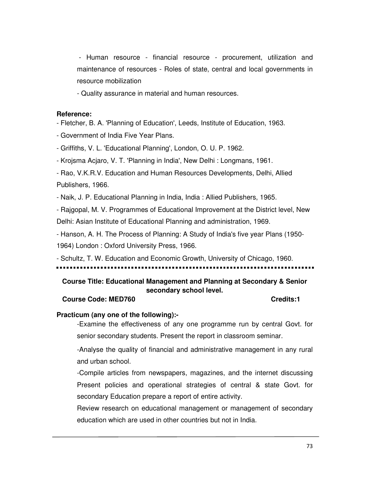- Human resource - financial resource - procurement, utilization and maintenance of resources - Roles of state, central and local governments in resource mobilization

- Quality assurance in material and human resources.

#### **Reference:**

- Fletcher, B. A. 'Planning of Education', Leeds, Institute of Education, 1963.

- Government of India Five Year Plans.

- Griffiths, V. L. 'Educational Planning', London, O. U. P. 1962.

- Krojsma Acjaro, V. T. 'Planning in India', New Delhi : Longmans, 1961.

- Rao, V.K.R.V. Education and Human Resources Developments, Delhi, Allied Publishers, 1966.

- Naik, J. P. Educational Planning in India, India : Allied Publishers, 1965.

- Rajgopal, M. V. Programmes of Educational Improvement at the District level, New Delhi: Asian Institute of Educational Planning and administration, 1969.

- Hanson, A. H. The Process of Planning: A Study of India's five year Plans (1950- 1964) London : Oxford University Press, 1966.

- Schultz, T. W. Education and Economic Growth, University of Chicago, 1960.

# **Course Title: Educational Management and Planning at Secondary & Senior secondary school level.**

#### **Course Code: MED760 Credits:1**

### **Practicum (any one of the following):-**

-Examine the effectiveness of any one programme run by central Govt. for senior secondary students. Present the report in classroom seminar.

-Analyse the quality of financial and administrative management in any rural and urban school.

-Compile articles from newspapers, magazines, and the internet discussing Present policies and operational strategies of central & state Govt. for secondary Education prepare a report of entire activity.

Review research on educational management or management of secondary education which are used in other countries but not in India.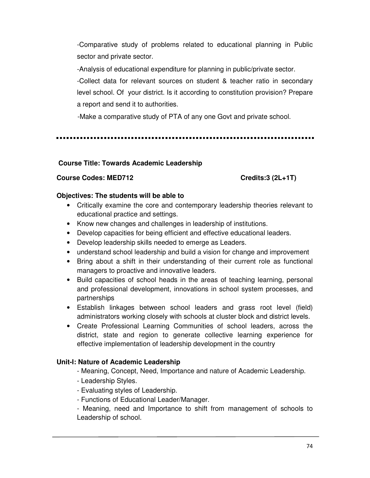-Comparative study of problems related to educational planning in Public sector and private sector.

-Analysis of educational expenditure for planning in public/private sector.

-Collect data for relevant sources on student & teacher ratio in secondary level school. Of your district. Is it according to constitution provision? Prepare a report and send it to authorities.

-Make a comparative study of PTA of any one Govt and private school.

## **Course Title: Towards Academic Leadership**

# **Course Codes: MED712 Credits:3 (2L+1T)**

## **Objectives: The students will be able to**

- Critically examine the core and contemporary leadership theories relevant to educational practice and settings.
- Know new changes and challenges in leadership of institutions.
- Develop capacities for being efficient and effective educational leaders.
- Develop leadership skills needed to emerge as Leaders.
- understand school leadership and build a vision for change and improvement
- Bring about a shift in their understanding of their current role as functional managers to proactive and innovative leaders.
- Build capacities of school heads in the areas of teaching learning, personal and professional development, innovations in school system processes, and partnerships
- Establish linkages between school leaders and grass root level (field) administrators working closely with schools at cluster block and district levels.
- Create Professional Learning Communities of school leaders, across the district, state and region to generate collective learning experience for effective implementation of leadership development in the country

# **Unit-I: Nature of Academic Leadership**

- Meaning, Concept, Need, Importance and nature of Academic Leadership.
- Leadership Styles.
- Evaluating styles of Leadership.
- Functions of Educational Leader/Manager.

- Meaning, need and Importance to shift from management of schools to Leadership of school.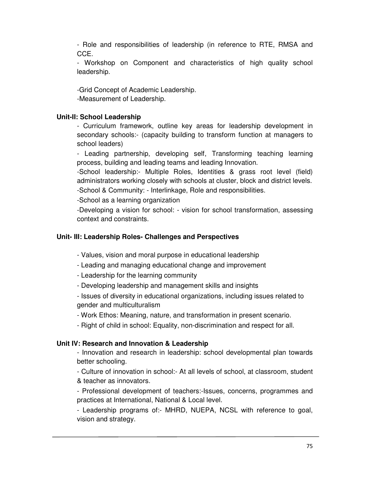- Role and responsibilities of leadership (in reference to RTE, RMSA and CCE.

- Workshop on Component and characteristics of high quality school leadership.

-Grid Concept of Academic Leadership. -Measurement of Leadership.

# **Unit-II: School Leadership**

- Curriculum framework, outline key areas for leadership development in secondary schools:- (capacity building to transform function at managers to school leaders)

- Leading partnership, developing self, Transforming teaching learning process, building and leading teams and leading Innovation.

-School leadership:- Multiple Roles, Identities & grass root level (field) administrators working closely with schools at cluster, block and district levels. -School & Community: - Interlinkage, Role and responsibilities.

-School as a learning organization

-Developing a vision for school: - vision for school transformation, assessing context and constraints.

## **Unit- III: Leadership Roles- Challenges and Perspectives**

- Values, vision and moral purpose in educational leadership
- Leading and managing educational change and improvement
- Leadership for the learning community
- Developing leadership and management skills and insights

- Issues of diversity in educational organizations, including issues related to gender and multiculturalism

- Work Ethos: Meaning, nature, and transformation in present scenario.

- Right of child in school: Equality, non-discrimination and respect for all.

## **Unit IV: Research and Innovation & Leadership**

- Innovation and research in leadership: school developmental plan towards better schooling.

- Culture of innovation in school:- At all levels of school, at classroom, student & teacher as innovators.

- Professional development of teachers:-Issues, concerns, programmes and practices at International, National & Local level.

- Leadership programs of:- MHRD, NUEPA, NCSL with reference to goal, vision and strategy.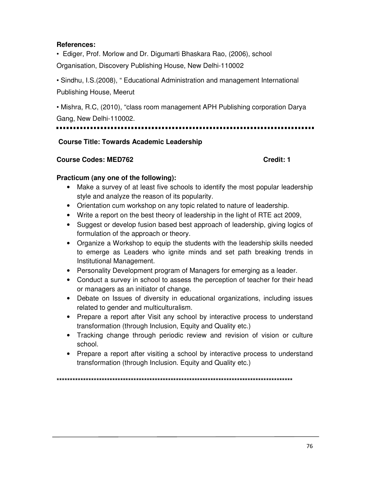## **References:**

• Ediger, Prof. Morlow and Dr. Digumarti Bhaskara Rao, (2006), school

Organisation, Discovery Publishing House, New Delhi-110002

• Sindhu, I.S.(2008), " Educational Administration and management International Publishing House, Meerut

• Mishra, R.C, (2010), "class room management APH Publishing corporation Darya Gang, New Delhi-110002.

# **Course Title: Towards Academic Leadership**

# **Course Codes: MED762 Credit: 1**

# **Practicum (any one of the following):**

- Make a survey of at least five schools to identify the most popular leadership style and analyze the reason of its popularity.
- Orientation cum workshop on any topic related to nature of leadership.
- Write a report on the best theory of leadership in the light of RTE act 2009,
- Suggest or develop fusion based best approach of leadership, giving logics of formulation of the approach or theory.
- Organize a Workshop to equip the students with the leadership skills needed to emerge as Leaders who ignite minds and set path breaking trends in Institutional Management.
- Personality Development program of Managers for emerging as a leader.
- Conduct a survey in school to assess the perception of teacher for their head or managers as an initiator of change.
- Debate on Issues of diversity in educational organizations, including issues related to gender and multiculturalism.
- Prepare a report after Visit any school by interactive process to understand transformation (through Inclusion, Equity and Quality etc.)
- Tracking change through periodic review and revision of vision or culture school.
- Prepare a report after visiting a school by interactive process to understand transformation (through Inclusion. Equity and Quality etc.)

**\*\*\*\*\*\*\*\*\*\*\*\*\*\*\*\*\*\*\*\*\*\*\*\*\*\*\*\*\*\*\*\*\*\*\*\*\*\*\*\*\*\*\*\*\*\*\*\*\*\*\*\*\*\*\*\*\*\*\*\*\*\*\*\*\*\*\*\*\*\*\*\*\*\*\*\*\*\*\*\*\*\*\*\*\*\*\*\*\***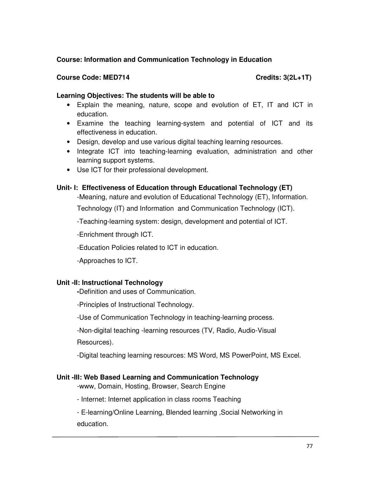# **Course: Information and Communication Technology in Education**

## Course Code: MED714 Course Code: MED714

## **Learning Objectives: The students will be able to**

- Explain the meaning, nature, scope and evolution of ET, IT and ICT in education.
- Examine the teaching learning-system and potential of ICT and its effectiveness in education.
- Design, develop and use various digital teaching learning resources.
- Integrate ICT into teaching-learning evaluation, administration and other learning support systems.
- Use ICT for their professional development.

# **Unit- I: Effectiveness of Education through Educational Technology (ET)**

-Meaning, nature and evolution of Educational Technology (ET), Information.

Technology (IT) and Information and Communication Technology (ICT).

-Teaching-learning system: design, development and potential of ICT.

-Enrichment through ICT.

-Education Policies related to ICT in education.

-Approaches to ICT.

## **Unit -II: Instructional Technology**

**-**Definition and uses of Communication.

-Principles of Instructional Technology.

-Use of Communication Technology in teaching-learning process.

-Non-digital teaching -learning resources (TV, Radio, Audio-Visual

Resources).

-Digital teaching learning resources: MS Word, MS PowerPoint, MS Excel.

## **Unit -III: Web Based Learning and Communication Technology**

-www, Domain, Hosting, Browser, Search Engine

- Internet: Internet application in class rooms Teaching

- E-learning/Online Learning, Blended learning ,Social Networking in education.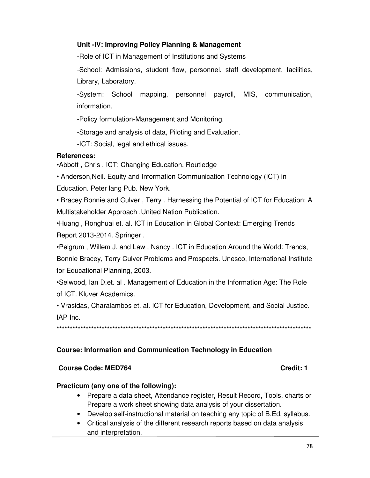## **Unit -IV: Improving Policy Planning & Management**

-Role of ICT in Management of Institutions and Systems

-School: Admissions, student flow, personnel, staff development, facilities, Library, Laboratory.

-System: School mapping, personnel payroll, MIS, communication, information,

-Policy formulation-Management and Monitoring.

-Storage and analysis of data, Piloting and Evaluation.

-ICT: Social, legal and ethical issues.

# **References:**

•Abbott , Chris . ICT: Changing Education. Routledge

• Anderson,Neil. Equity and Information Communication Technology (ICT) in

Education. Peter lang Pub. New York.

• Bracey,Bonnie and Culver , Terry . Harnessing the Potential of ICT for Education: A Multistakeholder Approach .United Nation Publication.

•Huang , Ronghuai et. al. ICT in Education in Global Context: Emerging Trends Report 2013-2014. Springer .

•Pelgrum , Willem J. and Law , Nancy . ICT in Education Around the World: Trends,

Bonnie Bracey, Terry Culver Problems and Prospects. Unesco, International Institute for Educational Planning, 2003.

•Selwood, Ian D.et. al . Management of Education in the Information Age: The Role of ICT. Kluver Academics.

• Vrasidas, Charalambos et. al. ICT for Education, Development, and Social Justice. IAP Inc.

\*\*\*\*\*\*\*\*\*\*\*\*\*\*\*\*\*\*\*\*\*\*\*\*\*\*\*\*\*\*\*\*\*\*\*\*\*\*\*\*\*\*\*\*\*\*\*\*\*\*\*\*\*\*\*\*\*\*\*\*\*\*\*\*\*\*\*\*\*\*\*\*\*\*\*\*\*\*\*\*\*\*\*\*\*\*\*\*\*\*\*\*\*\*\*\*

# **Course: Information and Communication Technology in Education**

## **Course Code: MED764 Course Code: 0.000 Credit: 1**

## **Practicum (any one of the following):**

- Prepare a data sheet, Attendance register**,** Result Record, Tools, charts or Prepare a work sheet showing data analysis of your dissertation.
- Develop self-instructional material on teaching any topic of B.Ed. syllabus.
- Critical analysis of the different research reports based on data analysis and interpretation.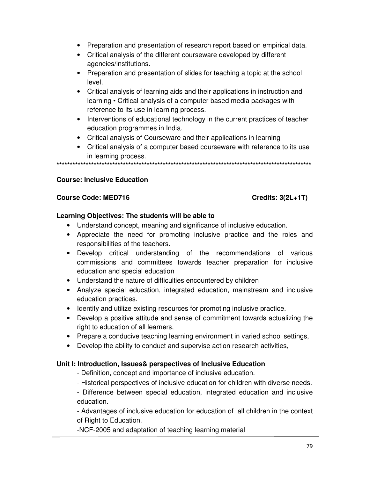- Preparation and presentation of research report based on empirical data.
- Critical analysis of the different courseware developed by different agencies/institutions.
- Preparation and presentation of slides for teaching a topic at the school level.
- Critical analysis of learning aids and their applications in instruction and learning • Critical analysis of a computer based media packages with reference to its use in learning process.
- Interventions of educational technology in the current practices of teacher education programmes in India.
- Critical analysis of Courseware and their applications in learning
- Critical analysis of a computer based courseware with reference to its use in learning process.

**\*\*\*\*\*\*\*\*\*\*\*\*\*\*\*\*\*\*\*\*\*\*\*\*\*\*\*\*\*\*\*\*\*\*\*\*\*\*\*\*\*\*\*\*\*\*\*\*\*\*\*\*\*\*\*\*\*\*\*\*\*\*\*\*\*\*\*\*\*\*\*\*\*\*\*\*\*\*\*\*\*\*\*\*\*\*\*\*\*\*\*\*\*\*\*\*** 

## **Course: Inclusive Education**

## Course Code: MED716 Course Code: MED716

### **Learning Objectives: The students will be able to**

- Understand concept, meaning and significance of inclusive education.
- Appreciate the need for promoting inclusive practice and the roles and responsibilities of the teachers.
- Develop critical understanding of the recommendations of various commissions and committees towards teacher preparation for inclusive education and special education
- Understand the nature of difficulties encountered by children
- Analyze special education, integrated education, mainstream and inclusive education practices.
- Identify and utilize existing resources for promoting inclusive practice.
- Develop a positive attitude and sense of commitment towards actualizing the right to education of all learners,
- Prepare a conducive teaching learning environment in varied school settings,
- Develop the ability to conduct and supervise action research activities,

## **Unit I: Introduction, Issues& perspectives of Inclusive Education**

- Definition, concept and importance of inclusive education.
- Historical perspectives of inclusive education for children with diverse needs.

- Difference between special education, integrated education and inclusive education.

- Advantages of inclusive education for education of all children in the context of Right to Education.

-NCF-2005 and adaptation of teaching learning material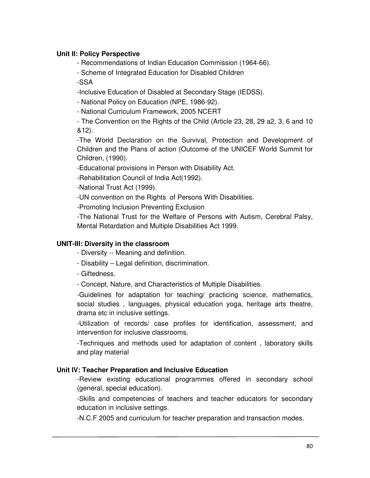## **Unit II: Policy Perspective**

- Recommendations of Indian Education Commission (1964-66).
- Scheme of Integrated Education for Disabled Children -SSA

-Inclusive Education of Disabled at Secondary Stage (IEDSS).

- National Policy on Education (NPE, 1986-92).

- National Curriculum Framework, 2005 NCERT

- The Convention on the Rights of the Child (Article 23, 28, 29 a2, 3, 6 and 10 &12).

-The World Declaration on the Survival, Protection and Development of Children and the Plans of action (Outcome of the UNICEF World Summit for Children, (1990).

-Educational provisions in Person with Disability Act.

-Rehabilitation Council of India Act(1992).

-National Trust Act (1999).

-UN convention on the Rights of Persons With Disabilities.

-Promoting Inclusion Preventing Exclusion

-The National Trust for the Welfare of Persons with Autism, Cerebral Palsy, Mental Retardation and Multiple Disabilities Act 1999.

## **UNIT-III: Diversity in the classroom**

- Diversity -- Meaning and definition.
- Disability Legal definition, discrimination.
- Giftedness.
- Concept, Nature, and Characteristics of Multiple Disabilities.

-Guidelines for adaptation for teaching/ practicing science, mathematics, social studies , languages, physical education yoga, heritage arts theatre, drama etc in inclusive settings.

-Utilization of records/ case profiles for identification, assessment, and intervention for inclusive classrooms.

-Techniques and methods used for adaptation of content , laboratory skills and play material

### **Unit IV: Teacher Preparation and Inclusive Education**

-Review existing educational programmes offered in secondary school (general, special education).

-Skills and competencies of teachers and teacher educators for secondary education in inclusive settings.

-N.C.F 2005 and curriculum for teacher preparation and transaction modes.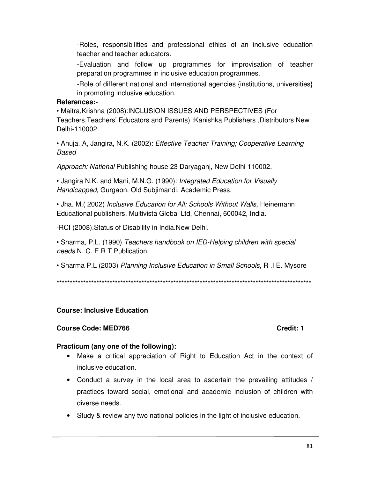-Roles, responsibilities and professional ethics of an inclusive education teacher and teacher educators.

-Evaluation and follow up programmes for improvisation of teacher preparation programmes in inclusive education programmes.

-Role of different national and international agencies {institutions, universities} in promoting inclusive education.

## **References:-**

• Maitra,Krishna (2008):INCLUSION ISSUES AND PERSPECTIVES (For Teachers,Teachers' Educators and Parents) :Kanishka Publishers ,Distributors New Delhi-110002

• Ahuja. A, Jangira, N.K. (2002): *Effective Teacher Training; Cooperative Learning Based* 

*Approach: National* Publishing house 23 Daryaganj, New Delhi 110002.

• Jangira N.K. and Mani, M.N.G. (1990): *Integrated Education for Visually Handicapped,* Gurgaon, Old Subjimandi, Academic Press.

• Jha. M.( 2002) *Inclusive Education for All: Schools Without Walls,* Heinemann Educational publishers, Multivista Global Ltd, Chennai, 600042, India.

-RCI (2008).Status of Disability in India.New Delhi.

• Sharma, P.L. (1990) *Teachers handbook on IED-Helping children with special needs* N. C. E R T Publication.

• Sharma P.L (2003) *Planning Inclusive Education in Small Schools*, R .I E. Mysore

\*\*\*\*\*\*\*\*\*\*\*\*\*\*\*\*\*\*\*\*\*\*\*\*\*\*\*\*\*\*\*\*\*\*\*\*\*\*\*\*\*\*\*\*\*\*\*\*\*\*\*\*\*\*\*\*\*\*\*\*\*\*\*\*\*\*\*\*\*\*\*\*\*\*\*\*\*\*\*\*\*\*\*\*\*\*\*\*\*\*\*\*\*\*\*\*

# **Course: Inclusive Education**

## **Course Code: MED766 Course Code: 1 2 Credit: 1**

## **Practicum (any one of the following):**

- Make a critical appreciation of Right to Education Act in the context of inclusive education.
- Conduct a survey in the local area to ascertain the prevailing attitudes / practices toward social, emotional and academic inclusion of children with diverse needs.
- Study & review any two national policies in the light of inclusive education.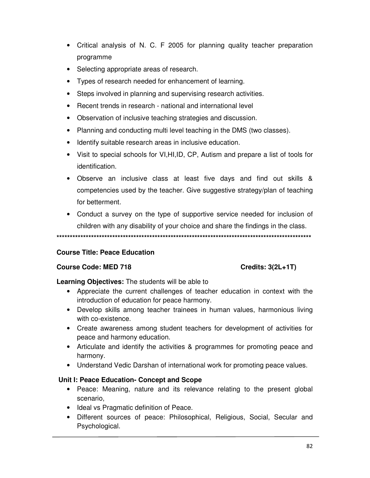- Critical analysis of N. C. F 2005 for planning quality teacher preparation programme
- Selecting appropriate areas of research.
- Types of research needed for enhancement of learning.
- Steps involved in planning and supervising research activities.
- Recent trends in research national and international level
- Observation of inclusive teaching strategies and discussion.
- Planning and conducting multi level teaching in the DMS (two classes).
- Identify suitable research areas in inclusive education.
- Visit to special schools for VI,HI,ID, CP, Autism and prepare a list of tools for identification.
- Observe an inclusive class at least five days and find out skills & competencies used by the teacher. Give suggestive strategy/plan of teaching for betterment.
- Conduct a survey on the type of supportive service needed for inclusion of children with any disability of your choice and share the findings in the class.

**\*\*\*\*\*\*\*\*\*\*\*\*\*\*\*\*\*\*\*\*\*\*\*\*\*\*\*\*\*\*\*\*\*\*\*\*\*\*\*\*\*\*\*\*\*\*\*\*\*\*\*\*\*\*\*\*\*\*\*\*\*\*\*\*\*\*\*\*\*\*\*\*\*\*\*\*\*\*\*\*\*\*\*\*\*\*\*\*\*\*\*\*\*\*\*\*** 

## **Course Title: Peace Education**

### **Course Code: MED 718** Course Code: MED 718

### **Learning Objectives:** The students will be able to

- Appreciate the current challenges of teacher education in context with the introduction of education for peace harmony.
- Develop skills among teacher trainees in human values, harmonious living with co-existence.
- Create awareness among student teachers for development of activities for peace and harmony education.
- Articulate and identify the activities & programmes for promoting peace and harmony.
- Understand Vedic Darshan of international work for promoting peace values.

## **Unit I: Peace Education- Concept and Scope**

- Peace: Meaning, nature and its relevance relating to the present global scenario,
- Ideal vs Pragmatic definition of Peace.
- Different sources of peace: Philosophical, Religious, Social, Secular and Psychological.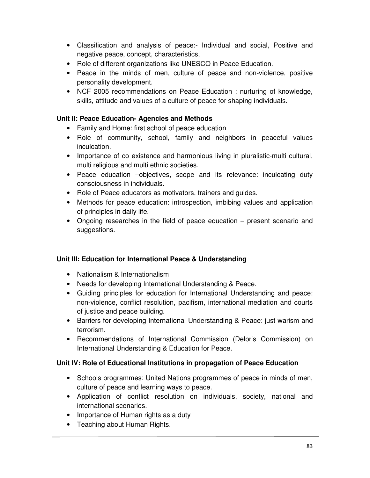- Classification and analysis of peace:- Individual and social, Positive and negative peace, concept, characteristics,
- Role of different organizations like UNESCO in Peace Education.
- Peace in the minds of men, culture of peace and non-violence, positive personality development.
- NCF 2005 recommendations on Peace Education : nurturing of knowledge, skills, attitude and values of a culture of peace for shaping individuals.

## **Unit II: Peace Education- Agencies and Methods**

- Family and Home: first school of peace education
- Role of community, school, family and neighbors in peaceful values inculcation.
- Importance of co existence and harmonious living in pluralistic-multi cultural, multi religious and multi ethnic societies.
- Peace education –objectives, scope and its relevance: inculcating duty consciousness in individuals.
- Role of Peace educators as motivators, trainers and guides.
- Methods for peace education: introspection, imbibing values and application of principles in daily life.
- Ongoing researches in the field of peace education present scenario and suggestions.

## **Unit III: Education for International Peace & Understanding**

- Nationalism & Internationalism
- Needs for developing International Understanding & Peace.
- Guiding principles for education for International Understanding and peace: non-violence, conflict resolution, pacifism, international mediation and courts of justice and peace building.
- Barriers for developing International Understanding & Peace: just warism and terrorism.
- Recommendations of International Commission (Delor's Commission) on International Understanding & Education for Peace.

## **Unit IV: Role of Educational Institutions in propagation of Peace Education**

- Schools programmes: United Nations programmes of peace in minds of men, culture of peace and learning ways to peace.
- Application of conflict resolution on individuals, society, national and international scenarios.
- Importance of Human rights as a duty
- Teaching about Human Rights.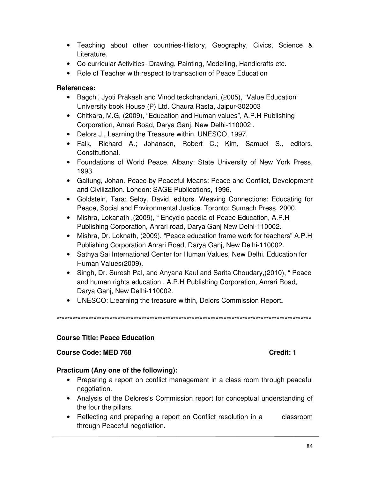- Teaching about other countries-History, Geography, Civics, Science & Literature.
- Co-curricular Activities- Drawing, Painting, Modelling, Handicrafts etc.
- Role of Teacher with respect to transaction of Peace Education

## **References:**

- Bagchi, Jyoti Prakash and Vinod teckchandani, (2005), "Value Education" University book House (P) Ltd. Chaura Rasta, Jaipur-302003
- Chitkara, M.G, (2009), "Education and Human values", A.P.H Publishing Corporation, Anrari Road, Darya Ganj, New Delhi-110002 .
- Delors J., Learning the Treasure within, UNESCO, 1997.
- Falk, Richard A.; Johansen, Robert C.; Kim, Samuel S., editors. Constitutional.
- Foundations of World Peace. Albany: State University of New York Press, 1993.
- Galtung, Johan. Peace by Peaceful Means: Peace and Conflict, Development and Civilization. London: SAGE Publications, 1996.
- Goldstein, Tara; Selby, David, editors. Weaving Connections: Educating for Peace, Social and Environmental Justice. Toronto: Sumach Press, 2000.
- Mishra, Lokanath ,(2009), " Encyclo paedia of Peace Education, A.P.H Publishing Corporation, Anrari road, Darya Ganj New Delhi-110002.
- Mishra, Dr. Loknath, (2009), "Peace education frame work for teachers" A.P.H Publishing Corporation Anrari Road, Darya Ganj, New Delhi-110002.
- Sathya Sai International Center for Human Values, New Delhi. Education for Human Values(2009).
- Singh, Dr. Suresh Pal, and Anyana Kaul and Sarita Choudary,(2010), " Peace and human rights education , A.P.H Publishing Corporation, Anrari Road, Darya Ganj, New Delhi-110002.
- UNESCO: L:earning the treasure within, Delors Commission Report**.**

\*\*\*\*\*\*\*\*\*\*\*\*\*\*\*\*\*\*\*\*\*\*\*\*\*\*\*\*\*\*\*\*\*\*\*\*\*\*\*\*\*\*\*\*\*\*\*\*\*\*\*\*\*\*\*\*\*\*\*\*\*\*\*\*\*\*\*\*\*\*\*\*\*\*\*\*\*\*\*\*\*\*\*\*\*\*\*\*\*\*\*\*\*\*\*\*

### **Course Title: Peace Education**

### **Course Code: MED 768 Course Code: MED 768**

## **Practicum (Any one of the following):**

- Preparing a report on conflict management in a class room through peaceful negotiation.
- Analysis of the Delores's Commission report for conceptual understanding of the four the pillars.
- Reflecting and preparing a report on Conflict resolution in a classroom through Peaceful negotiation.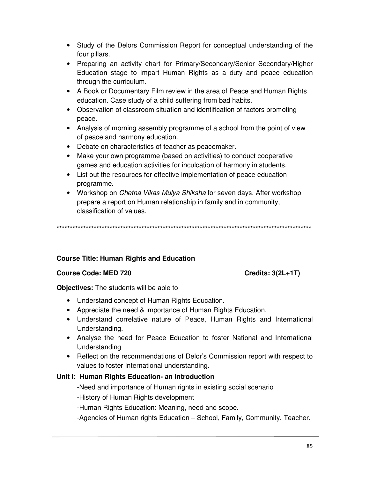- Study of the Delors Commission Report for conceptual understanding of the four pillars.
- Preparing an activity chart for Primary/Secondary/Senior Secondary/Higher Education stage to impart Human Rights as a duty and peace education through the curriculum.
- A Book or Documentary Film review in the area of Peace and Human Rights education. Case study of a child suffering from bad habits.
- Observation of classroom situation and identification of factors promoting peace.
- Analysis of morning assembly programme of a school from the point of view of peace and harmony education.
- Debate on characteristics of teacher as peacemaker.
- Make your own programme (based on activities) to conduct cooperative games and education activities for inculcation of harmony in students.
- List out the resources for effective implementation of peace education programme.
- Workshop on *Chetna Vikas Mulya Shiksha* for seven days. After workshop prepare a report on Human relationship in family and in community, classification of values.

\*\*\*\*\*\*\*\*\*\*\*\*\*\*\*\*\*\*\*\*\*\*\*\*\*\*\*\*\*\*\*\*\*\*\*\*\*\*\*\*\*\*\*\*\*\*\*\*\*\*\*\*\*\*\*\*\*\*\*\*\*\*\*\*\*\*\*\*\*\*\*\*\*\*\*\*\*\*\*\*\*\*\*\*\*\*\*\*\*\*\*\*\*\*\*\*

## **Course Title: Human Rights and Education**

### Course Code: MED 720 Credits: 3(2L+1T)

**Objectives:** The **s**tudents will be able to

- Understand concept of Human Rights Education.
- Appreciate the need & importance of Human Rights Education.
- Understand correlative nature of Peace, Human Rights and International Understanding.
- Analyse the need for Peace Education to foster National and International Understanding
- Reflect on the recommendations of Delor's Commission report with respect to values to foster International understanding.

## **Unit I: Human Rights Education- an introduction**

-Need and importance of Human rights in existing social scenario

-History of Human Rights development

-Human Rights Education: Meaning, need and scope.

-Agencies of Human rights Education – School, Family, Community, Teacher.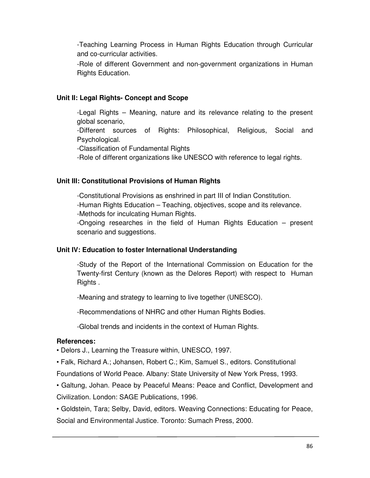-Teaching Learning Process in Human Rights Education through Curricular and co-curricular activities.

-Role of different Government and non-government organizations in Human Rights Education.

# **Unit II: Legal Rights- Concept and Scope**

-Legal Rights – Meaning, nature and its relevance relating to the present global scenario,

-Different sources of Rights: Philosophical, Religious, Social and Psychological.

-Classification of Fundamental Rights

-Role of different organizations like UNESCO with reference to legal rights.

## **Unit III: Constitutional Provisions of Human Rights**

-Constitutional Provisions as enshrined in part III of Indian Constitution. -Human Rights Education – Teaching, objectives, scope and its relevance. -Methods for inculcating Human Rights.

-Ongoing researches in the field of Human Rights Education – present scenario and suggestions.

## **Unit IV: Education to foster International Understanding**

-Study of the Report of the International Commission on Education for the Twenty-first Century (known as the Delores Report) with respect to Human Rights .

-Meaning and strategy to learning to live together (UNESCO).

-Recommendations of NHRC and other Human Rights Bodies.

-Global trends and incidents in the context of Human Rights.

### **References:**

• Delors J., Learning the Treasure within, UNESCO, 1997.

• Falk, Richard A.; Johansen, Robert C.; Kim, Samuel S., editors. Constitutional

Foundations of World Peace. Albany: State University of New York Press, 1993.

• Galtung, Johan. Peace by Peaceful Means: Peace and Conflict, Development and Civilization. London: SAGE Publications, 1996.

• Goldstein, Tara; Selby, David, editors. Weaving Connections: Educating for Peace, Social and Environmental Justice. Toronto: Sumach Press, 2000.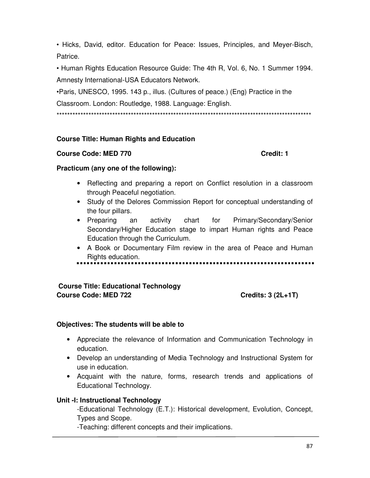• Hicks, David, editor. Education for Peace: Issues, Principles, and Meyer-Bisch, Patrice.

• Human Rights Education Resource Guide: The 4th R, Vol. 6, No. 1 Summer 1994. Amnesty International-USA Educators Network.

•Paris, UNESCO, 1995. 143 p., illus. (Cultures of peace.) (Eng) Practice in the Classroom. London: Routledge, 1988. Language: English.

\*\*\*\*\*\*\*\*\*\*\*\*\*\*\*\*\*\*\*\*\*\*\*\*\*\*\*\*\*\*\*\*\*\*\*\*\*\*\*\*\*\*\*\*\*\*\*\*\*\*\*\*\*\*\*\*\*\*\*\*\*\*\*\*\*\*\*\*\*\*\*\*\*\*\*\*\*\*\*\*\*\*\*\*\*\*\*\*\*\*\*\*\*\*\*\*

# **Course Title: Human Rights and Education**

## **Course Code: MED 770 Credit: 1**

## **Practicum (any one of the following):**

- Reflecting and preparing a report on Conflict resolution in a classroom through Peaceful negotiation.
- Study of the Delores Commission Report for conceptual understanding of the four pillars.
- Preparing an activity chart for Primary/Secondary/Senior Secondary/Higher Education stage to impart Human rights and Peace Education through the Curriculum.
- A Book or Documentary Film review in the area of Peace and Human Rights education.

.......................

# **Course Title: Educational Technology**  Course Code: MED 722 Credits: 3 (2L+1T)

## **Objectives: The students will be able to**

- Appreciate the relevance of Information and Communication Technology in education.
- Develop an understanding of Media Technology and Instructional System for use in education.
- Acquaint with the nature, forms, research trends and applications of Educational Technology.

## **Unit -I: Instructional Technology**

-Educational Technology (E.T.): Historical development, Evolution, Concept, Types and Scope.

-Teaching: different concepts and their implications.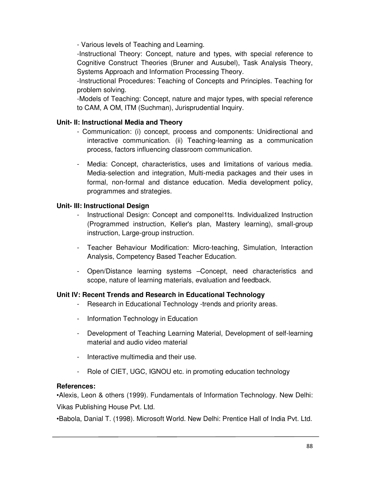- Various levels of Teaching and Learning.

-Instructional Theory: Concept, nature and types, with special reference to Cognitive Construct Theories (Bruner and Ausubel), Task Analysis Theory, Systems Approach and Information Processing Theory.

-Instructional Procedures: Teaching of Concepts and Principles. Teaching for problem solving.

-Models of Teaching: Concept, nature and major types, with special reference to CAM, A OM, ITM (Suchman), Jurisprudential Inquiry.

# **Unit- II: Instructional Media and Theory**

- Communication: (i) concept, process and components: Unidirectional and interactive communication. (ii) Teaching-learning as a communication process, factors influencing classroom communication.
- Media: Concept, characteristics, uses and limitations of various media. Media-selection and integration, Multi-media packages and their uses in formal, non-formal and distance education. Media development policy, programmes and strategies.

# **Unit- III: Instructional Design**

- Instructional Design: Concept and componel1ts. Individualized Instruction (Programmed instruction, Keller's plan, Mastery learning), small-group instruction, Large-group instruction.
- Teacher Behaviour Modification: Micro-teaching, Simulation, Interaction Analysis, Competency Based Teacher Education.
- Open/Distance learning systems –Concept, need characteristics and scope, nature of learning materials, evaluation and feedback.

# **Unit IV: Recent Trends and Research in Educational Technology**

- Research in Educational Technology -trends and priority areas.
- Information Technology in Education
- Development of Teaching Learning Material, Development of self-learning material and audio video material
- Interactive multimedia and their use.
- Role of CIET, UGC, IGNOU etc. in promoting education technology

## **References:**

•Alexis, Leon & others (1999). Fundamentals of Information Technology. New Delhi: Vikas Publishing House Pvt. Ltd.

•Babola, Danial T. (1998). Microsoft World. New Delhi: Prentice Hall of India Pvt. Ltd.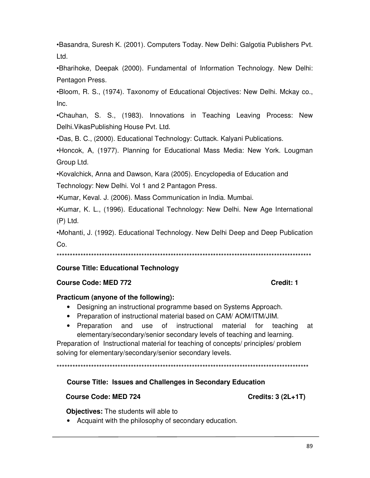•Basandra, Suresh K. (2001). Computers Today. New Delhi: Galgotia Publishers Pvt. Ltd.

•Bharihoke, Deepak (2000). Fundamental of Information Technology. New Delhi: Pentagon Press.

•Bloom, R. S., (1974). Taxonomy of Educational Objectives: New Delhi. Mckay co., Inc.

•Chauhan, S. S., (1983). Innovations in Teaching Leaving Process: New Delhi.VikasPublishing House Pvt. Ltd.

•Das, B. C., (2000). Educational Technology: Cuttack. Kalyani Publications.

•Honcok, A, (1977). Planning for Educational Mass Media: New York. Lougman Group Ltd.

•Kovalchick, Anna and Dawson, Kara (2005). Encyclopedia of Education and

Technology: New Delhi. Vol 1 and 2 Pantagon Press.

•Kumar, Keval. J. (2006). Mass Communication in India. Mumbai.

•Kumar, K. L., (1996). Educational Technology: New Delhi. New Age International (P) Ltd.

•Mohanti, J. (1992). Educational Technology. New Delhi Deep and Deep Publication Co.

\*\*\*\*\*\*\*\*\*\*\*\*\*\*\*\*\*\*\*\*\*\*\*\*\*\*\*\*\*\*\*\*\*\*\*\*\*\*\*\*\*\*\*\*\*\*\*\*\*\*\*\*\*\*\*\*\*\*\*\*\*\*\*\*\*\*\*\*\*\*\*\*\*\*\*\*\*\*\*\*\*\*\*\*\*\*\*\*\*\*\*\*\*\*\*\*

# **Course Title: Educational Technology**

## **Course Code: MED 772 Course Code: MED 772**

## **Practicum (anyone of the following):**

- Designing an instructional programme based on Systems Approach.
- Preparation of instructional material based on CAM/ AOM/ITM/JIM.
- Preparation and use of instructional material for teaching at elementary/secondary/senior secondary levels of teaching and learning.

Preparation of Instructional material for teaching of concepts/ principles/ problem solving for elementary/secondary/senior secondary levels.

\*\*\*\*\*\*\*\*\*\*\*\*\*\*\*\*\*\*\*\*\*\*\*\*\*\*\*\*\*\*\*\*\*\*\*\*\*\*\*\*\*\*\*\*\*\*\*\*\*\*\*\*\*\*\*\*\*\*\*\*\*\*\*\*\*\*\*\*\*\*\*\*\*\*\*\*\*\*\*\*\*\*\*\*\*\*\*\*\*\*\*\*\*\*\*

**Course Title: Issues and Challenges in Secondary Education** 

## **Course Code: MED 724 Course Code: MED 724**

 **Objectives:** The students will able to

• Acquaint with the philosophy of secondary education.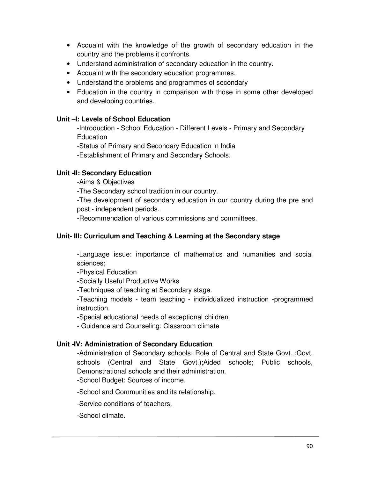- Acquaint with the knowledge of the growth of secondary education in the country and the problems it confronts.
- Understand administration of secondary education in the country.
- Acquaint with the secondary education programmes.
- Understand the problems and programmes of secondary
- Education in the country in comparison with those in some other developed and developing countries.

## **Unit –I: Levels of School Education**

-Introduction - School Education - Different Levels - Primary and Secondary **Education** 

-Status of Primary and Secondary Education in India

-Establishment of Primary and Secondary Schools.

## **Unit -II: Secondary Education**

-Aims & Objectives

-The Secondary school tradition in our country.

-The development of secondary education in our country during the pre and post - independent periods.

-Recommendation of various commissions and committees.

## **Unit- III: Curriculum and Teaching & Learning at the Secondary stage**

-Language issue: importance of mathematics and humanities and social sciences;

-Physical Education

-Socially Useful Productive Works

-Techniques of teaching at Secondary stage.

-Teaching models - team teaching - individualized instruction -programmed instruction.

-Special educational needs of exceptional children

- Guidance and Counseling: Classroom climate

## **Unit -IV: Administration of Secondary Education**

-Administration of Secondary schools: Role of Central and State Govt. ;Govt. schools (Central and State Govt.);Aided schools; Public schools, Demonstrational schools and their administration.

-School Budget: Sources of income.

-School and Communities and its relationship.

-Service conditions of teachers.

-School climate.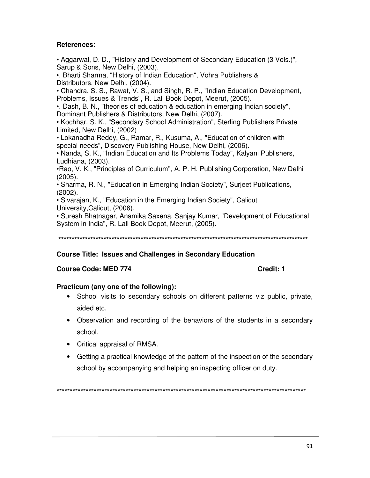## **References:**

• Aggarwal, D. D., "History and Development of Secondary Education (3 Vols.)", Sarup & Sons, New Delhi, (2003).

•. Bharti Sharma, "History of Indian Education", Vohra Publishers & Distributors, New Delhi, (2004).

• Chandra, S. S., Rawat, V. S., and Singh, R. P., "Indian Education Development, Problems, Issues & Trends", R. Lall Book Depot, Meerut, (2005).

•. Dash, B. N., "theories of education & education in emerging Indian society", Dominant Publishers & Distributors, New Delhi, (2007).

• Kochhar. S. K., "Secondary School Administration", Sterling Publishers Private Limited, New Delhi, (2002)

• Lokanadha Reddy, G., Ramar, R., Kusuma, A., "Education of children with special needs", Discovery Publishing House, New Delhi, (2006).

• Nanda, S. K., "Indian Education and Its Problems Today", Kalyani Publishers, Ludhiana, (2003).

•Rao, V. K., "Principles of Curriculum", A. P. H. Publishing Corporation, New Delhi (2005).

• Sharma, R. N., "Education in Emerging Indian Society", Surjeet Publications, (2002).

• Sivarajan, K., "Education in the Emerging Indian Society", Calicut University,Calicut, (2006).

• Suresh Bhatnagar, Anamika Saxena, Sanjay Kumar, "Development of Educational System in India", R. Lall Book Depot, Meerut, (2005).

**\*\*\*\*\*\*\*\*\*\*\*\*\*\*\*\*\*\*\*\*\*\*\*\*\*\*\*\*\*\*\*\*\*\*\*\*\*\*\*\*\*\*\*\*\*\*\*\*\*\*\*\*\*\*\*\*\*\*\*\*\*\*\*\*\*\*\*\*\*\*\*\*\*\*\*\*\*\*\*\*\*\*\*\*\*\*\*\*\*\*\*\*\*\*** 

## **Course Title: Issues and Challenges in Secondary Education**

### **Course Code: MED 774 Course Code: MED 774**

### **Practicum (any one of the following):**

- School visits to secondary schools on different patterns viz public, private, aided etc.
- Observation and recording of the behaviors of the students in a secondary school.
- Critical appraisal of RMSA.
- Getting a practical knowledge of the pattern of the inspection of the secondary school by accompanying and helping an inspecting officer on duty.

\*\*\*\*\*\*\*\*\*\*\*\*\*\*\*\*\*\*\*\*\*\*\*\*\*\*\*\*\*\*\*\*\*\*\*\*\*\*\*\*\*\*\*\*\*\*\*\*\*\*\*\*\*\*\*\*\*\*\*\*\*\*\*\*\*\*\*\*\*\*\*\*\*\*\*\*\*\*\*\*\*\*\*\*\*\*\*\*\*\*\*\*\*\*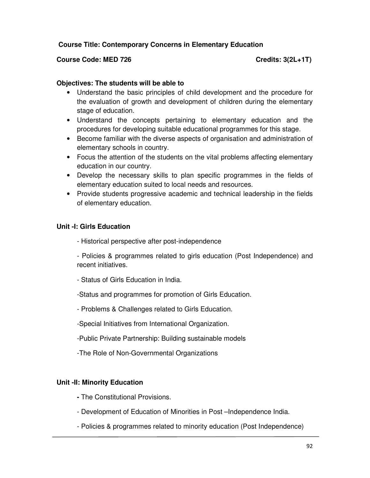## **Course Title: Contemporary Concerns in Elementary Education**

## Course Code: MED 726 Course Code: MED 726

## **Objectives: The students will be able to**

- Understand the basic principles of child development and the procedure for the evaluation of growth and development of children during the elementary stage of education.
- Understand the concepts pertaining to elementary education and the procedures for developing suitable educational programmes for this stage.
- Become familiar with the diverse aspects of organisation and administration of elementary schools in country.
- Focus the attention of the students on the vital problems affecting elementary education in our country.
- Develop the necessary skills to plan specific programmes in the fields of elementary education suited to local needs and resources.
- Provide students progressive academic and technical leadership in the fields of elementary education.

## **Unit -I: Girls Education**

- Historical perspective after post-independence

- Policies & programmes related to girls education (Post Independence) and recent initiatives.

- Status of Girls Education in India.
- -Status and programmes for promotion of Girls Education.
- Problems & Challenges related to Girls Education.
- -Special Initiatives from International Organization.
- -Public Private Partnership: Building sustainable models
- -The Role of Non-Governmental Organizations

### **Unit -II: Minority Education**

- The Constitutional Provisions.
- Development of Education of Minorities in Post –Independence India.
- Policies & programmes related to minority education (Post Independence)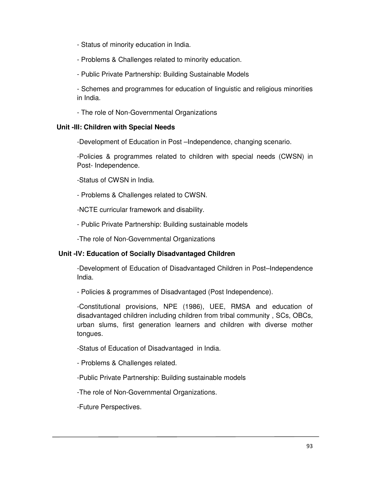- Status of minority education in India.
- Problems & Challenges related to minority education.
- Public Private Partnership: Building Sustainable Models

- Schemes and programmes for education of linguistic and religious minorities in India.

- The role of Non-Governmental Organizations

## **Unit -III: Children with Special Needs**

-Development of Education in Post –Independence, changing scenario.

-Policies & programmes related to children with special needs (CWSN) in Post- Independence.

-Status of CWSN in India.

- Problems & Challenges related to CWSN.

-NCTE curricular framework and disability.

- Public Private Partnership: Building sustainable models

-The role of Non-Governmental Organizations

## **Unit -IV: Education of Socially Disadvantaged Children**

-Development of Education of Disadvantaged Children in Post–Independence India.

- Policies & programmes of Disadvantaged (Post Independence).

-Constitutional provisions, NPE (1986), UEE, RMSA and education of disadvantaged children including children from tribal community , SCs, OBCs, urban slums, first generation learners and children with diverse mother tongues.

-Status of Education of Disadvantaged in India.

- Problems & Challenges related.

-Public Private Partnership: Building sustainable models

-The role of Non-Governmental Organizations.

-Future Perspectives.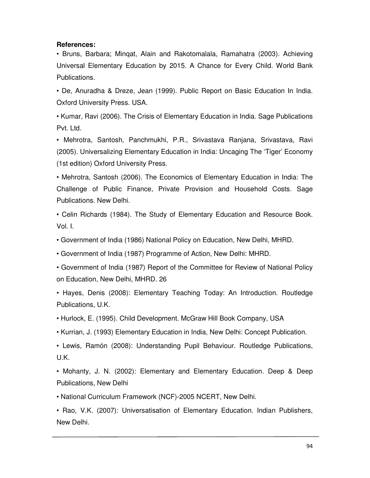#### **References:**

• Bruns, Barbara; Minqat, Alain and Rakotomalala, Ramahatra (2003). Achieving Universal Elementary Education by 2015. A Chance for Every Child. World Bank Publications.

• De, Anuradha & Dreze, Jean (1999). Public Report on Basic Education In India. Oxford University Press. USA.

• Kumar, Ravi (2006). The Crisis of Elementary Education in India. Sage Publications Pvt. Ltd.

• Mehrotra, Santosh, Panchmukhi, P.R., Srivastava Ranjana, Srivastava, Ravi (2005). Universalizing Elementary Education in India: Uncaging The 'Tiger' Economy (1st edition) Oxford University Press.

• Mehrotra, Santosh (2006). The Economics of Elementary Education in India: The Challenge of Public Finance, Private Provision and Household Costs. Sage Publications. New Delhi.

• Celin Richards (1984). The Study of Elementary Education and Resource Book. Vol. I.

• Government of India (1986) National Policy on Education, New Delhi, MHRD.

• Government of India (1987) Programme of Action, New Delhi: MHRD.

• Government of India (1987) Report of the Committee for Review of National Policy on Education, New Delhi, MHRD. 26

• Hayes, Denis (2008): Elementary Teaching Today: An Introduction. Routledge Publications, U.K.

• Hurlock, E. (1995). Child Development. McGraw Hill Book Company, USA

• Kurrian, J. (1993) Elementary Education in India, New Delhi: Concept Publication.

• Lewis, Ramón (2008): Understanding Pupil Behaviour. Routledge Publications, U.K.

• Mohanty, J. N. (2002): Elementary and Elementary Education. Deep & Deep Publications, New Delhi

• National Curriculum Framework (NCF)-2005 NCERT, New Delhi.

• Rao, V.K. (2007): Universatisation of Elementary Education. Indian Publishers, New Delhi.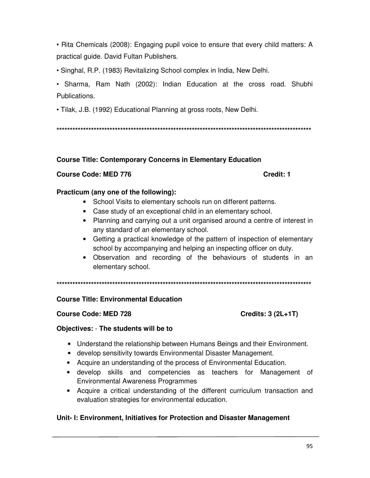• Rita Chemicals (2008): Engaging pupil voice to ensure that every child matters: A practical guide. David Fultan Publishers.

• Singhal, R.P. (1983) Revitalizing School complex in India, New Delhi.

• Sharma, Ram Nath (2002): Indian Education at the cross road. Shubhi Publications.

• Tilak, J.B. (1992) Educational Planning at gross roots, New Delhi.

**\*\*\*\*\*\*\*\*\*\*\*\*\*\*\*\*\*\*\*\*\*\*\*\*\*\*\*\*\*\*\*\*\*\*\*\*\*\*\*\*\*\*\*\*\*\*\*\*\*\*\*\*\*\*\*\*\*\*\*\*\*\*\*\*\*\*\*\*\*\*\*\*\*\*\*\*\*\*\*\*\*\*\*\*\*\*\*\*\*\*\*\*\*\*\*\*** 

# **Course Title: Contemporary Concerns in Elementary Education**

## **Course Code: MED 776 Credit: 1**

## **Practicum (any one of the following):**

- School Visits to elementary schools run on different patterns.
- Case study of an exceptional child in an elementary school.
- Planning and carrying out a unit organised around a centre of interest in any standard of an elementary school.
- Getting a practical knowledge of the pattern of inspection of elementary school by accompanying and helping an inspecting officer on duty.
- Observation and recording of the behaviours of students in an elementary school.

**\*\*\*\*\*\*\*\*\*\*\*\*\*\*\*\*\*\*\*\*\*\*\*\*\*\*\*\*\*\*\*\*\*\*\*\*\*\*\*\*\*\*\*\*\*\*\*\*\*\*\*\*\*\*\*\*\*\*\*\*\*\*\*\*\*\*\*\*\*\*\*\*\*\*\*\*\*\*\*\*\*\*\*\*\*\*\*\*\*\*\*\*\*\*\*\*** 

# **Course Title: Environmental Education**

## Course Code: MED 728 Course Code: MED 728

# **Objectives:** - **The students will be to**

- Understand the relationship between Humans Beings and their Environment.
- develop sensitivity towards Environmental Disaster Management.
- Acquire an understanding of the process of Environmental Education.
- develop skills and competencies as teachers for Management of Environmental Awareness Programmes
- Acquire a critical understanding of the different curriculum transaction and evaluation strategies for environmental education.

# **Unit- I: Environment, Initiatives for Protection and Disaster Management**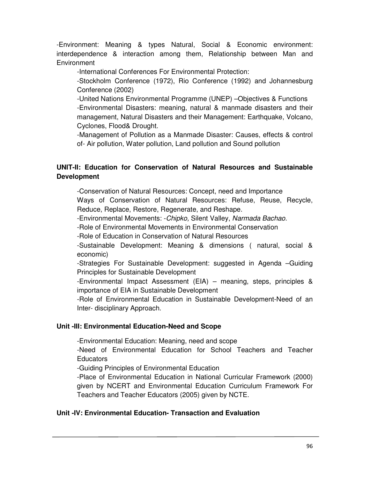-Environment: Meaning & types Natural, Social & Economic environment: interdependence & interaction among them, Relationship between Man and **Environment** 

-International Conferences For Environmental Protection:

-Stockholm Conference (1972), Rio Conference (1992) and Johannesburg Conference (2002)

-United Nations Environmental Programme (UNEP) –Objectives & Functions -Environmental Disasters: meaning, natural & manmade disasters and their management, Natural Disasters and their Management: Earthquake, Volcano, Cyclones, Flood& Drought.

-Management of Pollution as a Manmade Disaster: Causes, effects & control of- Air pollution, Water pollution, Land pollution and Sound pollution

# **UNIT-II: Education for Conservation of Natural Resources and Sustainable Development**

-Conservation of Natural Resources: Concept, need and Importance

Ways of Conservation of Natural Resources: Refuse, Reuse, Recycle, Reduce, Replace, Restore, Regenerate, and Reshape.

-Environmental Movements: -*Chipko,* Silent Valley, *Narmada Bachao.*

-Role of Environmental Movements in Environmental Conservation

-Role of Education in Conservation of Natural Resources

-Sustainable Development: Meaning & dimensions ( natural, social & economic)

-Strategies For Sustainable Development: suggested in Agenda –Guiding Principles for Sustainable Development

-Environmental Impact Assessment (EIA) – meaning, steps, principles & importance of EIA in Sustainable Development

-Role of Environmental Education in Sustainable Development-Need of an Inter- disciplinary Approach.

# **Unit -III: Environmental Education-Need and Scope**

-Environmental Education: Meaning, need and scope

-Need of Environmental Education for School Teachers and Teacher Educators

-Guiding Principles of Environmental Education

-Place of Environmental Education in National Curricular Framework (2000) given by NCERT and Environmental Education Curriculum Framework For Teachers and Teacher Educators (2005) given by NCTE.

## **Unit -IV: Environmental Education- Transaction and Evaluation**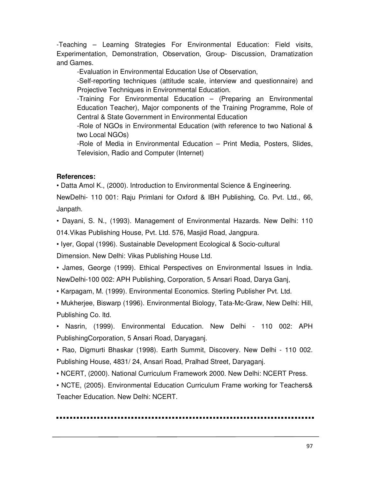-Teaching – Learning Strategies For Environmental Education: Field visits, Experimentation, Demonstration, Observation, Group- Discussion, Dramatization and Games.

-Evaluation in Environmental Education Use of Observation,

-Self-reporting techniques (attitude scale, interview and questionnaire) and Projective Techniques in Environmental Education.

-Training For Environmental Education – (Preparing an Environmental Education Teacher), Major components of the Training Programme, Role of Central & State Government in Environmental Education

-Role of NGOs in Environmental Education (with reference to two National & two Local NGOs)

-Role of Media in Environmental Education – Print Media, Posters, Slides, Television, Radio and Computer (Internet)

## **References:**

• Datta Amol K., (2000). Introduction to Environmental Science & Engineering.

NewDelhi- 110 001: Raju Primlani for Oxford & IBH Publishing, Co. Pvt. Ltd., 66, Janpath.

• Dayani, S. N., (1993). Management of Environmental Hazards. New Delhi: 110 014.Vikas Publishing House, Pvt. Ltd. 576, Masjid Road, Jangpura.

• Iyer, Gopal (1996). Sustainable Development Ecological & Socio-cultural

Dimension. New Delhi: Vikas Publishing House Ltd.

• James, George (1999). Ethical Perspectives on Environmental Issues in India. NewDelhi-100 002: APH Publishing, Corporation, 5 Ansari Road, Darya Ganj,

• Karpagam, M. (1999). Environmental Economics. Sterling Publisher Pvt. Ltd.

• Mukherjee, Biswarp (1996). Environmental Biology, Tata-Mc-Graw, New Delhi: Hill, Publishing Co. ltd.

• Nasrin, (1999). Environmental Education. New Delhi - 110 002: APH PublishingCorporation, 5 Ansari Road, Daryaganj.

• Rao, Digmurti Bhaskar (1998). Earth Summit, Discovery. New Delhi - 110 002. Publishing House, 4831/ 24, Ansari Road, Pralhad Street, Daryaganj.

• NCERT, (2000). National Curriculum Framework 2000. New Delhi: NCERT Press.

• NCTE, (2005). Environmental Education Curriculum Frame working for Teachers& Teacher Education. New Delhi: NCERT.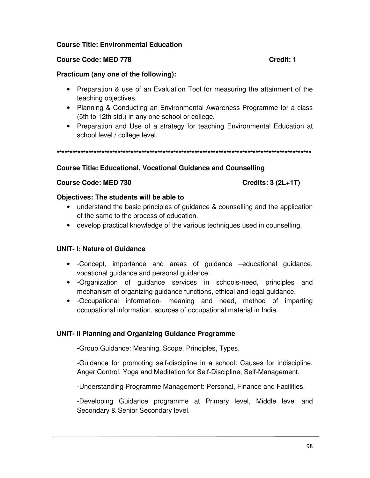## **Course Title: Environmental Education**

## **Course Code: MED 778 Course Code: MED 778**

## **Practicum (any one of the following):**

- Preparation & use of an Evaluation Tool for measuring the attainment of the teaching objectives.
- Planning & Conducting an Environmental Awareness Programme for a class (5th to 12th std.) in any one school or college.
- Preparation and Use of a strategy for teaching Environmental Education at school level / college level.

**\*\*\*\*\*\*\*\*\*\*\*\*\*\*\*\*\*\*\*\*\*\*\*\*\*\*\*\*\*\*\*\*\*\*\*\*\*\*\*\*\*\*\*\*\*\*\*\*\*\*\*\*\*\*\*\*\*\*\*\*\*\*\*\*\*\*\*\*\*\*\*\*\*\*\*\*\*\*\*\*\*\*\*\*\*\*\*\*\*\*\*\*\*\*\*\*** 

## **Course Title: Educational, Vocational Guidance and Counselling**

## Course Code: MED 730 Credits: 3 (2L+1T)

## **Objectives: The students will be able to**

- understand the basic principles of guidance & counselling and the application of the same to the process of education.
- develop practical knowledge of the various techniques used in counselling.

# **UNIT- I: Nature of Guidance**

- -Concept, importance and areas of guidance –educational guidance, vocational guidance and personal guidance.
- -Organization of guidance services in schools-need, principles and mechanism of organizing guidance functions, ethical and legal guidance.
- -Occupational information- meaning and need, method of imparting occupational information, sources of occupational material in India.

## **UNIT- II Planning and Organizing Guidance Programme**

**-**Group Guidance: Meaning, Scope, Principles, Types.

-Guidance for promoting self-discipline in a school: Causes for indiscipline, Anger Control, Yoga and Meditation for Self-Discipline, Self-Management.

-Understanding Programme Management: Personal, Finance and Facilities.

-Developing Guidance programme at Primary level, Middle level and Secondary & Senior Secondary level.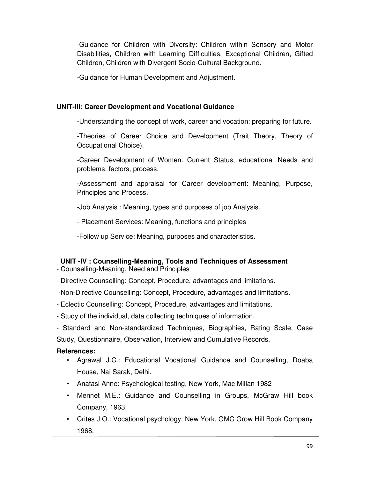-Guidance for Children with Diversity: Children within Sensory and Motor Disabilities, Children with Learning Difficulties, Exceptional Children, Gifted Children, Children with Divergent Socio-Cultural Background.

-Guidance for Human Development and Adjustment.

## **UNIT-III: Career Development and Vocational Guidance**

-Understanding the concept of work, career and vocation: preparing for future.

-Theories of Career Choice and Development (Trait Theory, Theory of Occupational Choice).

-Career Development of Women: Current Status, educational Needs and problems, factors, process.

-Assessment and appraisal for Career development: Meaning, Purpose, Principles and Process.

-Job Analysis : Meaning, types and purposes of job Analysis.

- Placement Services: Meaning, functions and principles

-Follow up Service: Meaning, purposes and characteristics**.** 

# **UNIT -IV : Counselling-Meaning, Tools and Techniques of Assessment**

- Counselling-Meaning, Need and Principles
- Directive Counselling: Concept, Procedure, advantages and limitations.

-Non-Directive Counselling: Concept, Procedure, advantages and limitations.

- Eclectic Counselling: Concept, Procedure, advantages and limitations.
- Study of the individual, data collecting techniques of information.

- Standard and Non-standardized Techniques, Biographies, Rating Scale, Case Study, Questionnaire, Observation, Interview and Cumulative Records.

## **References:**

- Agrawal J.C.: Educational Vocational Guidance and Counselling, Doaba House, Nai Sarak, Delhi.
- Anatasi Anne: Psychological testing, New York, Mac Millan 1982
- Mennet M.E.: Guidance and Counselling in Groups, McGraw Hill book Company, 1963.
- Crites J.O.: Vocational psychology, New York, GMC Grow Hill Book Company 1968.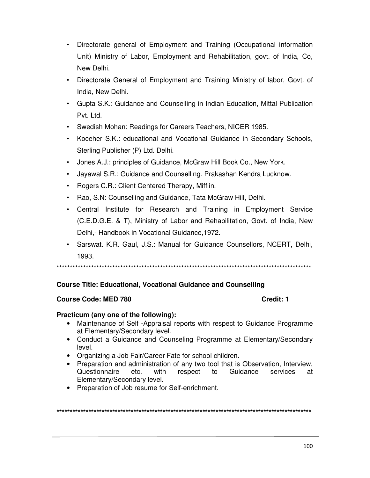- Directorate general of Employment and Training (Occupational information Unit) Ministry of Labor, Employment and Rehabilitation, govt. of India, Co, New Delhi.
- Directorate General of Employment and Training Ministry of labor, Govt. of India, New Delhi.
- Gupta S.K.: Guidance and Counselling in Indian Education, Mittal Publication Pvt. Ltd.
- Swedish Mohan: Readings for Careers Teachers, NICER 1985.
- Koceher S.K.: educational and Vocational Guidance in Secondary Schools, Sterling Publisher (P) Ltd. Delhi.
- Jones A.J.: principles of Guidance, McGraw Hill Book Co., New York.
- Jayawal S.R.: Guidance and Counselling. Prakashan Kendra Lucknow.
- Rogers C.R.: Client Centered Therapy, Mifflin.
- Rao, S.N: Counselling and Guidance, Tata McGraw Hill, Delhi.
- Central Institute for Research and Training in Employment Service (C.E.D.G.E. & T), Ministry of Labor and Rehabilitation, Govt. of India, New Delhi,- Handbook in Vocational Guidance,1972.
- Sarswat. K.R. Gaul, J.S.: Manual for Guidance Counsellors, NCERT, Delhi, 1993.

\*\*\*\*\*\*\*\*\*\*\*\*\*\*\*\*\*\*\*\*\*\*\*\*\*\*\*\*\*\*\*\*\*\*\*\*\*\*\*\*\*\*\*\*\*\*\*\*\*\*\*\*\*\*\*\*\*\*\*\*\*\*\*\*\*\*\*\*\*\*\*\*\*\*\*\*\*\*\*\*\*\*\*\*\*\*\*\*\*\*\*\*\*\*\*\*

# **Course Title: Educational, Vocational Guidance and Counselling**

## **Course Code: MED 780 Course Code: MED 780**

## **Practicum (any one of the following):**

- Maintenance of Self -Appraisal reports with respect to Guidance Programme at Elementary/Secondary level.
- Conduct a Guidance and Counseling Programme at Elementary/Secondary level.
- Organizing a Job Fair/Career Fate for school children.
- Preparation and administration of any two tool that is Observation, Interview, Questionnaire etc. with respect to Guidance services at Elementary/Secondary level.
- Preparation of Job resume for Self-enrichment.

**\*\*\*\*\*\*\*\*\*\*\*\*\*\*\*\*\*\*\*\*\*\*\*\*\*\*\*\*\*\*\*\*\*\*\*\*\*\*\*\*\*\*\*\*\*\*\*\*\*\*\*\*\*\*\*\*\*\*\*\*\*\*\*\*\*\*\*\*\*\*\*\*\*\*\*\*\*\*\*\*\*\*\*\*\*\*\*\*\*\*\*\*\*\*\*\***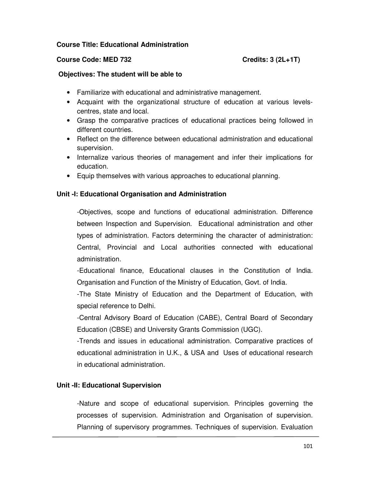### **Course Title: Educational Administration**

### Course Code: MED 732 **Course Code: MED 732**

#### **Objectives: The student will be able to**

- Familiarize with educational and administrative management.
- Acquaint with the organizational structure of education at various levelscentres, state and local.
- Grasp the comparative practices of educational practices being followed in different countries.
- Reflect on the difference between educational administration and educational supervision.
- Internalize various theories of management and infer their implications for education.
- Equip themselves with various approaches to educational planning.

## **Unit -I: Educational Organisation and Administration**

-Objectives, scope and functions of educational administration. Difference between Inspection and Supervision. Educational administration and other types of administration. Factors determining the character of administration: Central, Provincial and Local authorities connected with educational administration.

-Educational finance, Educational clauses in the Constitution of India. Organisation and Function of the Ministry of Education, Govt. of India.

-The State Ministry of Education and the Department of Education, with special reference to Delhi.

-Central Advisory Board of Education (CABE), Central Board of Secondary Education (CBSE) and University Grants Commission (UGC).

-Trends and issues in educational administration. Comparative practices of educational administration in U.K., & USA and Uses of educational research in educational administration.

### **Unit -II: Educational Supervision**

-Nature and scope of educational supervision. Principles governing the processes of supervision. Administration and Organisation of supervision. Planning of supervisory programmes. Techniques of supervision. Evaluation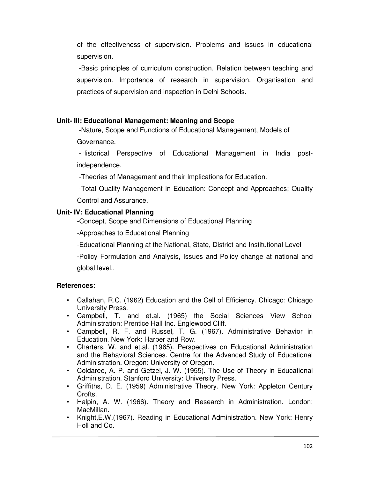of the effectiveness of supervision. Problems and issues in educational supervision.

 -Basic principles of curriculum construction. Relation between teaching and supervision. Importance of research in supervision. Organisation and practices of supervision and inspection in Delhi Schools.

## **Unit- III: Educational Management: Meaning and Scope**

 -Nature, Scope and Functions of Educational Management, Models of Governance.

 -Historical Perspective of Educational Management in India postindependence.

-Theories of Management and their Implications for Education.

 -Total Quality Management in Education: Concept and Approaches; Quality Control and Assurance.

# **Unit- IV: Educational Planning**

-Concept, Scope and Dimensions of Educational Planning

-Approaches to Educational Planning

-Educational Planning at the National, State, District and Institutional Level

-Policy Formulation and Analysis, Issues and Policy change at national and global level..

## **References:**

- Callahan, R.C. (1962) Education and the Cell of Efficiency. Chicago: Chicago University Press.
- Campbell, T. and et.al. (1965) the Social Sciences View School Administration: Prentice Hall Inc. Englewood Cliff.
- Campbell, R. F. and Russel, T. G. (1967). Administrative Behavior in Education. New York: Harper and Row.
- Charters, W. and et.al. (1965). Perspectives on Educational Administration and the Behavioral Sciences. Centre for the Advanced Study of Educational Administration. Oregon: University of Oregon.
- Coldaree, A. P. and Getzel, J. W. (1955). The Use of Theory in Educational Administration. Stanford University: University Press.
- Griffiths, D. E. (1959) Administrative Theory. New York: Appleton Century Crofts.
- Halpin, A. W. (1966). Theory and Research in Administration. London: MacMillan.
- Knight,E.W.(1967). Reading in Educational Administration. New York: Henry Holl and Co.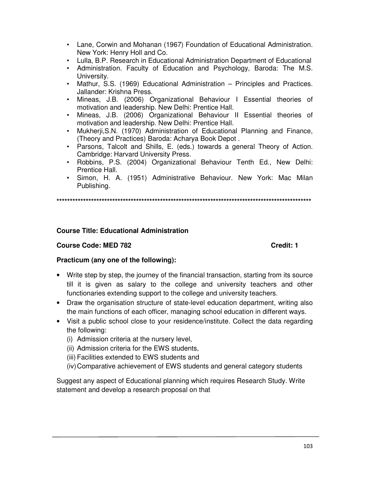- Lane, Corwin and Mohanan (1967) Foundation of Educational Administration. New York: Henry Holl and Co.
- Lulla, B.P. Research in Educational Administration Department of Educational
- Administration. Faculty of Education and Psychology, Baroda: The M.S. University.
- Mathur, S.S. (1969) Educational Administration Principles and Practices. Jallander: Krishna Press.
- Mineas, J.B. (2006) Organizational Behaviour I Essential theories of motivation and leadership. New Delhi: Prentice Hall.
- Mineas, J.B. (2006) Organizational Behaviour II Essential theories of motivation and leadership. New Delhi: Prentice Hall.
- Mukherji,S.N. (1970) Administration of Educational Planning and Finance, (Theory and Practices) Baroda: Acharya Book Depot .
- Parsons, Talcolt and Shills, E. (eds.) towards a general Theory of Action. Cambridge: Harvard University Press.
- Robbins, P.S. (2004) Organizational Behaviour Tenth Ed., New Delhi: Prentice Hall.
- Simon, H. A. (1951) Administrative Behaviour. New York: Mac Milan Publishing.

**\*\*\*\*\*\*\*\*\*\*\*\*\*\*\*\*\*\*\*\*\*\*\*\*\*\*\*\*\*\*\*\*\*\*\*\*\*\*\*\*\*\*\*\*\*\*\*\*\*\*\*\*\*\*\*\*\*\*\*\*\*\*\*\*\*\*\*\*\*\*\*\*\*\*\*\*\*\*\*\*\*\*\*\*\*\*\*\*\*\*\*\*\*\*\*\*** 

# **Course Title: Educational Administration**

## **Course Code: MED 782 Credit: 1**

## **Practicum (any one of the following):**

- Write step by step, the journey of the financial transaction, starting from its source till it is given as salary to the college and university teachers and other functionaries extending support to the college and university teachers.
- Draw the organisation structure of state-level education department, writing also the main functions of each officer, managing school education in different ways.
- Visit a public school close to your residence/institute. Collect the data regarding the following:
	- (i) Admission criteria at the nursery level,
	- (ii) Admission criteria for the EWS students,
	- (iii) Facilities extended to EWS students and
	- (iv) Comparative achievement of EWS students and general category students

Suggest any aspect of Educational planning which requires Research Study. Write statement and develop a research proposal on that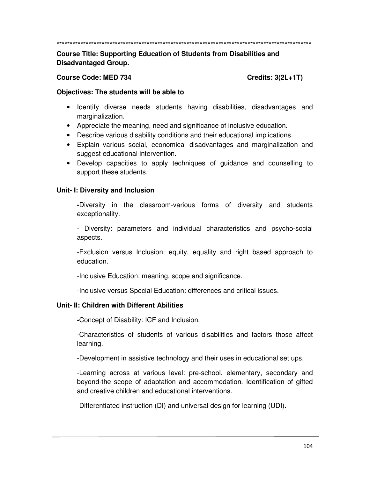\*\*\*\*\*\*\*\*\*\*\*\*\*\*\*\*\*\*\*\*\*\*\*\*\*\*\*\*\*\*\*\*\*\*\*\*\*\*\*\*\*\*\*\*\*\*\*\*\*\*\*\*\*\*\*\*\*\*\*\*\*\*\*\*\*\*\*\*\*\*\*\*\*\*\*\*\*\*\*\*\*\*\*\*\*\*\*\*\*\*\*\*\*\*\*\*

**Course Title: Supporting Education of Students from Disabilities and Disadvantaged Group.** 

### Course Code: MED 734 Credits: 3(2L+1T)

### **Objectives: The students will be able to**

- Identify diverse needs students having disabilities, disadvantages and marginalization.
- Appreciate the meaning, need and significance of inclusive education.
- Describe various disability conditions and their educational implications.
- Explain various social, economical disadvantages and marginalization and suggest educational intervention.
- Develop capacities to apply techniques of guidance and counselling to support these students.

## **Unit- I: Diversity and Inclusion**

**-**Diversity in the classroom-various forms of diversity and students exceptionality.

- Diversity: parameters and individual characteristics and psycho-social aspects.

-Exclusion versus Inclusion: equity, equality and right based approach to education.

-Inclusive Education: meaning, scope and significance.

-Inclusive versus Special Education: differences and critical issues.

## **Unit- II: Children with Different Abilities**

**-**Concept of Disability: ICF and Inclusion.

-Characteristics of students of various disabilities and factors those affect learning.

-Development in assistive technology and their uses in educational set ups.

-Learning across at various level: pre-school, elementary, secondary and beyond-the scope of adaptation and accommodation. Identification of gifted and creative children and educational interventions.

-Differentiated instruction (DI) and universal design for learning (UDI).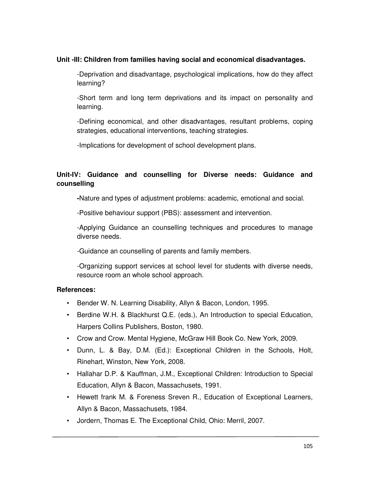## **Unit -III: Children from families having social and economical disadvantages.**

-Deprivation and disadvantage, psychological implications, how do they affect learning?

-Short term and long term deprivations and its impact on personality and learning.

-Defining economical, and other disadvantages, resultant problems, coping strategies, educational interventions, teaching strategies.

-Implications for development of school development plans.

# **Unit-IV: Guidance and counselling for Diverse needs: Guidance and counselling**

**-**Nature and types of adjustment problems: academic, emotional and social.

-Positive behaviour support (PBS): assessment and intervention.

-Applying Guidance an counselling techniques and procedures to manage diverse needs.

-Guidance an counselling of parents and family members.

-Organizing support services at school level for students with diverse needs, resource room an whole school approach.

## **References:**

- Bender W. N. Learning Disability, Allyn & Bacon, London, 1995.
- Berdine W.H. & Blackhurst Q.E. (eds.), An Introduction to special Education, Harpers Collins Publishers, Boston, 1980.
- Crow and Crow. Mental Hygiene, McGraw Hill Book Co. New York, 2009.
- Dunn, L. & Bay, D.M. (Ed.): Exceptional Children in the Schools, Holt, Rinehart, Winston, New York, 2008.
- Hallahar D.P. & Kauffman, J.M., Exceptional Children: Introduction to Special Education, Allyn & Bacon, Massachusets, 1991.
- Hewett frank M. & Foreness Sreven R., Education of Exceptional Learners, Allyn & Bacon, Massachusets, 1984.
- Jordern, Thomas E. The Exceptional Child, Ohio: Merril, 2007.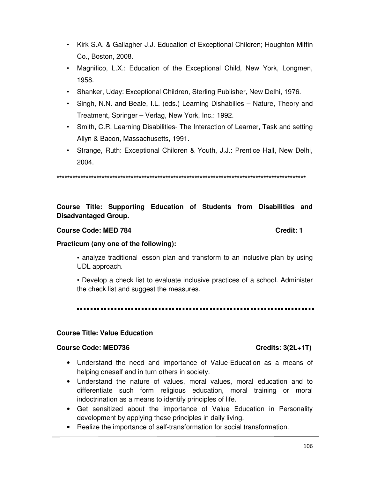- Kirk S.A. & Gallagher J.J. Education of Exceptional Children; Houghton Miffin Co., Boston, 2008.
- Magnifico, L.X.: Education of the Exceptional Child, New York, Longmen, 1958.
- Shanker, Uday: Exceptional Children, Sterling Publisher, New Delhi, 1976.
- Singh, N.N. and Beale, I.L. (eds.) Learning Dishabilles Nature, Theory and Treatment, Springer – Verlag, New York, Inc.: 1992.
- Smith, C.R. Learning Disabilities- The Interaction of Learner, Task and setting Allyn & Bacon, Massachusetts, 1991.
- Strange, Ruth: Exceptional Children & Youth, J.J.: Prentice Hall, New Delhi, 2004.

**\*\*\*\*\*\*\*\*\*\*\*\*\*\*\*\*\*\*\*\*\*\*\*\*\*\*\*\*\*\*\*\*\*\*\*\*\*\*\*\*\*\*\*\*\*\*\*\*\*\*\*\*\*\*\*\*\*\*\*\*\*\*\*\*\*\*\*\*\*\*\*\*\*\*\*\*\*\*\*\*\*\*\*\*\*\*\*\*\*\*\*\*\*\*** 

# **Course Title: Supporting Education of Students from Disabilities and Disadvantaged Group.**

#### **Course Code: MED 784 Credit: 1**

### **Practicum (any one of the following):**

**•** analyze traditional lesson plan and transform to an inclusive plan by using UDL approach.

• Develop a check list to evaluate inclusive practices of a school. Administer the check list and suggest the measures.

#### **Course Title: Value Education**

#### Course Code: MED736 Credits: 3(2L+1T)

- Understand the need and importance of Value-Education as a means of helping oneself and in turn others in society.
- Understand the nature of values, moral values, moral education and to differentiate such form religious education, moral training or moral indoctrination as a means to identify principles of life.
- Get sensitized about the importance of Value Education in Personality development by applying these principles in daily living.
- Realize the importance of self-transformation for social transformation.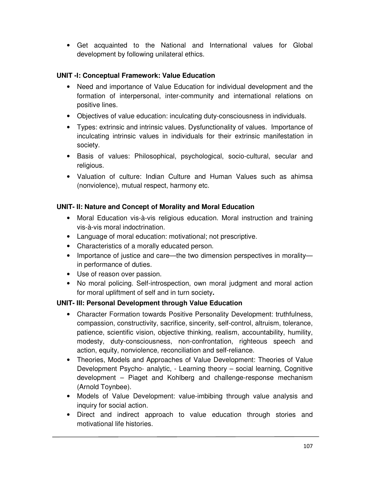• Get acquainted to the National and International values for Global development by following unilateral ethics.

# **UNIT -I: Conceptual Framework: Value Education**

- Need and importance of Value Education for individual development and the formation of interpersonal, inter-community and international relations on positive lines.
- Objectives of value education: inculcating duty-consciousness in individuals.
- Types: extrinsic and intrinsic values. Dysfunctionality of values. Importance of inculcating intrinsic values in individuals for their extrinsic manifestation in society.
- Basis of values: Philosophical, psychological, socio-cultural, secular and religious.
- Valuation of culture: Indian Culture and Human Values such as ahimsa (nonviolence), mutual respect, harmony etc.

# **UNIT- II: Nature and Concept of Morality and Moral Education**

- Moral Education vis-à-vis religious education. Moral instruction and training vis-à-vis moral indoctrination.
- Language of moral education: motivational; not prescriptive.
- Characteristics of a morally educated person.
- Importance of justice and care—the two dimension perspectives in morality in performance of duties.
- Use of reason over passion.
- No moral policing. Self-introspection, own moral judgment and moral action for moral upliftment of self and in turn society**.**

# **UNIT- III: Personal Development through Value Education**

- Character Formation towards Positive Personality Development: truthfulness, compassion, constructivity, sacrifice, sincerity, self-control, altruism, tolerance, patience, scientific vision, objective thinking, realism, accountability, humility, modesty, duty-consciousness, non-confrontation, righteous speech and action, equity, nonviolence, reconciliation and self-reliance.
- Theories, Models and Approaches of Value Development: Theories of Value Development Psycho- analytic, - Learning theory – social learning, Cognitive development – Piaget and Kohlberg and challenge-response mechanism (Arnold Toynbee).
- Models of Value Development: value-imbibing through value analysis and inquiry for social action.
- Direct and indirect approach to value education through stories and motivational life histories.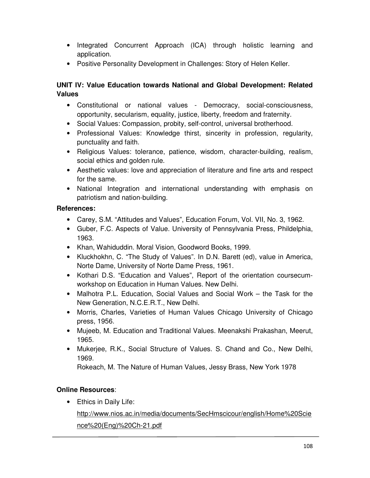- Integrated Concurrent Approach (ICA) through holistic learning and application.
- Positive Personality Development in Challenges: Story of Helen Keller.

# **UNIT IV: Value Education towards National and Global Development: Related Values**

- Constitutional or national values Democracy, social-consciousness, opportunity, secularism, equality, justice, liberty, freedom and fraternity.
- Social Values: Compassion, probity, self-control, universal brotherhood.
- Professional Values: Knowledge thirst, sincerity in profession, regularity, punctuality and faith.
- Religious Values: tolerance, patience, wisdom, character-building, realism, social ethics and golden rule.
- Aesthetic values: love and appreciation of literature and fine arts and respect for the same.
- National Integration and international understanding with emphasis on patriotism and nation-building.

# **References:**

- Carey, S.M. "Attitudes and Values", Education Forum, Vol. VII, No. 3, 1962.
- Guber, F.C. Aspects of Value. University of Pennsylvania Press, Phildelphia, 1963.
- Khan, Wahiduddin. Moral Vision, Goodword Books, 1999.
- Kluckhokhn, C. "The Study of Values". In D.N. Barett (ed), value in America, Norte Dame, University of Norte Dame Press, 1961.
- Kothari D.S. "Education and Values", Report of the orientation coursecumworkshop on Education in Human Values. New Delhi.
- Malhotra P.L. Education, Social Values and Social Work the Task for the New Generation, N.C.E.R.T., New Delhi.
- Morris, Charles, Varieties of Human Values Chicago University of Chicago press, 1956.
- Mujeeb, M. Education and Traditional Values. Meenakshi Prakashan, Meerut, 1965.
- Mukerjee, R.K., Social Structure of Values. S. Chand and Co., New Delhi, 1969.

Rokeach, M. The Nature of Human Values, Jessy Brass, New York 1978

# **Online Resources**:

• Ethics in Daily Life:

http://www.nios.ac.in/media/documents/SecHmscicour/english/Home%20Scie nce%20(Eng)%20Ch-21.pdf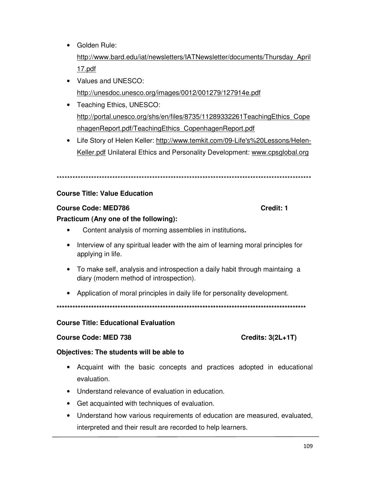- Golden Rule: http://www.bard.edu/iat/newsletters/IATNewsletter/documents/Thursday\_April 17.pdf
- Values and UNESCO: http://unesdoc.unesco.org/images/0012/001279/127914e.pdf
- Teaching Ethics, UNESCO: http://portal.unesco.org/shs/en/files/8735/11289332261TeachingEthics\_Cope nhagenReport.pdf/TeachingEthics\_CopenhagenReport.pdf
- Life Story of Helen Keller: http://www.temkit.com/09-Life's%20Lessons/Helen-Keller.pdf Unilateral Ethics and Personality Development: www.cpsglobal.org

\*\*\*\*\*\*\*\*\*\*\*\*\*\*\*\*\*\*\*\*\*\*\*\*\*\*\*\*\*\*\*\*\*\*\*\*\*\*\*\*\*\*\*\*\*\*\*\*\*\*\*\*\*\*\*\*\*\*\*\*\*\*\*\*\*\*\*\*\*\*\*\*\*\*\*\*\*\*\*\*\*\*\*\*\*\*\*\*\*\*\*\*\*\*\*\*

### **Course Title: Value Education**

### **Course Code: MED786 Course Code: MED786**

### **Practicum (Any one of the following):**

- •Content analysis of morning assemblies in institutions**.**
- Interview of any spiritual leader with the aim of learning moral principles for applying in life.
- To make self, analysis and introspection a daily habit through maintaing a diary (modern method of introspection).
- Application of moral principles in daily life for personality development.

**\*\*\*\*\*\*\*\*\*\*\*\*\*\*\*\*\*\*\*\*\*\*\*\*\*\*\*\*\*\*\*\*\*\*\*\*\*\*\*\*\*\*\*\*\*\*\*\*\*\*\*\*\*\*\*\*\*\*\*\*\*\*\*\*\*\*\*\*\*\*\*\*\*\*\*\*\*\*\*\*\*\*\*\*\*\*\*\*\*\*\*\*\*\*** 

### **Course Title: Educational Evaluation**

### Course Code: MED 738 Credits: 3(2L+1T)

### **Objectives: The students will be able to**

- Acquaint with the basic concepts and practices adopted in educational evaluation.
- Understand relevance of evaluation in education.
- Get acquainted with techniques of evaluation.
- Understand how various requirements of education are measured, evaluated, interpreted and their result are recorded to help learners.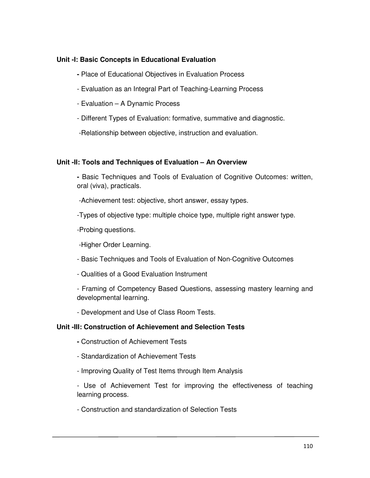## **Unit -I: Basic Concepts in Educational Evaluation**

- Place of Educational Objectives in Evaluation Process
- Evaluation as an Integral Part of Teaching-Learning Process
- Evaluation A Dynamic Process
- Different Types of Evaluation: formative, summative and diagnostic.

-Relationship between objective, instruction and evaluation.

### **Unit -II: Tools and Techniques of Evaluation – An Overview**

**-** Basic Techniques and Tools of Evaluation of Cognitive Outcomes: written, oral (viva), practicals.

-Achievement test: objective, short answer, essay types.

-Types of objective type: multiple choice type, multiple right answer type.

-Probing questions.

-Higher Order Learning.

- Basic Techniques and Tools of Evaluation of Non-Cognitive Outcomes
- Qualities of a Good Evaluation Instrument

- Framing of Competency Based Questions, assessing mastery learning and developmental learning.

- Development and Use of Class Room Tests.

### **Unit -III: Construction of Achievement and Selection Tests**

- Construction of Achievement Tests
- Standardization of Achievement Tests
- Improving Quality of Test Items through Item Analysis

- Use of Achievement Test for improving the effectiveness of teaching learning process.

- Construction and standardization of Selection Tests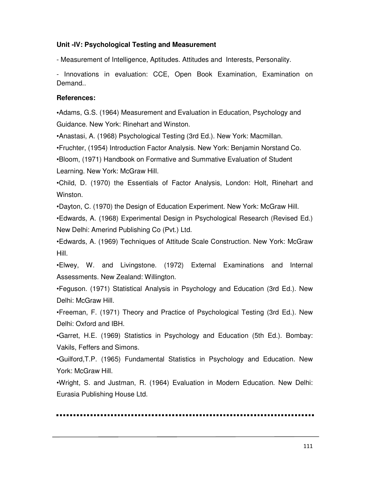## **Unit -IV: Psychological Testing and Measurement**

- Measurement of Intelligence, Aptitudes. Attitudes and Interests, Personality.

- Innovations in evaluation: CCE, Open Book Examination, Examination on Demand..

### **References:**

**•**Adams, G.S. (1964) Measurement and Evaluation in Education, Psychology and Guidance. New York: Rinehart and Winston.

•Anastasi, A. (1968) Psychological Testing (3rd Ed.). New York: Macmillan.

•Fruchter, (1954) Introduction Factor Analysis. New York: Benjamin Norstand Co.

•Bloom, (1971) Handbook on Formative and Summative Evaluation of Student Learning. New York: McGraw Hill.

•Child, D. (1970) the Essentials of Factor Analysis, London: Holt, Rinehart and Winston.

•Dayton, C. (1970) the Design of Education Experiment. New York: McGraw Hill.

•Edwards, A. (1968) Experimental Design in Psychological Research (Revised Ed.) New Delhi: Amerind Publishing Co (Pvt.) Ltd.

•Edwards, A. (1969) Techniques of Attitude Scale Construction. New York: McGraw Hill.

•Elwey, W. and Livingstone. (1972) External Examinations and Internal Assessments. New Zealand: Willington.

•Feguson. (1971) Statistical Analysis in Psychology and Education (3rd Ed.). New Delhi: McGraw Hill.

•Freeman, F. (1971) Theory and Practice of Psychological Testing (3rd Ed.). New Delhi: Oxford and IBH.

•Garret, H.E. (1969) Statistics in Psychology and Education (5th Ed.). Bombay: Vakils, Feffers and Simons.

•Guilford,T.P. (1965) Fundamental Statistics in Psychology and Education. New York: McGraw Hill.

•Wright, S. and Justman, R. (1964) Evaluation in Modern Education. New Delhi: Eurasia Publishing House Ltd.

. . . . . . . . . . . . . . . . . . .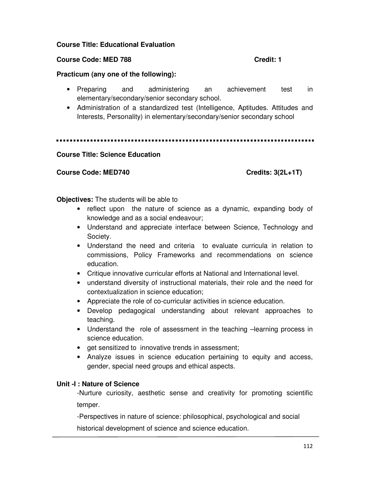### **Course Title: Educational Evaluation**

## **Course Code: MED 788 Course Code: MED 788**

### **Practicum (any one of the following):**

- Preparing and administering an achievement test in elementary/secondary/senior secondary school.
- Administration of a standardized test (Intelligence, Aptitudes. Attitudes and Interests, Personality) in elementary/secondary/senior secondary school

### **Course Title: Science Education**

### Course Code: MED740 Course Code: MED740

**Objectives:** The students will be able to

- reflect upon the nature of science as a dynamic, expanding body of knowledge and as a social endeavour;
- Understand and appreciate interface between Science, Technology and Society.
- Understand the need and criteria to evaluate curricula in relation to commissions, Policy Frameworks and recommendations on science education.
- Critique innovative curricular efforts at National and International level.
- understand diversity of instructional materials, their role and the need for contextualization in science education;
- Appreciate the role of co-curricular activities in science education.
- Develop pedagogical understanding about relevant approaches to teaching.
- Understand the role of assessment in the teaching –learning process in science education.
- get sensitized to innovative trends in assessment;
- Analyze issues in science education pertaining to equity and access, gender, special need groups and ethical aspects.

### **Unit -I : Nature of Science**

-Nurture curiosity, aesthetic sense and creativity for promoting scientific temper.

-Perspectives in nature of science: philosophical, psychological and social

historical development of science and science education.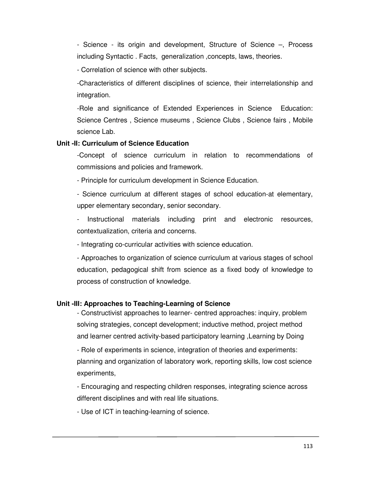- Science - its origin and development, Structure of Science –, Process including Syntactic . Facts, generalization ,concepts, laws, theories.

- Correlation of science with other subjects.

-Characteristics of different disciplines of science, their interrelationship and integration.

-Role and significance of Extended Experiences in Science Education: Science Centres , Science museums , Science Clubs , Science fairs , Mobile science Lab.

### **Unit -II: Curriculum of Science Education**

-Concept of science curriculum in relation to recommendations of commissions and policies and framework.

- Principle for curriculum development in Science Education.

- Science curriculum at different stages of school education-at elementary, upper elementary secondary, senior secondary.

Instructional materials including print and electronic resources, contextualization, criteria and concerns.

- Integrating co-curricular activities with science education.

- Approaches to organization of science curriculum at various stages of school education, pedagogical shift from science as a fixed body of knowledge to process of construction of knowledge.

## **Unit -III: Approaches to Teaching-Learning of Science**

- Constructivist approaches to learner- centred approaches: inquiry, problem solving strategies, concept development; inductive method, project method and learner centred activity-based participatory learning ,Learning by Doing

- Role of experiments in science, integration of theories and experiments: planning and organization of laboratory work, reporting skills, low cost science experiments,

- Encouraging and respecting children responses, integrating science across different disciplines and with real life situations.

- Use of ICT in teaching-learning of science.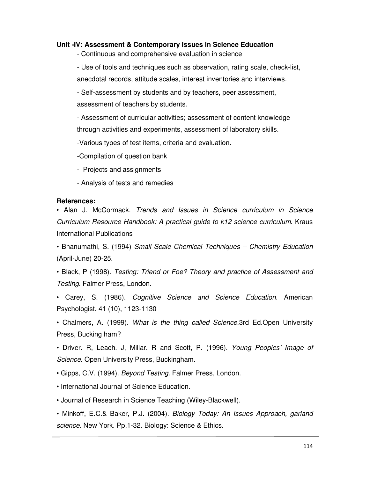### **Unit -IV: Assessment & Contemporary Issues in Science Education**

- Continuous and comprehensive evaluation in science

- Use of tools and techniques such as observation, rating scale, check-list, anecdotal records, attitude scales, interest inventories and interviews.

- Self-assessment by students and by teachers, peer assessment, assessment of teachers by students.

- Assessment of curricular activities; assessment of content knowledge through activities and experiments, assessment of laboratory skills.

-Various types of test items, criteria and evaluation.

-Compilation of question bank

- Projects and assignments

- Analysis of tests and remedies

### **References:**

• Alan J. McCormack. *Trends and Issues in Science curriculum in Science Curriculum Resource Handbook: A practical guide to k12 science curriculum*. Kraus International Publications

• Bhanumathi, S. (1994) *Small Scale Chemical Techniques – Chemistry Education*  (April-June) 20-25.

• Black, P (1998). *Testing: Triend or Foe? Theory and practice of Assessment and Testing*. Falmer Press, London.

• Carey, S. (1986). *Cognitive Science and Science Education*. American Psychologist. 41 (10), 1123-1130

• Chalmers, A. (1999). *What is the thing called Science*.3rd Ed.Open University Press, Bucking ham?

• Driver. R, Leach. J, Millar. R and Scott, P. (1996). *Young Peoples' Image of Science*. Open University Press, Buckingham.

• Gipps, C.V. (1994). *Beyond Testing*. Falmer Press, London.

• International Journal of Science Education.

• Journal of Research in Science Teaching (Wiley-Blackwell).

• Minkoff, E.C.& Baker, P.J. (2004). *Biology Today: An Issues Approach, garland science*. New York. Pp.1-32. Biology: Science & Ethics.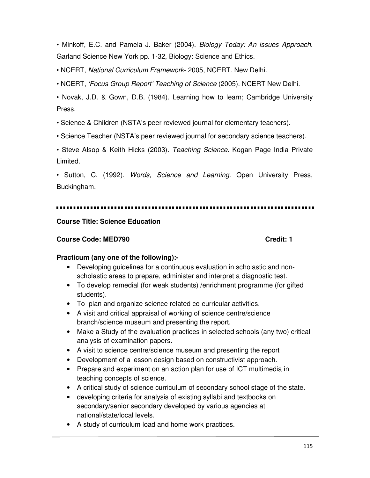• Minkoff, E.C. and Pamela J. Baker (2004). *Biology Today: An issues Approach*. Garland Science New York pp. 1-32, Biology: Science and Ethics.

• NCERT, *National Curriculum Framework*- 2005, NCERT. New Delhi.

• NCERT, *'Focus Group Report' Teaching of Science* (2005). NCERT New Delhi.

• Novak, J.D. & Gown, D.B. (1984). Learning how to learn; Cambridge University Press.

• Science & Children (NSTA's peer reviewed journal for elementary teachers).

• Science Teacher (NSTA's peer reviewed journal for secondary science teachers).

• Steve Alsop & Keith Hicks (2003). *Teaching Science*. Kogan Page India Private Limited.

• Sutton, C. (1992). *Words, Science and Learning*. Open University Press, Buckingham.

## **Course Title: Science Education**

## **Course Code: MED790 Course Code: MED790**

## **Practicum (any one of the following):-**

- Developing guidelines for a continuous evaluation in scholastic and nonscholastic areas to prepare, administer and interpret a diagnostic test.
- To develop remedial (for weak students) /enrichment programme (for gifted students).
- To plan and organize science related co-curricular activities.
- A visit and critical appraisal of working of science centre/science branch/science museum and presenting the report.
- Make a Study of the evaluation practices in selected schools (any two) critical analysis of examination papers.
- A visit to science centre/science museum and presenting the report
- Development of a lesson design based on constructivist approach.
- Prepare and experiment on an action plan for use of ICT multimedia in teaching concepts of science.
- A critical study of science curriculum of secondary school stage of the state.
- developing criteria for analysis of existing syllabi and textbooks on secondary/senior secondary developed by various agencies at national/state/local levels.
- A study of curriculum load and home work practices.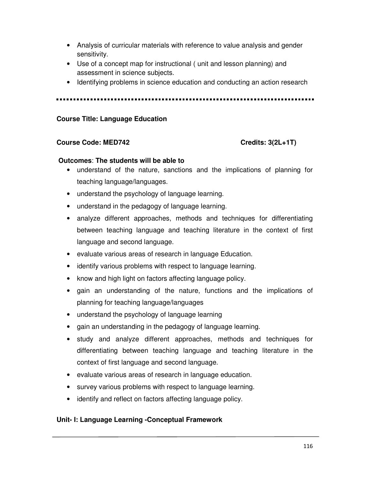- Analysis of curricular materials with reference to value analysis and gender sensitivity.
- Use of a concept map for instructional ( unit and lesson planning) and assessment in science subjects.
- Identifying problems in science education and conducting an action research

### **Course Title: Language Education**

### Course Code: MED742 Credits: 3(2L+1T)

### **Outcomes**: **The students will be able to**

- understand of the nature, sanctions and the implications of planning for teaching language/languages.
- understand the psychology of language learning.
- understand in the pedagogy of language learning.
- analyze different approaches, methods and techniques for differentiating between teaching language and teaching literature in the context of first language and second language.
- evaluate various areas of research in language Education.
- identify various problems with respect to language learning.
- know and high light on factors affecting language policy.
- gain an understanding of the nature, functions and the implications of planning for teaching language/languages
- understand the psychology of language learning
- gain an understanding in the pedagogy of language learning.
- study and analyze different approaches, methods and techniques for differentiating between teaching language and teaching literature in the context of first language and second language.
- evaluate various areas of research in language education.
- survey various problems with respect to language learning.
- identify and reflect on factors affecting language policy.

## **Unit- I: Language Learning -Conceptual Framework**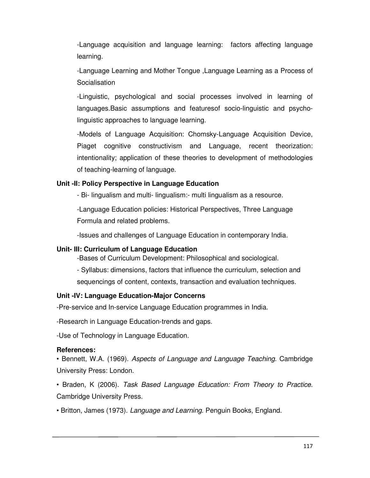-Language acquisition and language learning: factors affecting language learning.

-Language Learning and Mother Tongue ,Language Learning as a Process of **Socialisation** 

-Linguistic, psychological and social processes involved in learning of languages.Basic assumptions and featuresof socio-linguistic and psycholinguistic approaches to language learning.

-Models of Language Acquisition: Chomsky-Language Acquisition Device, Piaget cognitive constructivism and Language, recent theorization: intentionality; application of these theories to development of methodologies of teaching-learning of language.

## **Unit -II: Policy Perspective in Language Education**

- Bi- lingualism and multi- lingualism:- multi lingualism as a resource.

-Language Education policies: Historical Perspectives, Three Language Formula and related problems.

-Issues and challenges of Language Education in contemporary India.

# **Unit- III: Curriculum of Language Education**

-Bases of Curriculum Development: Philosophical and sociological.

- Syllabus: dimensions, factors that influence the curriculum, selection and sequencings of content, contexts, transaction and evaluation techniques.

# **Unit -IV: Language Education-Major Concerns**

-Pre-service and In-service Language Education programmes in India.

-Research in Language Education-trends and gaps.

-Use of Technology in Language Education.

# **References:**

• Bennett, W.A. (1969). *Aspects of Language and Language Teaching*. Cambridge University Press: London.

• Braden, K (2006). *Task Based Language Education: From Theory to Practice*. Cambridge University Press.

• Britton, James (1973). *Language and Learning*. Penguin Books, England.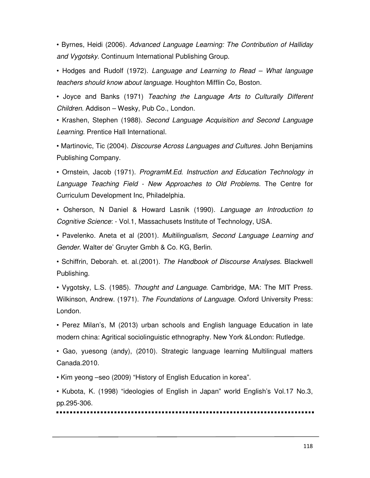• Byrnes, Heidi (2006). *Advanced Language Learning: The Contribution of Halliday and Vygotsky*. Continuum International Publishing Group.

• Hodges and Rudolf (1972). *Language and Learning to Read – What language teachers should know about language*. Houghton Mifflin Co, Boston.

• Joyce and Banks (1971) *Teaching the Language Arts to Culturally Different Children*. Addison – Wesky, Pub Co., London.

• Krashen, Stephen (1988). *Second Language Acquisition and Second Language Learning*. Prentice Hall International.

• Martinovic, Tic (2004). *Discourse Across Languages and Cultures*. John Benjamins Publishing Company.

• Ornstein, Jacob (1971). *ProgramM.Ed. Instruction and Education Technology in Language Teaching Field - New Approaches to Old Problems*. The Centre for Curriculum Development Inc, Philadelphia.

• Osherson, N Daniel & Howard Lasnik (1990). *Language an Introduction to Cognitive Science*: - Vol.1, Massachusets Institute of Technology, USA.

• Pavelenko. Aneta et al (2001). *Multilingualism, Second Language Learning and Gender*. Walter de' Gruyter Gmbh & Co. KG, Berlin.

• Schiffrin, Deborah. et. al.(2001). *The Handbook of Discourse Analyses*. Blackwell Publishing.

• Vygotsky, L.S. (1985). *Thought and Language*. Cambridge, MA: The MIT Press. Wilkinson, Andrew. (1971). *The Foundations of Language*. Oxford University Press: London.

• Perez Milan's, M (2013) urban schools and English language Education in late modern china: Agritical sociolinguistic ethnography. New York &London: Rutledge.

• Gao, yuesong (andy), (2010). Strategic language learning Multilingual matters Canada.2010.

• Kim yeong –seo (2009) "History of English Education in korea".

• Kubota, K. (1998) "ideologies of English in Japan" world English's Vol.17 No.3, pp.295-306.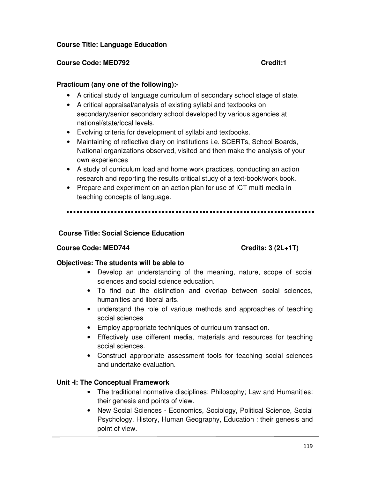## **Course Title: Language Education**

## **Course Code: MED792 Credit:1**

## **Practicum (any one of the following):-**

- A critical study of language curriculum of secondary school stage of state.
- A critical appraisal/analysis of existing syllabi and textbooks on secondary/senior secondary school developed by various agencies at national/state/local levels.
- Evolving criteria for development of syllabi and textbooks.
- Maintaining of reflective diary on institutions i.e. SCERTs, School Boards, National organizations observed, visited and then make the analysis of your own experiences
- A study of curriculum load and home work practices, conducting an action research and reporting the results critical study of a text-book/work book.
- Prepare and experiment on an action plan for use of ICT multi-media in teaching concepts of language.

## **Course Title: Social Science Education**

## Course Code: MED744 Course Code: MED744

## **Objectives: The students will be able to**

- Develop an understanding of the meaning, nature, scope of social sciences and social science education.
- To find out the distinction and overlap between social sciences, humanities and liberal arts.
- understand the role of various methods and approaches of teaching social sciences
- Employ appropriate techniques of curriculum transaction.
- Effectively use different media, materials and resources for teaching social sciences.
- Construct appropriate assessment tools for teaching social sciences and undertake evaluation.

## **Unit -I: The Conceptual Framework**

- The traditional normative disciplines: Philosophy; Law and Humanities: their genesis and points of view.
- New Social Sciences Economics, Sociology, Political Science, Social Psychology, History, Human Geography, Education : their genesis and point of view.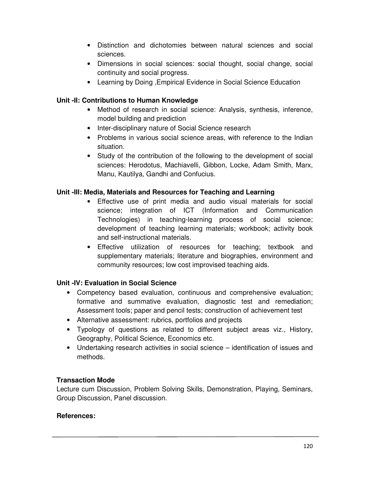- Distinction and dichotomies between natural sciences and social sciences.
- Dimensions in social sciences: social thought, social change, social continuity and social progress.
- Learning by Doing , Empirical Evidence in Social Science Education

# **Unit -II: Contributions to Human Knowledge**

- Method of research in social science: Analysis, synthesis, inference, model building and prediction
- Inter-disciplinary nature of Social Science research
- Problems in various social science areas, with reference to the Indian situation.
- Study of the contribution of the following to the development of social sciences: Herodotus, Machiavelli, Gibbon, Locke, Adam Smith, Marx, Manu, Kautilya, Gandhi and Confucius.

# **Unit -III: Media, Materials and Resources for Teaching and Learning**

- Effective use of print media and audio visual materials for social science; integration of ICT (Information and Communication Technologies) in teaching-learning process of social science; development of teaching learning materials; workbook; activity book and self-instructional materials.
- Effective utilization of resources for teaching; textbook and supplementary materials; literature and biographies, environment and community resources; low cost improvised teaching aids.

# **Unit -IV: Evaluation in Social Science**

- Competency based evaluation, continuous and comprehensive evaluation; formative and summative evaluation, diagnostic test and remediation; Assessment tools; paper and pencil tests; construction of achievement test
- Alternative assessment: rubrics, portfolios and projects
- Typology of questions as related to different subject areas viz., History, Geography, Political Science, Economics etc.
- Undertaking research activities in social science identification of issues and methods.

## **Transaction Mode**

Lecture cum Discussion, Problem Solving Skills, Demonstration, Playing, Seminars, Group Discussion, Panel discussion.

## **References:**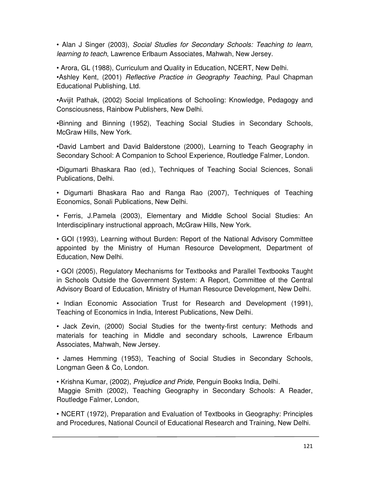• Alan J Singer (2003), *Social Studies for Secondary Schools: Teaching to learn, learning to teach*, Lawrence Erlbaum Associates, Mahwah, New Jersey.

• Arora, GL (1988), Curriculum and Quality in Education, NCERT, New Delhi. •Ashley Kent, (2001) *Reflective Practice in Geography Teaching*, Paul Chapman Educational Publishing, Ltd.

•Avijit Pathak, (2002) Social Implications of Schooling: Knowledge, Pedagogy and Consciousness, Rainbow Publishers, New Delhi.

•Binning and Binning (1952), Teaching Social Studies in Secondary Schools, McGraw Hills, New York.

•David Lambert and David Balderstone (2000), Learning to Teach Geography in Secondary School: A Companion to School Experience, Routledge Falmer, London.

•Digumarti Bhaskara Rao (ed.), Techniques of Teaching Social Sciences, Sonali Publications, Delhi.

• Digumarti Bhaskara Rao and Ranga Rao (2007), Techniques of Teaching Economics, Sonali Publications, New Delhi.

• Ferris, J.Pamela (2003), Elementary and Middle School Social Studies: An Interdisciplinary instructional approach, McGraw Hills, New York.

• GOI (1993), Learning without Burden: Report of the National Advisory Committee appointed by the Ministry of Human Resource Development, Department of Education, New Delhi.

• GOI (2005), Regulatory Mechanisms for Textbooks and Parallel Textbooks Taught in Schools Outside the Government System: A Report, Committee of the Central Advisory Board of Education, Ministry of Human Resource Development, New Delhi.

• Indian Economic Association Trust for Research and Development (1991), Teaching of Economics in India, Interest Publications, New Delhi.

• Jack Zevin, (2000) Social Studies for the twenty-first century: Methods and materials for teaching in Middle and secondary schools, Lawrence Erlbaum Associates, Mahwah, New Jersey.

• James Hemming (1953), Teaching of Social Studies in Secondary Schools, Longman Geen & Co, London.

• Krishna Kumar, (2002), *Prejudice and Pride*, Penguin Books India, Delhi. Maggie Smith (2002), Teaching Geography in Secondary Schools: A Reader, Routledge Falmer, London,

• NCERT (1972), Preparation and Evaluation of Textbooks in Geography: Principles and Procedures, National Council of Educational Research and Training, New Delhi.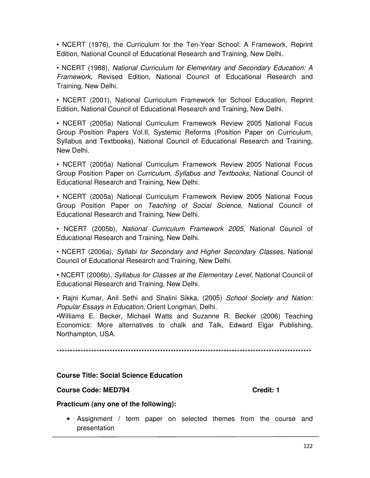• NCERT (1976), the Curriculum for the Ten-Year School: A Framework, Reprint Edition, National Council of Educational Research and Training, New Delhi.

• NCERT (1988), *National Curriculum for Elementary and Secondary Education: A Framework*, Revised Edition, National Council of Educational Research and Training, New Delhi.

• NCERT (2001), National Curriculum Framework for School Education, Reprint Edition, National Council of Educational Research and Training, New Delhi.

• NCERT (2005a) National Curriculum Framework Review 2005 National Focus Group Position Papers Vol.II, Systemic Reforms (Position Paper on Curriculum, Syllabus and Textbooks), National Council of Educational Research and Training, New Delhi.

• NCERT (2005a) National Curriculum Framework Review 2005 National Focus Group Position Paper on *Curriculum, Syllabus and Textbooks*, National Council of Educational Research and Training, New Delhi.

• NCERT (2005a) National Curriculum Framework Review 2005 National Focus Group Position Paper on *Teaching of Social Science*, National Council of Educational Research and Training, New Delhi.

• NCERT (2005b), *National Curriculum Framework 2005*, National Council of Educational Research and Training, New Delhi.

• NCERT (2006a), *Syllabi for Secondary and Higher Secondary Classes*, National Council of Educational Research and Training, New Delhi.

• NCERT (2006b), *Syllabus for Classes at the Elementary Level*, National Council of Educational Research and Training, New Delhi.

• Rajni Kumar, Anil Sethi and Shalini Sikka, (2005) *School Society and Nation: Popular Essays in Education*, Orient Longman, Delhi.

•Williams E. Becker, Michael Watts and Suzanne R. Becker (2006) Teaching Economics: More alternatives to chalk and Talk, Edward Elgar Publishing, Northampton, USA.

\*\*\*\*\*\*\*\*\*\*\*\*\*\*\*\*\*\*\*\*\*\*\*\*\*\*\*\*\*\*\*\*\*\*\*\*\*\*\*\*\*\*\*\*\*\*\*\*\*\*\*\*\*\*\*\*\*\*\*\*\*\*\*\*\*\*\*\*\*\*\*\*\*\*\*\*\*\*\*\*\*\*\*\*\*\*\*\*\*\*\*\*\*\*\*\*

## **Course Title: Social Science Education**

### **Course Code: MED794 Course Code: MED794**

### **Practicum (any one of the following):**

• Assignment / term paper on selected themes from the course and presentation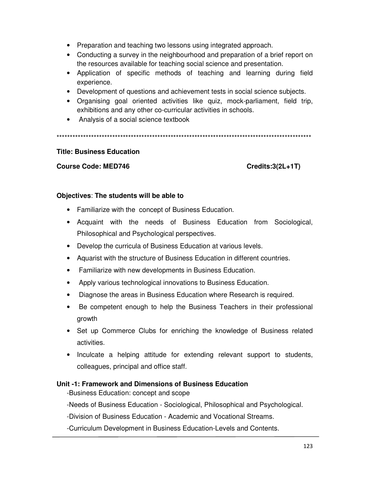- Preparation and teaching two lessons using integrated approach.
- Conducting a survey in the neighbourhood and preparation of a brief report on the resources available for teaching social science and presentation.
- Application of specific methods of teaching and learning during field experience.
- Development of questions and achievement tests in social science subjects.
- Organising goal oriented activities like quiz, mock-parliament, field trip, exhibitions and any other co-curricular activities in schools.
- Analysis of a social science textbook

\*\*\*\*\*\*\*\*\*\*\*\*\*\*\*\*\*\*\*\*\*\*\*\*\*\*\*\*\*\*\*\*\*\*\*\*\*\*\*\*\*\*\*\*\*\*\*\*\*\*\*\*\*\*\*\*\*\*\*\*\*\*\*\*\*\*\*\*\*\*\*\*\*\*\*\*\*\*\*\*\*\*\*\*\*\*\*\*\*\*\*\*\*\*\*\*

### **Title: Business Education**

### Course Code: MED746 Course Code: MED746

## **Objectives**: **The students will be able to**

- Familiarize with the concept of Business Education.
- Acquaint with the needs of Business Education from Sociological, Philosophical and Psychological perspectives.
- Develop the curricula of Business Education at various levels.
- Aquarist with the structure of Business Education in different countries.
- Familiarize with new developments in Business Education.
- Apply various technological innovations to Business Education.
- Diagnose the areas in Business Education where Research is required.
- Be competent enough to help the Business Teachers in their professional growth
- Set up Commerce Clubs for enriching the knowledge of Business related activities.
- Inculcate a helping attitude for extending relevant support to students, colleagues, principal and office staff.

## **Unit -1: Framework and Dimensions of Business Education**

-Business Education: concept and scope

-Needs of Business Education - Sociological, Philosophical and Psychological.

-Division of Business Education - Academic and Vocational Streams.

-Curriculum Development in Business Education-Levels and Contents.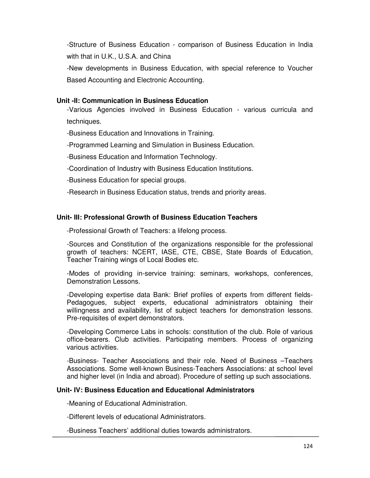-Structure of Business Education - comparison of Business Education in India with that in U.K., U.S.A. and China

-New developments in Business Education, with special reference to Voucher Based Accounting and Electronic Accounting.

### **Unit -II: Communication in Business Education**

-Various Agencies involved in Business Education - various curricula and techniques.

-Business Education and Innovations in Training.

-Programmed Learning and Simulation in Business Education.

-Business Education and Information Technology.

-Coordination of Industry with Business Education Institutions.

-Business Education for special groups.

-Research in Business Education status, trends and priority areas.

## **Unit- III: Professional Growth of Business Education Teachers**

-Professional Growth of Teachers: a lifelong process.

-Sources and Constitution of the organizations responsible for the professional growth of teachers: NCERT, IASE, CTE, CBSE, State Boards of Education, Teacher Training wings of Local Bodies etc.

-Modes of providing in-service training: seminars, workshops, conferences, Demonstration Lessons.

-Developing expertise data Bank: Brief profiles of experts from different fields-Pedagogues, subject experts, educational administrators obtaining their willingness and availability, list of subject teachers for demonstration lessons. Pre-requisites of expert demonstrators.

-Developing Commerce Labs in schools: constitution of the club. Role of various office-bearers. Club activities. Participating members. Process of organizing various activities.

-Business- Teacher Associations and their role. Need of Business –Teachers Associations. Some well-known Business-Teachers Associations: at school level and higher level (in India and abroad). Procedure of setting up such associations.

## **Unit- IV: Business Education and Educational Administrators**

-Meaning of Educational Administration.

-Different levels of educational Administrators.

-Business Teachers' additional duties towards administrators.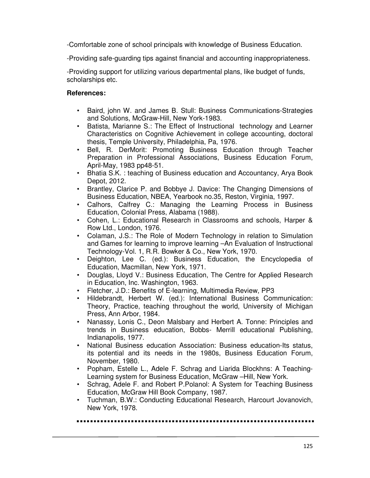-Comfortable zone of school principals with knowledge of Business Education.

-Providing safe-guarding tips against financial and accounting inappropriateness.

-Providing support for utilizing various departmental plans, like budget of funds, scholarships etc.

## **References:**

- Baird, john W. and James B. Stull: Business Communications-Strategies and Solutions, McGraw-Hill, New York-1983.
- Batista, Marianne S.: The Effect of Instructional technology and Learner Characteristics on Cognitive Achievement in college accounting, doctoral thesis, Temple University, Philadelphia, Pa, 1976.
- Bell, R. DerMorit: Promoting Business Education through Teacher Preparation in Professional Associations, Business Education Forum, April-May, 1983 pp48-51.
- Bhatia S.K. : teaching of Business education and Accountancy, Arya Book Depot, 2012.
- Brantley, Clarice P. and Bobbye J. Davice: The Changing Dimensions of Business Education, NBEA, Yearbook no.35, Reston, Virginia, 1997.
- Calhors, Calfrey C.: Managing the Learning Process in Business Education, Colonial Press, Alabama (1988).
- Cohen, L.: Educational Research in Classrooms and schools, Harper & Row Ltd., London, 1976.
- Colaman, J.S.: The Role of Modern Technology in relation to Simulation and Games for learning to improve learning –An Evaluation of Instructional Technology-Vol. 1, R.R. Bowker & Co., New York, 1970.
- Deighton, Lee C. (ed.): Business Education, the Encyclopedia of Education, Macmillan, New York, 1971.
- Douglas, Lloyd V.: Business Education, The Centre for Applied Research in Education, Inc. Washington, 1963.
- Fletcher, J.D.: Benefits of E-learning, Multimedia Review, PP3
- Hildebrandt, Herbert W. (ed.): International Business Communication: Theory, Practice, teaching throughout the world, University of Michigan Press, Ann Arbor, 1984.
- Nanassy, Lonis C., Deon Malsbary and Herbert A. Tonne: Principles and trends in Business education, Bobbs- Merrill educational Publishing, Indianapolis, 1977.
- National Business education Association: Business education-Its status, its potential and its needs in the 1980s, Business Education Forum, November, 1980.
- Popham, Estelle L., Adele F. Schrag and Liarida Blockhns: A Teaching-Learning system for Business Education, McGraw -Hill, New York.
- Schrag, Adele F. and Robert P.Polanol: A System for Teaching Business Education, McGraw Hill Book Company, 1987.
- Tuchman, B.W.: Conducting Educational Research, Harcourt Jovanovich, New York, 1978.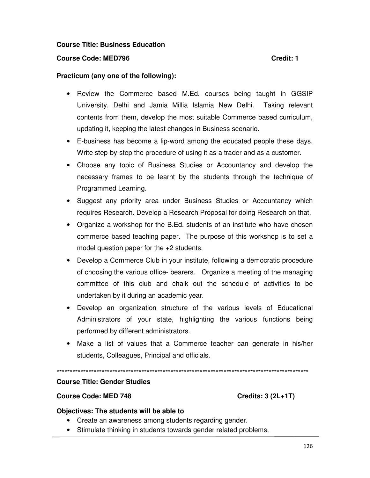### **Course Title: Business Education**

### **Course Code: MED796 Credit: 1**

### **Practicum (any one of the following):**

- Review the Commerce based M.Ed. courses being taught in GGSIP University, Delhi and Jamia Millia Islamia New Delhi. Taking relevant contents from them, develop the most suitable Commerce based curriculum, updating it, keeping the latest changes in Business scenario.
- E-business has become a lip-word among the educated people these days. Write step-by-step the procedure of using it as a trader and as a customer.
- Choose any topic of Business Studies or Accountancy and develop the necessary frames to be learnt by the students through the technique of Programmed Learning.
- Suggest any priority area under Business Studies or Accountancy which requires Research. Develop a Research Proposal for doing Research on that.
- Organize a workshop for the B.Ed. students of an institute who have chosen commerce based teaching paper. The purpose of this workshop is to set a model question paper for the +2 students.
- Develop a Commerce Club in your institute, following a democratic procedure of choosing the various office- bearers. Organize a meeting of the managing committee of this club and chalk out the schedule of activities to be undertaken by it during an academic year.
- Develop an organization structure of the various levels of Educational Administrators of your state, highlighting the various functions being performed by different administrators.
- Make a list of values that a Commerce teacher can generate in his/her students, Colleagues, Principal and officials.

\*\*\*\*\*\*\*\*\*\*\*\*\*\*\*\*\*\*\*\*\*\*\*\*\*\*\*\*\*\*\*\*\*\*\*\*\*\*\*\*\*\*\*\*\*\*\*\*\*\*\*\*\*\*\*\*\*\*\*\*\*\*\*\*\*\*\*\*\*\*\*\*\*\*\*\*\*\*\*\*\*\*\*\*\*\*\*\*\*\*\*\*\*\*\*

### **Course Title: Gender Studies**

### **Course Code: MED 748 Credits: 3 (2L+1T)**

### **Objectives: The students will be able to**

- Create an awareness among students regarding gender.
- Stimulate thinking in students towards gender related problems.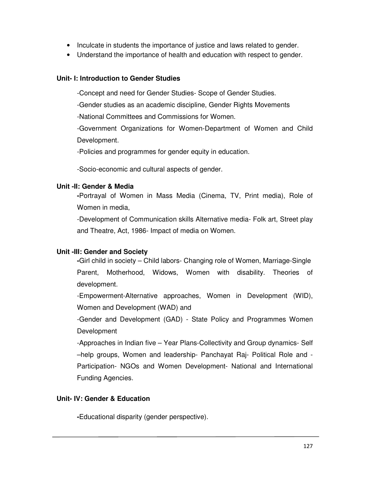- Inculcate in students the importance of justice and laws related to gender.
- Understand the importance of health and education with respect to gender.

## **Unit- I: Introduction to Gender Studies**

-Concept and need for Gender Studies- Scope of Gender Studies.

-Gender studies as an academic discipline, Gender Rights Movements

-National Committees and Commissions for Women.

-Government Organizations for Women-Department of Women and Child Development.

-Policies and programmes for gender equity in education.

-Socio-economic and cultural aspects of gender.

# **Unit -II: Gender & Media**

**-**Portrayal of Women in Mass Media (Cinema, TV, Print media), Role of Women in media,

-Development of Communication skills Alternative media- Folk art, Street play and Theatre, Act, 1986- Impact of media on Women.

# **Unit -III: Gender and Society**

**-**Girl child in society – Child labors- Changing role of Women, Marriage-Single Parent, Motherhood, Widows, Women with disability. Theories of development.

-Empowerment-Alternative approaches, Women in Development (WID), Women and Development (WAD) and

-Gender and Development (GAD) - State Policy and Programmes Women Development

-Approaches in Indian five – Year Plans-Collectivity and Group dynamics- Self –help groups, Women and leadership- Panchayat Raj- Political Role and - Participation- NGOs and Women Development- National and International Funding Agencies.

# **Unit- IV: Gender & Education**

**-**Educational disparity (gender perspective).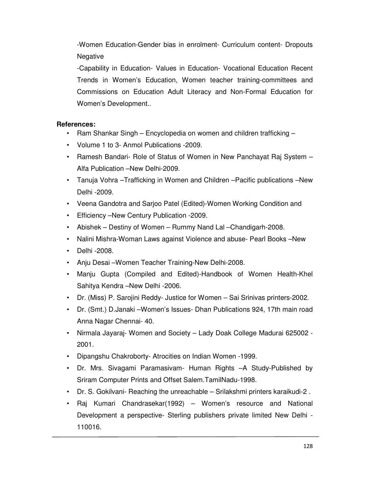-Women Education-Gender bias in enrolment- Curriculum content- Dropouts Negative

-Capability in Education- Values in Education- Vocational Education Recent Trends in Women's Education, Women teacher training-committees and Commissions on Education Adult Literacy and Non-Formal Education for Women's Development..

## **References:**

- Ram Shankar Singh Encyclopedia on women and children trafficking –
- Volume 1 to 3- Anmol Publications -2009.
- Ramesh Bandari- Role of Status of Women in New Panchayat Raj System Alfa Publication –New Delhi-2009.
- Tanuja Vohra –Trafficking in Women and Children –Pacific publications –New Delhi -2009.
- Veena Gandotra and Sarjoo Patel (Edited)-Women Working Condition and
- Efficiency –New Century Publication -2009.
- Abishek Destiny of Women Rummy Nand Lal –Chandigarh-2008.
- Nalini Mishra-Woman Laws against Violence and abuse- Pearl Books –New
- Delhi -2008.
- Anju Desai –Women Teacher Training-New Delhi-2008.
- Manju Gupta (Compiled and Edited)-Handbook of Women Health-Khel Sahitya Kendra –New Delhi -2006.
- Dr. (Miss) P. Sarojini Reddy- Justice for Women Sai Srinivas printers-2002.
- Dr. (Smt.) D.Janaki –Women's Issues- Dhan Publications 924, 17th main road Anna Nagar Chennai- 40.
- Nirmala Jayaraj- Women and Society Lady Doak College Madurai 625002 2001.
- Dipangshu Chakroborty- Atrocities on Indian Women -1999.
- Dr. Mrs. Sivagami Paramasivam- Human Rights –A Study-Published by Sriram Computer Prints and Offset Salem.TamilNadu-1998.
- Dr. S. Gokilvani- Reaching the unreachable Srilakshmi printers karaikudi-2 .
- Raj Kumari Chandrasekar(1992) Women's resource and National Development a perspective- Sterling publishers private limited New Delhi - 110016.